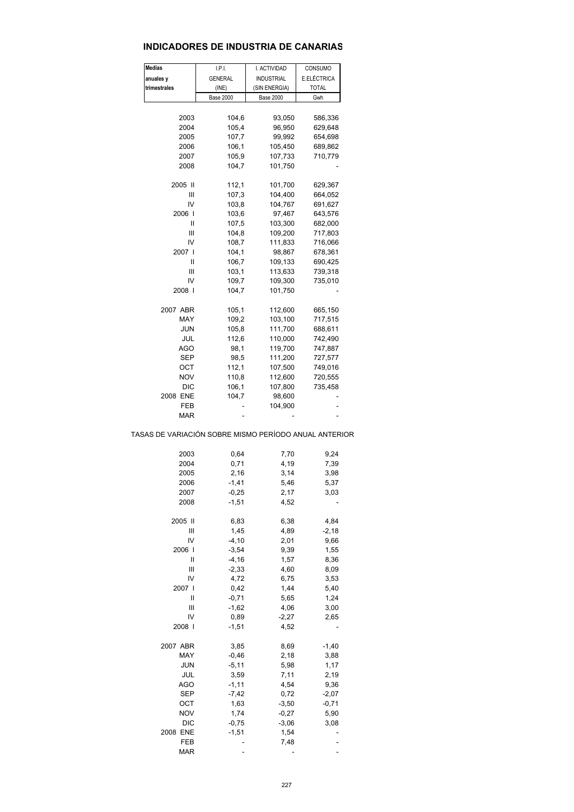## **INDICADORES DE INDUSTRIA DE CANARIAS**

| Medias                                                | I.P.I.              | I. ACTIVIDAD       | CONSUMO            |  |
|-------------------------------------------------------|---------------------|--------------------|--------------------|--|
| anuales y                                             | <b>GENERAL</b>      | <b>INDUSTRIAL</b>  | E.ELÉCTRICA        |  |
| trimestrales                                          | (INE)               | (SIN ENERGIA)      | <b>TOTAL</b>       |  |
|                                                       | <b>Base 2000</b>    | <b>Base 2000</b>   | Gwh                |  |
|                                                       |                     |                    |                    |  |
| 2003                                                  | 104,6               | 93,050             | 586,336            |  |
| 2004<br>2005                                          | 105,4<br>107,7      | 96,950<br>99,992   | 629,648<br>654,698 |  |
| 2006                                                  | 106,1               | 105,450            | 689,862            |  |
| 2007                                                  | 105,9               | 107,733            | 710,779            |  |
| 2008                                                  | 104,7               | 101,750            |                    |  |
|                                                       |                     |                    |                    |  |
| 2005 II                                               | 112,1               | 101,700            | 629,367            |  |
| Ш                                                     | 107,3               | 104,400            | 664,052            |  |
| IV                                                    | 103,8               | 104,767            | 691,627            |  |
| 2006 l                                                | 103,6               | 97,467             | 643,576            |  |
| Ш                                                     | 107,5               | 103,300            | 682,000            |  |
| Ш                                                     | 104,8               | 109,200            | 717,803            |  |
| IV                                                    | 108,7               | 111,833            | 716,066            |  |
| 2007 l                                                | 104,1               | 98,867             | 678,361            |  |
| Ш                                                     | 106,7               | 109,133            | 690,425            |  |
| Ш                                                     | 103,1               | 113,633            | 739,318            |  |
| IV                                                    | 109,7               | 109,300            | 735,010            |  |
| 2008 l                                                | 104,7               | 101,750            |                    |  |
| 2007 ABR                                              | 105,1               | 112,600            | 665,150            |  |
| MAY                                                   | 109,2               | 103,100            | 717,515            |  |
| JUN                                                   | 105,8               | 111,700            | 688,611            |  |
| JUL                                                   | 112,6               | 110,000            | 742,490            |  |
| AGO                                                   | 98,1                | 119,700            | 747,887            |  |
| SEP                                                   | 98,5                | 111,200            | 727,577            |  |
| ост                                                   | 112,1               | 107,500            | 749,016            |  |
| <b>NOV</b>                                            | 110,8               | 112,600            | 720,555            |  |
| DIC                                                   | 106,1               | 107,800            | 735,458            |  |
| 2008 ENE                                              | 104,7               | 98,600             |                    |  |
| FEB                                                   |                     | 104,900            |                    |  |
| MAR                                                   |                     |                    |                    |  |
| TASAS DE VARIACIÓN SOBRE MISMO PERÍODO ANUAL ANTERIOR |                     |                    |                    |  |
| 2003                                                  | 0,64                | 7,70               | 9,24               |  |
| 2004                                                  | 0,71                | 4,19               | 7,39               |  |
| 2005                                                  | 2,16                | 3,14               | 3,98               |  |
| 2006                                                  | $-1,41$             | 5,46               | 5,37               |  |
| 2007                                                  | $-0,25$             | 2,17               | 3,03               |  |
| 2008                                                  | $-1,51$             | 4,52               |                    |  |
|                                                       |                     |                    |                    |  |
| 2005 II                                               | 6,83                | 6,38               | 4,84               |  |
| Ш                                                     | 1,45                | 4,89               | $-2,18$            |  |
| IV                                                    | $-4, 10$            | 2,01               | 9,66               |  |
| 2006 l<br>Ш                                           | $-3,54$<br>$-4, 16$ | 9,39<br>1,57       | 1,55<br>8,36       |  |
| Ш                                                     | $-2,33$             | 4,60               | 8,09               |  |
| IV                                                    | 4,72                | 6,75               | 3,53               |  |
| 2007 l                                                | 0,42                | 1,44               | 5,40               |  |
| Ш                                                     | $-0,71$             | 5,65               | 1,24               |  |
| Ш                                                     | $-1,62$             | 4,06               | 3,00               |  |
| IV                                                    | 0,89                | $-2,27$            | 2,65               |  |
| 2008                                                  | $-1,51$             | 4,52               |                    |  |
|                                                       |                     |                    |                    |  |
| 2007 ABR                                              | 3,85                | 8,69               | $-1,40$            |  |
| MAY                                                   | $-0,46$             | 2,18               | 3,88               |  |
| JUN                                                   | $-5,11$             | 5,98               | 1,17               |  |
| JUL                                                   | 3,59                | 7,11               | 2,19               |  |
| <b>AGO</b>                                            | $-1, 11$            | 4,54               | 9,36               |  |
| SEP                                                   | $-7,42$             | 0,72               | $-2,07$            |  |
| ост<br><b>NOV</b>                                     | 1,63<br>1,74        | $-3,50$<br>$-0,27$ | $-0,71$<br>5,90    |  |
| DIC                                                   |                     | $-3,06$            | 3,08               |  |
| 2008 ENE                                              | $-0,75$<br>$-1,51$  | 1,54               |                    |  |
| FEB                                                   | ÷                   | 7,48               | -                  |  |
| <b>MAR</b>                                            |                     |                    |                    |  |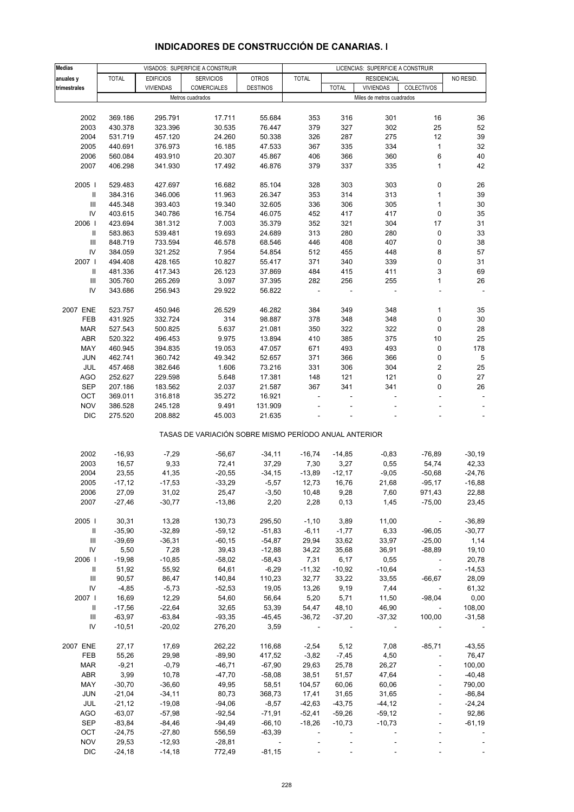| <b>Medias</b>                            |                |                  | VISADOS: SUPERFICIE A CONSTRUIR                       |                   | LICENCIAS: SUPERFICIE A CONSTRUIR |                   |                           |                          |                   |
|------------------------------------------|----------------|------------------|-------------------------------------------------------|-------------------|-----------------------------------|-------------------|---------------------------|--------------------------|-------------------|
| anuales y                                | <b>TOTAL</b>   | <b>EDIFICIOS</b> | <b>SERVICIOS</b>                                      | <b>OTROS</b>      | <b>TOTAL</b>                      |                   | <b>RESIDENCIAL</b>        |                          | NO RESID.         |
| trimestrales                             |                | <b>VIVIENDAS</b> | <b>COMERCIALES</b>                                    | <b>DESTINOS</b>   |                                   | <b>TOTAL</b>      | <b>VIVIENDAS</b>          | COLECTIVOS               |                   |
|                                          |                |                  | Metros cuadrados                                      |                   |                                   |                   | Miles de metros cuadrados |                          |                   |
|                                          |                |                  |                                                       |                   |                                   |                   |                           |                          |                   |
| 2002                                     | 369.186        | 295.791          | 17.711                                                | 55.684            | 353                               | 316               | 301                       | 16                       | 36                |
| 2003                                     | 430.378        | 323.396          | 30.535                                                | 76.447            | 379                               | 327               | 302                       | 25                       | 52                |
| 2004                                     | 531.719        | 457.120          | 24.260                                                | 50.338            | 326                               | 287               | 275                       | 12                       | 39                |
| 2005                                     | 440.691        | 376.973          | 16.185                                                | 47.533            | 367                               | 335               | 334                       | $\mathbf{1}$             | 32                |
| 2006                                     | 560.084        | 493.910          | 20.307                                                | 45.867            | 406                               | 366               | 360                       | 6                        | 40                |
| 2007                                     | 406.298        | 341.930          | 17.492                                                | 46.876            | 379                               | 337               | 335                       | $\mathbf{1}$             | 42                |
|                                          |                |                  |                                                       |                   |                                   |                   |                           |                          |                   |
| 2005                                     | 529.483        | 427.697          | 16.682                                                | 85.104            | 328                               | 303               | 303                       | 0                        | 26                |
| Ш                                        | 384.316        | 346.006          | 11.963                                                | 26.347            | 353                               | 314               | 313                       | $\mathbf{1}$             | 39                |
| Ш                                        | 445.348        | 393.403          | 19.340                                                | 32.605            | 336                               | 306               | 305                       | $\mathbf{1}$             | 30                |
|                                          |                |                  |                                                       |                   |                                   |                   |                           |                          |                   |
| IV                                       | 403.615        | 340.786          | 16.754                                                | 46.075            | 452                               | 417               | 417                       | $\pmb{0}$                | 35                |
| 2006                                     | 423.694        | 381.312          | 7.003                                                 | 35.379            | 352                               | 321               | 304                       | 17                       | 31                |
| Ш                                        | 583.863        | 539.481          | 19.693                                                | 24.689            | 313                               | 280               | 280                       | 0                        | 33                |
| Ш                                        | 848.719        | 733.594          | 46.578                                                | 68.546            | 446                               | 408               | 407                       | 0                        | 38                |
| IV                                       | 384.059        | 321.252          | 7.954                                                 | 54.854            | 512                               | 455               | 448                       | 8                        | 57                |
| 2007                                     | 494.408        | 428.165          | 10.827                                                | 55.417            | 371                               | 340               | 339                       | 0                        | 31                |
| Ш                                        | 481.336        | 417.343          | 26.123                                                | 37.869            | 484                               | 415               | 411                       | 3                        | 69                |
| Ш                                        | 305.760        | 265.269          | 3.097                                                 | 37.395            | 282                               | 256               | 255                       | $\mathbf{1}$             | 26                |
| IV                                       | 343.686        | 256.943          | 29.922                                                | 56.822            |                                   |                   |                           |                          |                   |
|                                          |                |                  |                                                       |                   |                                   |                   |                           |                          |                   |
| 2007 ENE                                 | 523.757        | 450.946          | 26.529                                                | 46.282            | 384                               | 349               | 348                       | $\mathbf{1}$             | 35                |
| <b>FEB</b>                               | 431.925        | 332.724          | 314                                                   | 98.887            | 378                               | 348               | 348                       | $\mathbf 0$              | 30                |
| <b>MAR</b>                               | 527.543        | 500.825          | 5.637                                                 | 21.081            | 350                               | 322               | 322                       | 0                        | 28                |
| ABR                                      | 520.322        | 496.453          | 9.975                                                 | 13.894            | 410                               | 385               | 375                       | 10                       | 25                |
| MAY                                      | 460.945        | 394.835          | 19.053                                                | 47.057            | 671                               | 493               | 493                       | 0                        | 178               |
| <b>JUN</b>                               | 462.741        | 360.742          | 49.342                                                | 52.657            | 371                               | 366               | 366                       | 0                        | 5                 |
| JUL                                      | 457.468        | 382.646          | 1.606                                                 | 73.216            | 331                               | 306               | 304                       | $\overline{2}$           | 25                |
| AGO                                      | 252.627        | 229.598          | 5.648                                                 | 17.381            | 148                               | 121               | 121                       | $\mathbf 0$              | 27                |
| SEP                                      | 207.186        | 183.562          | 2.037                                                 | 21.587            | 367                               | 341               | 341                       | 0                        | 26                |
| OCT                                      | 369.011        | 316.818          | 35.272                                                | 16.921            |                                   |                   |                           |                          |                   |
| <b>NOV</b>                               | 386.528        | 245.128          | 9.491                                                 | 131.909           |                                   |                   |                           |                          |                   |
| <b>DIC</b>                               | 275.520        | 208.882          | 45.003                                                | 21.635            |                                   |                   |                           |                          |                   |
|                                          |                |                  |                                                       |                   |                                   |                   |                           |                          |                   |
|                                          |                |                  | TASAS DE VARIACIÓN SOBRE MISMO PERÍODO ANUAL ANTERIOR |                   |                                   |                   |                           |                          |                   |
|                                          |                |                  |                                                       |                   |                                   |                   |                           |                          |                   |
| 2002                                     | $-16,93$       | $-7,29$          | $-56,67$                                              | $-34,11$          | $-16,74$                          | $-14,85$          | $-0,83$                   | $-76,89$                 | $-30,19$          |
| 2003                                     | 16,57          | 9,33             | 72,41                                                 | 37,29             | 7,30                              | 3,27              | 0,55                      | 54,74                    | 42,33             |
| 2004                                     | 23,55          | 41,35            | $-20,55$                                              | $-34,15$          | $-13,89$                          | $-12,17$          | $-9,05$                   | $-50,68$                 | $-24,76$          |
| 2005                                     | $-17,12$       | $-17,53$         | $-33,29$                                              | $-5,57$           | 12,73                             | 16,76             | 21,68                     | $-95,17$                 | $-16,88$          |
| 2006                                     | 27,09          | 31,02            | 25,47                                                 | $-3,50$           | 10,48                             | 9,28              | 7,60                      | 971,43                   | 22,88             |
| 2007                                     | $-27,46$       | $-30,77$         | $-13,86$                                              | 2,20              | 2,28                              | 0,13              | 1,45                      | $-75,00$                 | 23,45             |
|                                          |                |                  |                                                       |                   |                                   |                   |                           |                          |                   |
| 2005                                     | 30,31          | 13,28            | 130,73                                                | 295,50            | $-1,10$                           | 3,89              | 11,00                     | $\sim$                   | $-36,89$          |
| Ш                                        | $-35,90$       | $-32,89$         | $-59,12$                                              | $-51,83$          | $-6,11$                           | $-1,77$           | 6,33                      | $-96,05$                 | $-30,77$          |
| Ш                                        | $-39,69$       | $-36,31$         | $-60, 15$                                             | $-54,87$          | 29,94                             | 33,62             | 33,97                     | $-25,00$                 | 1,14              |
| IV                                       | 5,50           | 7,28             | 39,43                                                 | $-12,88$          | 34,22                             | 35,68             | 36,91                     | $-88,89$                 | 19,10             |
| 2006                                     | $-19,98$       | $-10,85$         | $-58,02$                                              | $-58,43$          | 7,31                              | 6,17              | 0,55                      | $\overline{\phantom{a}}$ | 20,78             |
|                                          |                | 55,92            |                                                       |                   |                                   |                   | $-10,64$                  | $\sim$                   |                   |
| Ш.<br>$\ensuremath{\mathsf{III}}\xspace$ | 51,92<br>90,57 | 86,47            | 64,61<br>140,84                                       | $-6,29$<br>110,23 | $-11,32$<br>32,77                 | $-10,92$<br>33,22 | 33,55                     | $-66,67$                 | $-14,53$<br>28,09 |
|                                          |                |                  |                                                       |                   |                                   |                   |                           |                          |                   |
| IV<br>2007                               | $-4,85$        | $-5,73$          | $-52,53$                                              | 19,05             | 13,26                             | 9,19              | 7,44                      | $-98,04$                 | 61,32             |
|                                          | 16,69          | 12,29            | 54,60                                                 | 56,64             | 5,20                              | 5,71              | 11,50                     |                          | 0,00              |
| Ш                                        | $-17,56$       | $-22,64$         | 32,65                                                 | 53,39             | 54,47                             | 48,10             | 46,90                     |                          | 108,00            |
| Ш                                        | $-63,97$       | $-63,84$         | $-93,35$                                              | $-45,45$          | $-36,72$                          | $-37,20$          | $-37,32$                  | 100,00                   | $-31,58$          |
| IV                                       | $-10,51$       | $-20,02$         | 276,20                                                | 3,59              |                                   |                   |                           |                          |                   |
|                                          |                |                  |                                                       |                   |                                   |                   |                           |                          |                   |
| 2007 ENE                                 | 27,17          | 17,69            | 262,22                                                | 116,68            | $-2,54$                           | 5,12              | 7,08                      | $-85,71$                 | $-43,55$          |
| FEB                                      | 55,26          | 29,98            | $-89,90$                                              | 417,52            | $-3,82$                           | $-7,45$           | 4,50                      |                          | 76,47             |
| <b>MAR</b>                               | $-9,21$        | $-0,79$          | $-46,71$                                              | $-67,90$          | 29,63                             | 25,78             | 26,27                     | ÷,                       | 100,00            |
| ABR                                      | 3,99           | 10,78            | $-47,70$                                              | $-58,08$          | 38,51                             | 51,57             | 47,64                     |                          | $-40,48$          |
| MAY                                      | $-30,70$       | $-36,60$         | 49,95                                                 | 58,51             | 104,57                            | 60,06             | 60,06                     |                          | 790,00            |
| JUN                                      | $-21,04$       | $-34,11$         | 80,73                                                 | 368,73            | 17,41                             | 31,65             | 31,65                     | ÷,                       | $-86, 84$         |
| JUL                                      | $-21,12$       | $-19,08$         | $-94,06$                                              | $-8,57$           | $-42,63$                          | $-43,75$          | $-44, 12$                 |                          | $-24,24$          |
| AGO                                      | $-63,07$       | $-57,98$         | $-92,54$                                              | $-71,91$          | $-52,41$                          | $-59,26$          | $-59,12$                  |                          | 92,86             |
| <b>SEP</b>                               | $-83,84$       | $-84,46$         | $-94,49$                                              | $-66, 10$         | $-18,26$                          | $-10,73$          | $-10,73$                  |                          | $-61,19$          |
| OCT                                      | $-24,75$       | $-27,80$         | 556,59                                                | $-63,39$          |                                   |                   |                           |                          |                   |
| <b>NOV</b>                               | 29,53          | $-12,93$         | $-28,81$                                              |                   |                                   |                   |                           |                          |                   |
| <b>DIC</b>                               | $-24,18$       | $-14,18$         | 772,49                                                | $-81,15$          |                                   |                   |                           |                          |                   |

## **INDICADORES DE CONSTRUCCIÓN DE CANARIAS. I**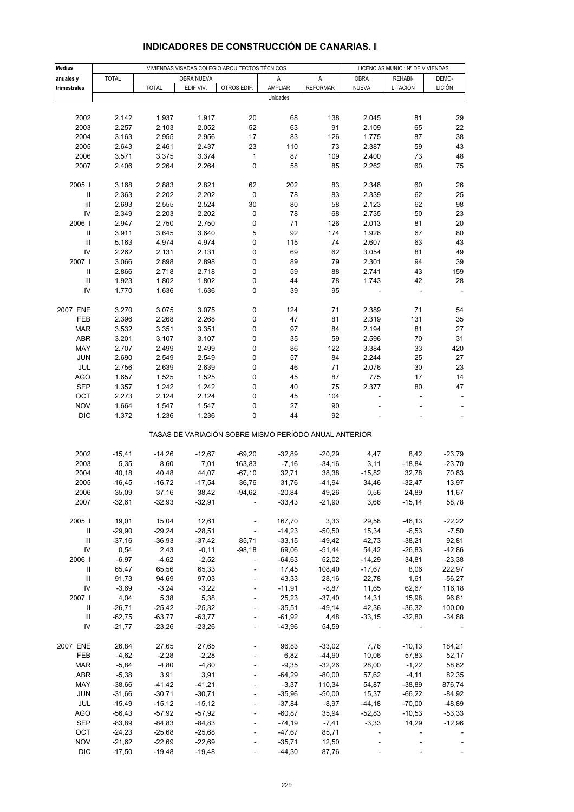| Medias                             |              |              | VIVIENDAS VISADAS COLEGIO ARQUITECTOS TÉCNICOS |                                                       |          | LICENCIAS MUNIC.: Nº DE VIVIENDAS |                |           |                          |
|------------------------------------|--------------|--------------|------------------------------------------------|-------------------------------------------------------|----------|-----------------------------------|----------------|-----------|--------------------------|
| anuales y                          | <b>TOTAL</b> |              | OBRA NUEVA                                     |                                                       | Α        | A                                 | <b>OBRA</b>    | REHABI-   | DEMO-                    |
| trimestrales                       |              | <b>TOTAL</b> | EDIF.VIV.                                      | OTROS EDIF.                                           | AMPLIAR  | <b>REFORMAR</b>                   | <b>NUEVA</b>   | LITACIÓN  | <b>LICIÓN</b>            |
|                                    |              |              |                                                |                                                       | Unidades |                                   |                |           |                          |
|                                    |              |              |                                                |                                                       |          |                                   |                |           |                          |
| 2002                               | 2.142        | 1.937        | 1.917                                          | 20                                                    | 68       | 138                               | 2.045          | 81        | 29                       |
| 2003                               | 2.257        | 2.103        | 2.052                                          | 52                                                    | 63       | 91                                | 2.109          | 65        | 22                       |
| 2004                               | 3.163        | 2.955        | 2.956                                          | 17                                                    | 83       | 126                               | 1.775          | 87        | 38                       |
| 2005                               | 2.643        | 2.461        | 2.437                                          | 23                                                    | 110      | 73                                | 2.387          | 59        | 43                       |
| 2006                               | 3.571        | 3.375        | 3.374                                          | $\mathbf{1}$                                          | 87       | 109                               | 2.400          | 73        | 48                       |
| 2007                               | 2.406        | 2.264        | 2.264                                          | 0                                                     | 58       | 85                                | 2.262          | 60        | 75                       |
|                                    |              |              |                                                |                                                       |          |                                   |                |           |                          |
| 2005                               | 3.168        | 2.883        | 2.821                                          | 62                                                    | 202      | 83                                | 2.348          | 60        | 26                       |
| $\, \parallel$                     | 2.363        | 2.202        | 2.202                                          | 0                                                     | 78       | 83                                | 2.339          | 62        | 25                       |
| $\ensuremath{\mathsf{III}}\xspace$ | 2.693        | 2.555        | 2.524                                          | 30                                                    | 80       | 58                                | 2.123          | 62        | 98                       |
| IV                                 | 2.349        | 2.203        | 2.202                                          | 0                                                     | 78       | 68                                | 2.735          | 50        | 23                       |
| 2006                               | 2.947        | 2.750        | 2.750                                          | 0                                                     | 71       | 126                               | 2.013          | 81        | 20                       |
| Ш                                  | 3.911        | 3.645        | 3.640                                          | 5                                                     | 92       | 174                               | 1.926          | 67        | 80                       |
| III                                | 5.163        | 4.974        | 4.974                                          | 0                                                     | 115      | 74                                | 2.607          | 63        | 43                       |
| IV                                 | 2.262        | 2.131        | 2.131                                          | 0                                                     | 69       | 62                                | 3.054          | 81        | 49                       |
| 2007 l                             | 3.066        | 2.898        | 2.898                                          | 0                                                     | 89       | 79                                | 2.301          | 94        | 39                       |
| $\, \parallel$                     | 2.866        | 2.718        | 2.718                                          | 0                                                     | 59       | 88                                | 2.741          | 43        | 159                      |
| $\ensuremath{\mathsf{III}}\xspace$ | 1.923        | 1.802        | 1.802                                          | 0                                                     | 44       | 78                                | 1.743          | 42        | 28                       |
| IV                                 | 1.770        | 1.636        | 1.636                                          | 0                                                     | 39       | 95                                |                |           |                          |
|                                    |              |              |                                                |                                                       |          |                                   |                |           |                          |
| 2007 ENE                           | 3.270        | 3.075        | 3.075                                          | 0                                                     | 124      | 71                                | 2.389          | 71        | 54                       |
| FEB                                | 2.396        | 2.268        | 2.268                                          | 0                                                     | 47       | 81                                | 2.319          | 131       | 35                       |
| <b>MAR</b>                         | 3.532        | 3.351        | 3.351                                          | 0                                                     | 97       | 84                                | 2.194          | 81        | 27                       |
| ABR                                | 3.201        | 3.107        | 3.107                                          | 0                                                     | 35       | 59                                | 2.596          | 70        | 31                       |
| MAY                                | 2.707        | 2.499        | 2.499                                          | 0                                                     | 86       | 122                               | 3.384          | 33        | 420                      |
| <b>JUN</b>                         | 2.690        | 2.549        | 2.549                                          | 0                                                     | 57       | 84                                | 2.244          | 25        | 27                       |
| JUL                                | 2.756        | 2.639        | 2.639                                          | 0                                                     | 46       | 71                                | 2.076          | 30        | 23                       |
| <b>AGO</b>                         | 1.657        | 1.525        | 1.525                                          | 0                                                     | 45       | 87                                | 775            | 17        | 14                       |
| <b>SEP</b>                         | 1.357        | 1.242        | 1.242                                          | 0                                                     | 40       | 75                                | 2.377          | 80        | 47                       |
| OCT                                | 2.273        | 2.124        | 2.124                                          | 0                                                     | 45       | 104                               |                | ÷,        |                          |
| <b>NOV</b>                         | 1.664        | 1.547        | 1.547                                          | 0                                                     | 27       | 90                                |                |           |                          |
| <b>DIC</b>                         | 1.372        | 1.236        | 1.236                                          | 0                                                     | 44       | 92                                |                |           | $\overline{\phantom{a}}$ |
|                                    |              |              |                                                | TASAS DE VARIACIÓN SOBRE MISMO PERÍODO ANUAL ANTERIOR |          |                                   |                |           |                          |
|                                    |              |              |                                                |                                                       |          |                                   |                |           |                          |
| 2002                               | $-15,41$     | $-14,26$     | $-12,67$                                       | $-69,20$                                              | $-32,89$ | $-20,29$                          | 4,47           | 8,42      | $-23,79$                 |
| 2003                               | 5,35         | 8,60         | 7,01                                           | 163,83                                                | $-7,16$  | $-34,16$                          | 3,11           | $-18,84$  | $-23,70$                 |
| 2004                               | 40,18        | 40,48        | 44,07                                          | $-67,10$                                              | 32,71    | 38,38                             | $-15,82$       | 32,78     | 70,83                    |
| 2005                               | $-16,45$     | $-16,72$     | $-17,54$                                       | 36,76                                                 | 31,76    | $-41,94$                          | 34,46          | $-32,47$  | 13,97                    |
| 2006                               | 35,09        | 37,16        | 38,42                                          | $-94,62$                                              | $-20,84$ | 49,26                             | 0,56           | 24,89     | 11,67                    |
| 2007                               | $-32,61$     | $-32,93$     | $-32,91$                                       |                                                       | $-33,43$ | $-21,90$                          | 3,66           | $-15,14$  | 58,78                    |
|                                    |              |              |                                                |                                                       |          |                                   |                |           |                          |
| 2005                               | 19,01        | 15,04        | 12,61                                          | $\overline{\phantom{a}}$                              | 167,70   | 3,33                              | 29,58          | $-46, 13$ | $-22,22$                 |
| Ш                                  | $-29,90$     | $-29,24$     | $-28,51$                                       | $\Box$                                                | $-14,23$ | $-50,50$                          | 15,34          | $-6,53$   | $-7,50$                  |
| $\ensuremath{\mathsf{III}}\xspace$ | $-37,16$     | $-36,93$     | $-37,42$                                       | 85,71                                                 | $-33,15$ | $-49,42$                          | 42,73          | $-38,21$  | 92,81                    |
| IV                                 | 0,54         | 2,43         | $-0,11$                                        | $-98,18$                                              | 69,06    | $-51,44$                          | 54,42          | $-26,83$  | $-42,86$                 |
| 2006                               | $-6,97$      | $-4,62$      | $-2,52$                                        | $\Box$                                                | $-64,63$ | 52,02                             | $-14,29$       | 34,81     | $-23,38$                 |
| Ш                                  | 65,47        | 65,56        | 65,33                                          |                                                       | 17,45    | 108,40                            | $-17,67$       | 8,06      | 222,97                   |
| III                                | 91,73        | 94,69        | 97,03                                          |                                                       | 43,33    | 28,16                             | 22,78          | 1,61      | $-56,27$                 |
| IV                                 | $-3,69$      | $-3,24$      | $-3,22$                                        | $\Box$                                                | $-11,91$ | $-8,87$                           | 11,65          | 62,67     | 116,18                   |
| 2007 l                             | 4,04         | 5,38         | 5,38                                           | $\blacksquare$                                        | 25,23    | $-37,40$                          | 14,31          | 15,98     | 96,61                    |
| Ш                                  | $-26,71$     | $-25,42$     | $-25,32$                                       |                                                       | $-35,51$ | $-49,14$                          | 42,36          | $-36,32$  | 100,00                   |
| Ш                                  | $-62,75$     | $-63,77$     | $-63,77$                                       | $\blacksquare$                                        | $-61,92$ | 4,48                              | $-33,15$       | $-32,80$  | $-34,88$                 |
| IV                                 | $-21,77$     | $-23,26$     | $-23,26$                                       | $\overline{a}$                                        | $-43,96$ | 54,59                             |                |           |                          |
|                                    |              |              |                                                |                                                       |          |                                   |                |           |                          |
| 2007 ENE                           | 26,84        | 27,65        | 27,65                                          | $\overline{\phantom{a}}$                              | 96,83    | $-33,02$                          | 7,76           | $-10, 13$ | 184,21                   |
| FEB                                | $-4,62$      | $-2,28$      | $-2,28$                                        |                                                       | 6,82     | $-44,90$                          | 10,06          | 57,83     | 52,17                    |
| <b>MAR</b>                         | $-5,84$      | $-4,80$      | $-4,80$                                        |                                                       | $-9,35$  | $-32,26$                          | 28,00          | $-1,22$   | 58,82                    |
| ABR                                | $-5,38$      | 3,91         | 3,91                                           | $\blacksquare$                                        | $-64,29$ | $-80,00$                          | 57,62          | $-4, 11$  | 82,35                    |
| MAY                                | $-38,66$     | $-41,42$     | $-41,21$                                       |                                                       | $-3,37$  | 110,34                            | 54,87          | $-38,89$  | 876,74                   |
| <b>JUN</b>                         | $-31,66$     | $-30,71$     | $-30,71$                                       | ÷,                                                    | $-35,96$ | $-50,00$                          | 15,37          | $-66,22$  | $-84,92$                 |
| JUL                                | $-15,49$     | $-15, 12$    | $-15,12$                                       | ÷,                                                    | $-37,84$ | $-8,97$                           | $-44,18$       | $-70,00$  | $-48,89$                 |
| AGO                                | $-56,43$     | $-57,92$     | $-57,92$                                       |                                                       | $-60,87$ | 35,94                             | $-52,83$       | $-10,53$  | $-53,33$                 |
| SEP                                | $-83,89$     | $-84,83$     | $-84,83$                                       |                                                       | $-74,19$ | $-7,41$                           | $-3,33$        | 14,29     | $-12,96$                 |
| OCT                                | $-24,23$     | $-25,68$     | $-25,68$                                       | $\blacksquare$                                        | $-47,67$ | 85,71                             | $\blacksquare$ |           |                          |
| <b>NOV</b>                         | $-21,62$     | $-22,69$     | $-22,69$                                       |                                                       | $-35,71$ | 12,50                             |                |           |                          |
| <b>DIC</b>                         | $-17,50$     | $-19,48$     | $-19,48$                                       |                                                       | $-44,30$ | 87,76                             |                |           |                          |

## **INDICADORES DE CONSTRUCCIÓN DE CANARIAS. II**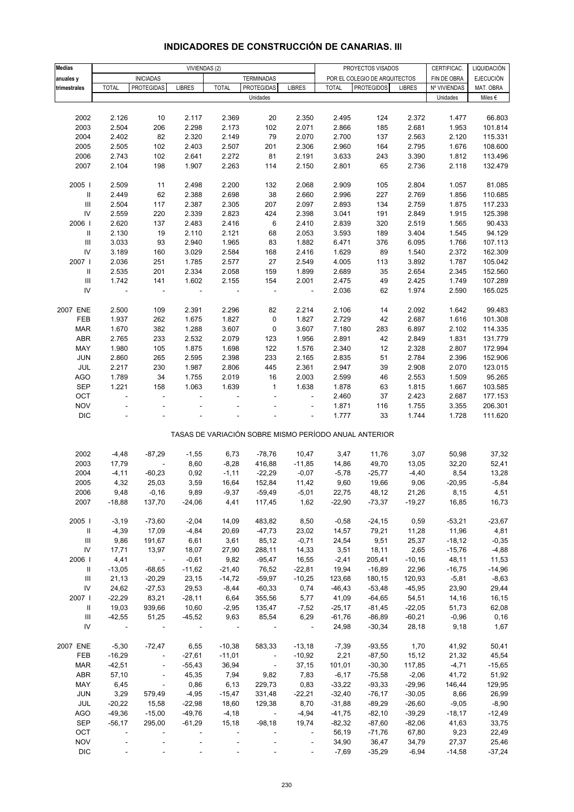| <b>Medias</b>                      |                          |                          | VIVIENDAS (2)            |                          |                          |                          |              | PROYECTOS VISADOS                                     |               | CERTIFICAC.  | LIQUIDACIÓN      |
|------------------------------------|--------------------------|--------------------------|--------------------------|--------------------------|--------------------------|--------------------------|--------------|-------------------------------------------------------|---------------|--------------|------------------|
| anuales y                          |                          | <b>INICIADAS</b>         |                          |                          | <b>TERMINADAS</b>        |                          |              | POR EL COLEGIO DE ARQUITECTOS                         |               | FIN DE OBRA  | <b>EJECUCIÓN</b> |
| trimestrales                       | <b>TOTAL</b>             | <b>PROTEGIDAS</b>        | <b>LIBRES</b>            | <b>TOTAL</b>             | <b>PROTEGIDAS</b>        | <b>LIBRES</b>            | <b>TOTAL</b> | <b>PROTEGIDOS</b>                                     | <b>LIBRES</b> | Nº VIVIENDAS | MAT. OBRA        |
|                                    |                          |                          |                          |                          | Unidades                 |                          |              |                                                       |               | Unidades     | Miles $\epsilon$ |
|                                    |                          |                          |                          |                          |                          |                          |              |                                                       |               |              |                  |
| 2002                               | 2.126                    | 10                       | 2.117                    | 2.369                    | 20                       | 2.350                    | 2.495        | 124                                                   | 2.372         | 1.477        | 66.803           |
| 2003                               | 2.504                    | 206                      | 2.298                    | 2.173                    | 102                      | 2.071                    | 2.866        | 185                                                   | 2.681         | 1.953        | 101.814          |
| 2004                               | 2.402                    | 82                       | 2.320                    | 2.149                    | 79                       | 2.070                    | 2.700        | 137                                                   | 2.563         | 2.120        | 115.331          |
| 2005                               | 2.505                    | 102                      | 2.403                    | 2.507                    | 201                      | 2.306                    | 2.960        | 164                                                   | 2.795         | 1.676        | 108.600          |
| 2006                               | 2.743                    | 102                      | 2.641                    | 2.272                    | 81                       | 2.191                    | 3.633        | 243                                                   | 3.390         | 1.812        | 113.496          |
| 2007                               | 2.104                    | 198                      | 1.907                    | 2.263                    | 114                      | 2.150                    | 2.801        | 65                                                    | 2.736         | 2.118        | 132.479          |
|                                    |                          |                          |                          |                          |                          |                          |              |                                                       |               |              |                  |
| 2005 l                             | 2.509                    | 11                       | 2.498                    | 2.200                    | 132                      | 2.068                    | 2.909        | 105                                                   | 2.804         | 1.057        | 81.085           |
| $\mathbf{II}$                      | 2.449                    | 62                       | 2.388                    | 2.698                    | 38                       | 2.660                    | 2.996        | 227                                                   | 2.769         | 1.856        | 110.685          |
| $\ensuremath{\mathsf{III}}\xspace$ | 2.504                    | 117                      | 2.387                    | 2.305                    | 207                      | 2.097                    | 2.893        | 134                                                   | 2.759         | 1.875        | 117.233          |
| ${\sf IV}$                         | 2.559                    | 220                      | 2.339                    | 2.823                    | 424                      | 2.398                    | 3.041        | 191                                                   | 2.849         | 1.915        | 125.398          |
| 2006                               | 2.620                    | 137                      | 2.483                    | 2.416                    | 6                        | 2.410                    | 2.839        | 320                                                   | 2.519         | 1.565        | 90.433           |
| $\mathbf{II}$                      | 2.130                    | 19                       | 2.110                    | 2.121                    | 68                       | 2.053                    | 3.593        | 189                                                   | 3.404         | 1.545        | 94.129           |
| $\ensuremath{\mathsf{III}}\xspace$ | 3.033                    | 93                       | 2.940                    | 1.965                    | 83                       | 1.882                    | 6.471        | 376                                                   | 6.095         | 1.766        | 107.113          |
| IV                                 | 3.189                    | 160                      | 3.029                    | 2.584                    | 168                      | 2.416                    | 1.629        | 89                                                    | 1.540         | 2.372        | 162.309          |
| 2007                               | 2.036                    | 251                      | 1.785                    | 2.577                    | 27                       | 2.549                    | 4.005        | 113                                                   | 3.892         | 1.787        | 105.042          |
| $\ensuremath{\mathsf{II}}$         | 2.535                    | 201                      | 2.334                    | 2.058                    | 159                      | 1.899                    | 2.689        | 35                                                    | 2.654         | 2.345        | 152.560          |
| $\ensuremath{\mathsf{III}}\xspace$ | 1.742                    | 141                      | 1.602                    | 2.155                    | 154                      | 2.001                    | 2.475        | 49                                                    | 2.425         | 1.749        | 107.289          |
| IV                                 |                          | ÷,                       | $\blacksquare$           |                          | $\blacksquare$           | $\overline{\phantom{a}}$ | 2.036        | 62                                                    | 1.974         | 2.590        | 165.025          |
|                                    |                          |                          |                          |                          |                          |                          |              |                                                       |               |              |                  |
| 2007 ENE                           | 2.500                    | 109                      | 2.391                    | 2.296                    | 82                       | 2.214                    | 2.106        | 14                                                    | 2.092         | 1.642        | 99.483           |
| FEB                                | 1.937                    | 262                      | 1.675                    | 1.827                    | 0                        | 1.827                    | 2.729        | 42                                                    | 2.687         | 1.616        | 101.308          |
| <b>MAR</b>                         | 1.670                    | 382                      | 1.288                    | 3.607                    | 0                        | 3.607                    | 7.180        | 283                                                   | 6.897         | 2.102        | 114.335          |
| <b>ABR</b>                         | 2.765                    | 233                      | 2.532                    | 2.079                    | 123                      | 1.956                    | 2.891        | 42                                                    | 2.849         | 1.831        | 131.779          |
| MAY                                | 1.980                    | 105                      | 1.875                    | 1.698                    | 122                      | 1.576                    | 2.340        | 12                                                    | 2.328         | 2.807        | 172.994          |
| JUN                                | 2.860                    | 265                      | 2.595                    | 2.398                    | 233                      | 2.165                    | 2.835        | 51                                                    | 2.784         | 2.396        | 152.906          |
| JUL                                | 2.217                    | 230                      | 1.987                    | 2.806                    | 445                      | 2.361                    | 2.947        | 39                                                    | 2.908         | 2.070        | 123.015          |
| <b>AGO</b>                         | 1.789                    | 34                       | 1.755                    | 2.019                    | 16                       | 2.003                    | 2.599        | 46                                                    | 2.553         | 1.509        | 95.265           |
| <b>SEP</b>                         | 1.221                    | 158                      | 1.063                    | 1.639                    | $\mathbf{1}$             | 1.638                    | 1.878        | 63                                                    | 1.815         | 1.667        | 103.585          |
| OCT                                | $\blacksquare$           | $\blacksquare$           | $\overline{\phantom{a}}$ | L,                       | ÷,                       | $\Box$                   | 2.460        | 37                                                    | 2.423         | 2.687        | 177.153          |
| <b>NOV</b>                         |                          |                          |                          |                          |                          | ÷                        | 1.871        | 116                                                   | 1.755         | 3.355        | 206.301          |
| <b>DIC</b>                         |                          |                          |                          |                          |                          | ÷                        | 1.777        | 33                                                    | 1.744         | 1.728        | 111.620          |
|                                    |                          |                          |                          |                          |                          |                          |              | TASAS DE VARIACIÓN SOBRE MISMO PERÍODO ANUAL ANTERIOR |               |              |                  |
|                                    |                          |                          |                          |                          |                          |                          |              |                                                       |               |              |                  |
| 2002                               | $-4,48$                  | $-87,29$                 | $-1,55$                  | 6,73                     | $-78,76$                 | 10,47                    | 3,47         | 11,76                                                 | 3,07          | 50,98        | 37,32            |
| 2003                               | 17,79                    | ÷,                       | 8,60                     | $-8,28$                  | 416,88                   | $-11,85$                 | 14,86        | 49,70                                                 | 13,05         | 32,20        | 52,41            |
| 2004                               | $-4, 11$                 | $-60,23$                 | 0,92                     | $-1,11$                  | $-22,29$                 | $-0,07$                  | $-5,78$      | $-25,77$                                              | $-4,40$       | 8,54         | 13,28            |
| 2005                               | 4,32                     | 25,03                    | 3,59                     | 16,64                    | 152,84                   | 11,42                    | 9,60         | 19,66                                                 | 9,06          | $-20,95$     | $-5,84$          |
| 2006                               | 9,48                     | $-0,16$                  | 9,89                     | -9,37                    | -59,49                   | $-5,01$                  | 22,75        | 48,12                                                 | 21,26         | 8,15         | 4,51             |
| 2007                               | $-18,88$                 | 137,70                   | $-24,06$                 | 4,41                     | 117,45                   | 1,62                     | $-22,90$     | $-73,37$                                              | $-19,27$      | 16,85        | 16,73            |
|                                    |                          |                          |                          |                          |                          |                          |              |                                                       |               |              |                  |
| 2005                               | $-3,19$                  | $-73,60$                 | $-2,04$                  | 14,09                    | 483,82                   | 8,50                     | $-0,58$      | $-24,15$                                              | 0,59          | $-53,21$     | $-23,67$         |
| $\mathbf{H}$                       | $-4,39$                  | 17,09                    | $-4,84$                  | 20,69                    | $-47,73$                 | 23,02                    | 14,57        | 79,21                                                 | 11,28         | 11,96        | 4,81             |
| Ш                                  | 9,86                     | 191,67                   | 6,61                     | 3,61                     | 85,12                    | $-0,71$                  | 24,54        | 9,51                                                  | 25,37         | $-18,12$     | $-0,35$          |
| IV                                 | 17,71                    | 13,97                    | 18,07                    | 27,90                    | 288,11                   | 14,33                    | 3,51         | 18,11                                                 | 2,65          | $-15,76$     | $-4,88$          |
| 2006                               | 4,41                     | $\sim 100$               | $-0,61$                  | 9,82                     | $-95,47$                 | 16,55                    | $-2,41$      | 205,41                                                | $-10,16$      | 48,11        | 11,53            |
| $\mathbf{II}$                      | $-13,05$                 | $-68,65$                 | $-11,62$                 | $-21,40$                 | 76,52                    | $-22,81$                 | 19,94        | $-16,89$                                              | 22,96         | $-16,75$     | $-14,96$         |
| Ш                                  | 21,13                    | $-20,29$                 | 23,15                    | $-14,72$                 | $-59,97$                 | $-10,25$                 | 123,68       | 180,15                                                | 120,93        | $-5,81$      | $-8,63$          |
| ${\sf IV}$                         | 24,62                    | $-27,53$                 | 29,53                    | $-8,44$                  | $-60,33$                 | 0,74                     | $-46,43$     | $-53,48$                                              | $-45,95$      | 23,90        | 29,44            |
| 2007                               | $-22,29$                 | 83,21                    | $-28,11$                 | 6,64                     | 355,56                   | 5,77                     | 41,09        | $-64,65$                                              | 54,51         | 14,16        | 16,15            |
| $\mathbf{H}$                       | 19,03                    | 939,66                   | 10,60                    | $-2,95$                  | 135,47                   | $-7,52$                  | $-25,17$     | $-81,45$                                              | $-22,05$      | 51,73        | 62,08            |
| Ш                                  | $-42,55$                 | 51,25                    | $-45,52$                 | 9,63                     | 85,54                    | 6,29                     | $-61,76$     | $-86,89$                                              | $-60,21$      | $-0,96$      | 0, 16            |
| IV                                 | $\overline{\phantom{a}}$ | $\blacksquare$           | $\blacksquare$           | $\overline{\phantom{a}}$ | $\overline{\phantom{a}}$ | $\sim$ 10 $\pm$          | 24,98        | $-30,34$                                              | 28,18         | 9,18         | 1,67             |
|                                    |                          |                          |                          |                          |                          |                          |              |                                                       |               |              |                  |
| 2007 ENE                           | $-5,30$                  | $-72,47$                 | 6,55                     | $-10,38$                 | 583,33                   | $-13,18$                 | $-7,39$      | $-93,55$                                              | 1,70          | 41,92        | 50,41            |
| FEB                                | $-16,29$                 | $\Box$                   | $-27,61$                 | $-11,01$                 | $\sim$                   | $-10,92$                 | 2,21         | $-87,50$                                              | 15, 12        | 21,32        | 45,54            |
| <b>MAR</b>                         | $-42,51$                 | $\overline{\phantom{a}}$ | $-55,43$                 | 36,94                    | $\sim$ $-$               | 37,15                    | 101,01       | $-30,30$                                              | 117,85        | $-4,71$      | $-15,65$         |
| <b>ABR</b>                         | 57,10                    | $\blacksquare$           | 45,35                    | 7,94                     | 9,82                     | 7,83                     | $-6,17$      | $-75,58$                                              | $-2,06$       | 41,72        | 51,92            |
| MAY                                | 6,45                     | $\blacksquare$           | 0,86                     | 6,13                     | 229,73                   | 0,83                     | $-33,22$     | $-93,33$                                              | $-29,96$      | 146,44       | 129,95           |
| JUN                                | 3,29                     | 579,49                   | $-4,95$                  | $-15,47$                 | 331,48                   | $-22,21$                 | $-32,40$     | $-76,17$                                              | $-30,05$      | 8,66         | 26,99            |
| JUL                                | $-20,22$                 | 15,58                    | $-22,98$                 | 18,60                    | 129,38                   | 8,70                     | $-31,88$     | $-89,29$                                              | $-26,60$      | $-9,05$      | $-8,90$          |
| AGO                                | $-49,36$                 | $-15,00$                 | $-49,76$                 | $-4,18$                  | $\overline{\phantom{a}}$ | $-4,94$                  | $-41,75$     | $-82,10$                                              | $-39,29$      | $-18,17$     | $-12,49$         |
| <b>SEP</b>                         | $-56,17$                 | 295,00                   | $-61,29$                 | 15,18                    | $-98,18$                 | 19,74                    | $-82,32$     | $-87,60$                                              | $-82,06$      | 41,63        | 33,75            |
| OCT                                |                          | $\bar{a}$                | $\overline{\phantom{a}}$ |                          |                          | $\overline{\phantom{a}}$ | 56,19        | $-71,76$                                              | 67,80         | 9,23         | 22,49            |
| <b>NOV</b>                         |                          |                          |                          |                          |                          | $\overline{\phantom{a}}$ | 34,90        | 36,47                                                 | 34,79         | 27,37        | 25,46            |
| <b>DIC</b>                         |                          |                          |                          |                          |                          |                          | $-7,69$      | $-35,29$                                              | $-6,94$       | $-14,58$     | $-37,24$         |

# **INDICADORES DE CONSTRUCCIÓN DE CANARIAS. III**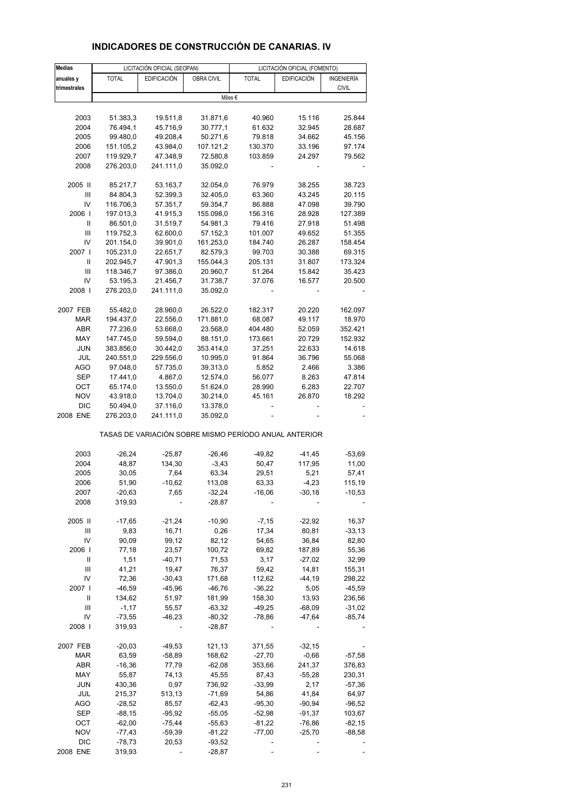| <b>Medias</b> | LICITACIÓN OFICIAL (SEOPAN) |                       |                      | LICITACIÓN OFICIAL (FOMENTO)                          |                    |              |  |
|---------------|-----------------------------|-----------------------|----------------------|-------------------------------------------------------|--------------------|--------------|--|
| anuales y     | <b>TOTAL</b>                | <b>EDIFICACIÓN</b>    | OBRA CIVIL           | <b>TOTAL</b>                                          | <b>EDIFICACIÓN</b> | INGENIERÍA   |  |
| trimestrales  |                             |                       |                      |                                                       |                    | <b>CIVIL</b> |  |
|               |                             |                       |                      | Miles €                                               |                    |              |  |
|               |                             |                       |                      |                                                       |                    |              |  |
| 2003          | 51.383,3                    | 19.511,8              | 31.871,6             | 40.960                                                | 15.116             | 25.844       |  |
| 2004          | 76.494,1                    | 45.716,9              | 30.777,1             | 61.632                                                | 32.945             | 28.687       |  |
| 2005          | 99.480,0                    | 49.208,4              | 50.271,6             | 79.818                                                | 34.662             | 45.156       |  |
| 2006          | 151.105,2                   | 43.984,0              | 107.121,2            | 130.370                                               | 33.196             | 97.174       |  |
| 2007          | 119.929,7                   | 47.348,9              | 72.580,8             | 103.859                                               | 24.297             | 79.562       |  |
| 2008          | 276.203,0                   | 241.111,0             | 35.092,0             |                                                       |                    |              |  |
| 2005 II       | 85.217,7                    | 53.163,7              | 32.054,0             | 76.979                                                | 38.255             | 38.723       |  |
| Ш             | 84.804,3                    | 52.399,3              | 32.405,0             | 63.360                                                | 43.245             | 20.115       |  |
| IV            | 116.706,3                   | 57.351,7              | 59.354,7             | 86.888                                                | 47.098             | 39.790       |  |
| 2006          | 197.013,3                   | 41.915,3              | 155.098,0            | 156.316                                               | 28.928             | 127.389      |  |
| Ш             | 86.501,0                    | 31.519,7              | 54.981,3             | 79.416                                                | 27.918             | 51.498       |  |
| Ш             | 119.752,3                   | 62.600,0              | 57.152,3             | 101.007                                               | 49.652             | 51.355       |  |
| IV            | 201.154,0                   | 39.901,0              | 161.253,0            | 184.740                                               | 26.287             | 158.454      |  |
| 2007 I        | 105.231,0                   | 22.651,7              | 82.579,3             | 99.703                                                | 30.388             | 69.315       |  |
| Ш             | 202.945,7                   | 47.901,3              | 155.044,3            | 205.131                                               | 31.807             | 173.324      |  |
| Ш             |                             | 97.386,0              |                      | 51.264                                                | 15.842             |              |  |
|               | 118.346,7                   |                       | 20.960,7             |                                                       |                    | 35.423       |  |
| IV            | 53.195,3                    | 21.456,7              | 31.738,7             | 37.076                                                | 16.577             | 20.500       |  |
| 2008          | 276.203,0                   | 241.111,0             | 35.092,0             |                                                       |                    |              |  |
| 2007 FEB      | 55.482,0                    | 28.960,0              | 26.522,0             | 182.317                                               | 20.220             | 162.097      |  |
| <b>MAR</b>    | 194.437,0                   | 22.556,0              | 171.881,0            | 68.087                                                | 49.117             | 18.970       |  |
| ABR           | 77.236,0                    | 53.668,0              | 23.568,0             | 404.480                                               | 52.059             | 352.421      |  |
| MAY           | 147.745,0                   | 59.594,0              | 88.151,0             | 173.661                                               | 20.729             | 152.932      |  |
| <b>JUN</b>    | 383.856,0                   | 30.442,0              | 353.414,0            | 37.251                                                | 22.633             | 14.618       |  |
| JUL           | 240.551,0                   | 229.556,0             | 10.995,0             | 91.864                                                | 36.796             | 55.068       |  |
| AGO           | 97.048,0                    | 57.735,0              | 39.313,0             | 5.852                                                 | 2.466              | 3.386        |  |
| SEP           | 17.441,0                    | 4.867,0               | 12.574,0             | 56.077                                                | 8.263              | 47.814       |  |
| OCT           | 65.174,0                    | 13.550,0              | 51.624,0             | 28.990                                                | 6.283              | 22.707       |  |
| <b>NOV</b>    | 43.918,0                    | 13.704,0              | 30.214,0             | 45.161                                                | 26.870             | 18.292       |  |
| DIC           |                             |                       |                      |                                                       |                    |              |  |
| 2008 ENE      | 50.494,0<br>276.203,0       | 37.116,0<br>241.111,0 | 13.378,0<br>35.092,0 |                                                       |                    |              |  |
|               |                             |                       |                      | TASAS DE VARIACIÓN SOBRE MISMO PERÍODO ANUAL ANTERIOR |                    |              |  |
| 2003          | $-26,24$                    | $-25,87$              | $-26,46$             | $-49,82$                                              | $-41,45$           | $-53,69$     |  |
| 2004          | 48,87                       | 134,30                |                      | 50,47                                                 | 117,95             | 11,00        |  |
|               |                             |                       | $-3,43$              |                                                       |                    |              |  |
| 2005          | 30,05                       | 7,64                  | 63,34                | 29,51                                                 | 5,21               | 57,41        |  |
| 2006          | 51,90                       | $-10,62$              | 113,08               | 63,33                                                 | $-4,23$            | 115,19       |  |
| 2007          | $-20.63$                    | 7,65                  | $-32,24$             | $-16,06$                                              | $-30,18$           | $-10,53$     |  |
| 2008          | 319,93                      |                       | $-28,87$             |                                                       |                    |              |  |
| 2005 II       | $-17,65$                    | $-21,24$              | $-10,90$             | $-7,15$                                               | $-22,92$           | 16,37        |  |
| Ш             | 9,83                        | 16,71                 | 0,26                 | 17,34                                                 | 80,81              | $-33,13$     |  |
| IV            | 90,09                       | 99,12                 | 82,12                | 54,65                                                 | 36,84              | 82,80        |  |
| 2006          | 77,18                       | 23,57                 | 100,72               | 69,82                                                 | 187,89             | 55,36        |  |
| Ш             | 1,51                        | $-40,71$              | 71,53                | 3,17                                                  | $-27,02$           | 32,99        |  |
| Ш             | 41,21                       | 19,47                 | 76,37                | 59,42                                                 | 14,81              | 155,31       |  |
| IV            | 72,36                       | $-30,43$              | 171,68               | 112,62                                                | -44,19             | 298,22       |  |
| 2007          | $-46,59$                    | $-45,96$              | -46,76               | $-36,22$                                              | 5,05               | $-45,59$     |  |
| Ш             | 134,62                      | 51,97                 | 181,99               | 158,30                                                | 13,93              | 236,56       |  |
| Ш             | $-1,17$                     | 55,57                 | $-63,32$             | $-49,25$                                              | $-68,09$           | $-31,02$     |  |
| IV            | $-73,55$                    | $-46,23$              | $-80,32$             | $-78,86$                                              | -47,64             | $-85,74$     |  |
|               |                             |                       |                      |                                                       |                    |              |  |
| 2008          | 319,93                      |                       | -28,87               |                                                       |                    |              |  |
| 2007 FEB      | $-20,03$                    | $-49,53$              | 121,13               | 371,55                                                | $-32,15$           |              |  |
| MAR           | 63,59                       | $-58,89$              | 168,62               | $-27,70$                                              | $-0,66$            | $-57,58$     |  |
| ABR           | $-16,36$                    | 77,79                 | $-62,08$             | 353,66                                                | 241,37             | 376,83       |  |
| MAY           | 55,87                       | 74,13                 | 45,55                | 87,43                                                 | $-55,28$           | 230,31       |  |
| <b>JUN</b>    | 430,36                      | 0,97                  | 736,92               | $-33,99$                                              | 2,17               | $-57,36$     |  |
| JUL           | 215,37                      | 513,13                | $-71,69$             | 54,86                                                 | 41,84              | 64,97        |  |
| AGO           | $-28,52$                    | 85,57                 | $-62,43$             | $-95,30$                                              | $-90,94$           | $-96,52$     |  |
| <b>SEP</b>    | $-88,15$                    | $-95,92$              | $-55,05$             | $-52,98$                                              | -91,37             | 103,67       |  |
| OCT           | $-62,00$                    | $-75,44$              | $-55,63$             | $-81,22$                                              | $-76,86$           | $-82,15$     |  |
| <b>NOV</b>    | -77,43                      | $-59,39$              | $-81,22$             | $-77,00$                                              | $-25,70$           | $-88,58$     |  |
| <b>DIC</b>    | $-78,73$                    | 20,53                 | $-93,52$             |                                                       |                    |              |  |
| 2008 ENE      |                             |                       |                      |                                                       |                    |              |  |
|               | 319,93                      |                       | $-28,87$             |                                                       |                    |              |  |

# **INDICADORES DE CONSTRUCCIÓN DE CANARIAS. IV**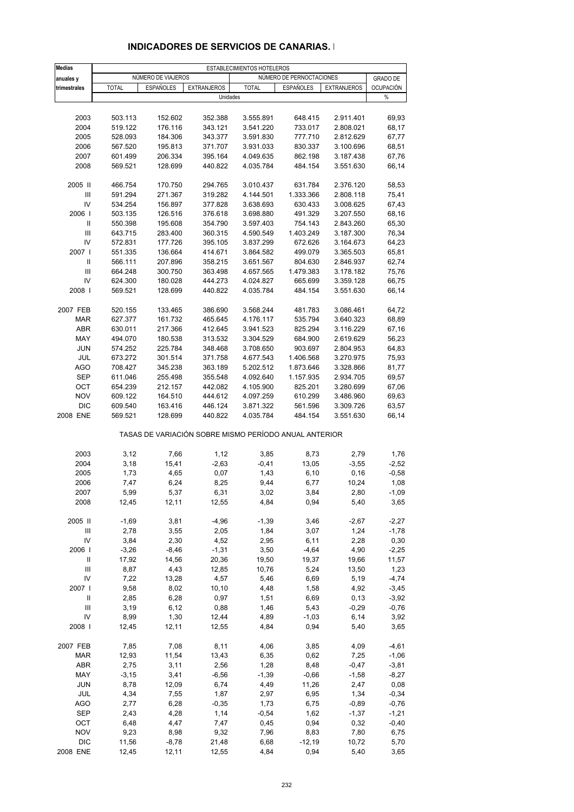| <b>Medias</b>                      | ESTABLECIMIENTOS HOTELEROS |                    |                    |                                                       |                          |                    |                  |  |  |
|------------------------------------|----------------------------|--------------------|--------------------|-------------------------------------------------------|--------------------------|--------------------|------------------|--|--|
| anuales y                          |                            | NÚMERO DE VIAJEROS |                    |                                                       | NÚMERO DE PERNOCTACIONES |                    | <b>GRADO DE</b>  |  |  |
| trimestrales                       | <b>TOTAL</b>               | <b>ESPAÑOLES</b>   | <b>EXTRANJEROS</b> | <b>TOTAL</b>                                          | <b>ESPAÑOLES</b>         | <b>EXTRANJEROS</b> | <b>OCUPACIÓN</b> |  |  |
|                                    |                            |                    | Unidades           |                                                       |                          |                    | %                |  |  |
|                                    |                            |                    |                    |                                                       |                          |                    |                  |  |  |
|                                    |                            |                    |                    |                                                       |                          |                    |                  |  |  |
| 2003                               | 503.113                    | 152.602            | 352.388            | 3.555.891                                             | 648.415                  | 2.911.401          | 69,93            |  |  |
| 2004                               | 519.122                    | 176.116            | 343.121            | 3.541.220                                             | 733.017                  | 2.808.021          | 68,17            |  |  |
| 2005                               | 528.093                    | 184.306            | 343.377            | 3.591.830                                             | 777.710                  | 2.812.629          | 67,77            |  |  |
| 2006                               | 567.520                    | 195.813            | 371.707            | 3.931.033                                             | 830.337                  | 3.100.696          | 68,51            |  |  |
| 2007                               | 601.499                    | 206.334            | 395.164            | 4.049.635                                             | 862.198                  | 3.187.438          | 67,76            |  |  |
| 2008                               | 569.521                    | 128.699            | 440.822            | 4.035.784                                             | 484.154                  | 3.551.630          | 66,14            |  |  |
|                                    |                            |                    |                    |                                                       |                          |                    |                  |  |  |
| 2005 II                            | 466.754                    | 170.750            | 294.765            | 3.010.437                                             | 631.784                  | 2.376.120          | 58,53            |  |  |
| Ш                                  | 591.294                    | 271.367            | 319.282            | 4.144.501                                             | 1.333.366                | 2.808.118          | 75,41            |  |  |
| IV                                 | 534.254                    | 156.897            | 377.828            | 3.638.693                                             | 630.433                  | 3.008.625          | 67,43            |  |  |
| 2006                               | 503.135                    | 126.516            | 376.618            | 3.698.880                                             | 491.329                  | 3.207.550          | 68,16            |  |  |
| Ш                                  | 550.398                    | 195.608            | 354.790            | 3.597.403                                             | 754.143                  | 2.843.260          | 65,30            |  |  |
| Ш                                  | 643.715                    | 283.400            | 360.315            | 4.590.549                                             | 1.403.249                | 3.187.300          | 76,34            |  |  |
| IV                                 | 572.831                    | 177.726            | 395.105            | 3.837.299                                             | 672.626                  | 3.164.673          | 64,23            |  |  |
| 2007 l                             | 551.335                    | 136.664            | 414.671            | 3.864.582                                             | 499.079                  | 3.365.503          | 65,81            |  |  |
| $\sf II$                           | 566.111                    | 207.896            | 358.215            | 3.651.567                                             | 804.630                  | 2.846.937          | 62,74            |  |  |
| $\ensuremath{\mathsf{III}}\xspace$ |                            | 300.750            | 363.498            | 4.657.565                                             | 1.479.383                |                    | 75,76            |  |  |
|                                    | 664.248                    |                    |                    |                                                       |                          | 3.178.182          |                  |  |  |
| IV                                 | 624.300                    | 180.028            | 444.273            | 4.024.827                                             | 665.699                  | 3.359.128          | 66,75            |  |  |
| 2008                               | 569.521                    | 128.699            | 440.822            | 4.035.784                                             | 484.154                  | 3.551.630          | 66,14            |  |  |
|                                    |                            |                    |                    |                                                       |                          |                    |                  |  |  |
| 2007 FEB                           | 520.155                    | 133.465            | 386.690            | 3.568.244                                             | 481.783                  | 3.086.461          | 64,72            |  |  |
| <b>MAR</b>                         | 627.377                    | 161.732            | 465.645            | 4.176.117                                             | 535.794                  | 3.640.323          | 68,89            |  |  |
| <b>ABR</b>                         | 630.011                    | 217.366            | 412.645            | 3.941.523                                             | 825.294                  | 3.116.229          | 67,16            |  |  |
| MAY                                | 494.070                    | 180.538            | 313.532            | 3.304.529                                             | 684.900                  | 2.619.629          | 56,23            |  |  |
| <b>JUN</b>                         | 574.252                    | 225.784            | 348.468            | 3.708.650                                             | 903.697                  | 2.804.953          | 64,83            |  |  |
| JUL                                | 673.272                    | 301.514            | 371.758            | 4.677.543                                             | 1.406.568                | 3.270.975          | 75,93            |  |  |
| <b>AGO</b>                         | 708.427                    | 345.238            | 363.189            | 5.202.512                                             | 1.873.646                | 3.328.866          | 81,77            |  |  |
| <b>SEP</b>                         | 611.046                    | 255.498            | 355.548            | 4.092.640                                             | 1.157.935                | 2.934.705          | 69,57            |  |  |
| OCT                                | 654.239                    | 212.157            | 442.082            | 4.105.900                                             | 825.201                  | 3.280.699          | 67,06            |  |  |
| <b>NOV</b>                         | 609.122                    | 164.510            | 444.612            | 4.097.259                                             | 610.299                  | 3.486.960          | 69,63            |  |  |
| <b>DIC</b>                         | 609.540                    | 163.416            | 446.124            | 3.871.322                                             | 561.596                  | 3.309.726          | 63,57            |  |  |
| 2008 ENE                           | 569.521                    | 128.699            | 440.822            | 4.035.784                                             | 484.154                  | 3.551.630          | 66,14            |  |  |
|                                    |                            |                    |                    | TASAS DE VARIACIÓN SOBRE MISMO PERÍODO ANUAL ANTERIOR |                          |                    |                  |  |  |
|                                    |                            |                    |                    |                                                       |                          |                    |                  |  |  |
| 2003                               | 3,12                       | 7,66               | 1,12               | 3,85                                                  | 8,73                     | 2,79               | 1,76             |  |  |
| 2004                               | 3,18                       | 15,41              | $-2,63$            | $-0,41$                                               | 13,05                    | $-3,55$            | $-2,52$          |  |  |
| 2005                               | 1,73                       | 4,65               | 0,07               | 1,43                                                  | 6, 10                    | 0, 16              | $-0,58$          |  |  |
| 2006                               | 7,47                       | 6,24               | 8,25               | 9,44                                                  | 6,77                     | 10,24              | 1,08             |  |  |
| 2007                               | 5,99                       | 5,37               | 6,31               | 3,02                                                  | 3,84                     | 2,80               | $-1,09$          |  |  |
| 2008                               | 12,45                      | 12,11              | 12,55              | 4,84                                                  | 0,94                     | 5,40               | 3,65             |  |  |
|                                    |                            |                    |                    |                                                       |                          |                    |                  |  |  |
| 2005 II                            | $-1,69$                    | 3,81               | $-4,96$            | $-1,39$                                               | 3,46                     | $-2,67$            | $-2,27$          |  |  |
| Ш                                  | 2,78                       | 3,55               | 2,05               | 1,84                                                  | 3,07                     | 1,24               | $-1,78$          |  |  |
| IV                                 | 3,84                       | 2,30               | 4,52               | 2,95                                                  | 6,11                     | 2,28               | 0,30             |  |  |
| 2006                               | $-3,26$                    | $-8,46$            | $-1,31$            | 3,50                                                  | $-4,64$                  | 4,90               | $-2,25$          |  |  |
| Ш                                  | 17,92                      | 14,56              | 20,36              | 19,50                                                 | 19,37                    | 19,66              | 11,57            |  |  |
| $\ensuremath{\mathsf{III}}\xspace$ | 8,87                       | 4,43               | 12,85              | 10,76                                                 | 5,24                     | 13,50              | 1,23             |  |  |
| IV                                 | 7,22                       | 13,28              | 4,57               | 5,46                                                  | 6,69                     | 5,19               | $-4,74$          |  |  |
| 2007                               | 9,58                       | 8,02               | 10, 10             | 4,48                                                  | 1,58                     | 4,92               | $-3,45$          |  |  |
|                                    |                            |                    |                    |                                                       |                          |                    |                  |  |  |
| Ш                                  | 2,85                       | 6,28               | 0,97               | 1,51                                                  | 6,69                     | 0, 13              | $-3,92$          |  |  |
| Ш                                  | 3,19                       | 6,12               | 0,88               | 1,46                                                  | 5,43                     | $-0,29$            | $-0,76$          |  |  |
| IV                                 | 8,99                       | 1,30               | 12,44              | 4,89                                                  | $-1,03$                  | 6,14               | 3,92             |  |  |
| 2008                               | 12,45                      | 12,11              | 12,55              | 4,84                                                  | 0,94                     | 5,40               | 3,65             |  |  |
| 2007 FEB                           | 7,85                       | 7,08               | 8,11               | 4,06                                                  | 3,85                     | 4,09               | $-4,61$          |  |  |
| MAR                                | 12,93                      | 11,54              | 13,43              | 6,35                                                  | 0,62                     | 7,25               | $-1,06$          |  |  |
| ABR                                | 2,75                       | 3,11               | 2,56               | 1,28                                                  | 8,48                     | $-0,47$            | $-3,81$          |  |  |
| MAY                                | $-3,15$                    | 3,41               | $-6,56$            | $-1,39$                                               | $-0,66$                  | $-1,58$            | $-8,27$          |  |  |
| <b>JUN</b>                         | 8,78                       | 12,09              | 6,74               | 4,49                                                  | 11,26                    | 2,47               | 0,08             |  |  |
| JUL                                | 4,34                       | 7,55               | 1,87               | 2,97                                                  | 6,95                     | 1,34               | $-0,34$          |  |  |
| AGO                                | 2,77                       | 6,28               |                    |                                                       | 6,75                     |                    |                  |  |  |
|                                    |                            |                    | $-0,35$            | 1,73                                                  |                          | $-0,89$            | $-0,76$          |  |  |
| SEP                                | 2,43                       | 4,28               | 1,14               | $-0,54$                                               | 1,62                     | $-1,37$            | $-1,21$          |  |  |
| OCT                                | 6,48                       | 4,47               | 7,47               | 0,45                                                  | 0,94                     | 0,32               | $-0,40$          |  |  |
| <b>NOV</b>                         | 9,23                       | 8,98               | 9,32               | 7,96                                                  | 8,83                     | 7,80               | 6,75             |  |  |
| <b>DIC</b>                         | 11,56                      | $-8,78$            | 21,48              | 6,68                                                  | $-12,19$                 | 10,72              | 5,70             |  |  |
| 2008 ENE                           | 12,45                      | 12,11              | 12,55              | 4,84                                                  | 0,94                     | 5,40               | 3,65             |  |  |

## **INDICADORES DE SERVICIOS DE CANARIAS. I**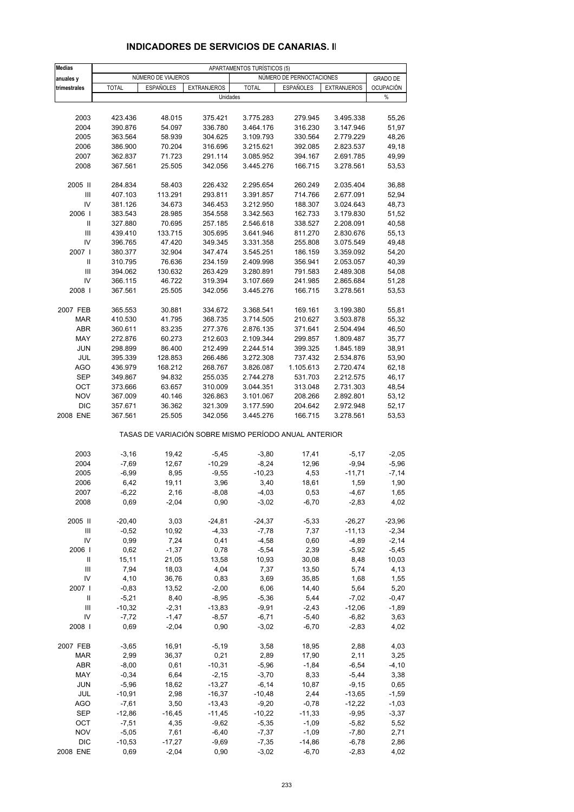| <b>Medias</b>                      | APARTAMENTOS TURÍSTICOS (5) |                    |                                                       |                     |                          |                      |                     |
|------------------------------------|-----------------------------|--------------------|-------------------------------------------------------|---------------------|--------------------------|----------------------|---------------------|
| anuales y                          |                             | NÚMERO DE VIAJEROS |                                                       |                     | NÚMERO DE PERNOCTACIONES |                      | <b>GRADO DE</b>     |
| trimestrales                       | <b>TOTAL</b>                | <b>ESPAÑOLES</b>   | <b>EXTRANJEROS</b>                                    | <b>TOTAL</b>        | <b>ESPAÑOLES</b>         | <b>EXTRANJEROS</b>   | <b>OCUPACIÓN</b>    |
|                                    |                             |                    | Unidades                                              |                     |                          |                      | %                   |
|                                    |                             |                    |                                                       |                     |                          |                      |                     |
| 2003                               | 423.436                     | 48.015             | 375.421                                               | 3.775.283           | 279.945                  | 3.495.338            | 55,26               |
| 2004                               | 390.876                     | 54.097             | 336.780                                               | 3.464.176           | 316.230                  | 3.147.946            | 51,97               |
| 2005                               | 363.564                     | 58.939             | 304.625                                               | 3.109.793           | 330.564                  | 2.779.229            | 48,26               |
| 2006                               | 386.900                     | 70.204             | 316.696                                               | 3.215.621           | 392.085                  | 2.823.537            | 49,18               |
| 2007                               | 362.837                     | 71.723             | 291.114                                               | 3.085.952           | 394.167                  | 2.691.785            | 49,99               |
| 2008                               | 367.561                     | 25.505             | 342.056                                               | 3.445.276           | 166.715                  | 3.278.561            | 53,53               |
|                                    |                             |                    |                                                       |                     |                          |                      |                     |
| 2005 II                            | 284.834                     | 58.403             | 226.432                                               | 2.295.654           | 260.249                  | 2.035.404            | 36,88               |
| $\ensuremath{\mathsf{III}}\xspace$ | 407.103                     | 113.291            | 293.811                                               | 3.391.857           | 714.766                  | 2.677.091            | 52,94               |
| IV                                 | 381.126                     | 34.673             | 346.453                                               | 3.212.950           | 188.307                  | 3.024.643            | 48,73               |
| 2006                               | 383.543                     | 28.985             | 354.558                                               | 3.342.563           | 162.733                  | 3.179.830            | 51,52               |
| Ш                                  | 327.880                     | 70.695             | 257.185                                               | 2.546.618           | 338.527                  | 2.208.091            | 40,58               |
| Ш                                  | 439.410                     | 133.715            | 305.695                                               | 3.641.946           | 811.270                  | 2.830.676            | 55,13               |
| IV                                 | 396.765                     | 47.420             | 349.345                                               | 3.331.358           | 255.808                  | 3.075.549            | 49,48               |
| 2007                               | 380.377                     | 32.904             | 347.474                                               | 3.545.251           | 186.159                  | 3.359.092            | 54,20               |
| Ш                                  | 310.795                     | 76.636             | 234.159                                               | 2.409.998           | 356.941                  | 2.053.057            | 40,39               |
| III                                | 394.062                     | 130.632            | 263.429                                               | 3.280.891           | 791.583                  | 2.489.308            | 54,08               |
| IV                                 | 366.115                     | 46.722             | 319.394                                               | 3.107.669           | 241.985                  | 2.865.684            | 51,28               |
| 2008                               | 367.561                     | 25.505             | 342.056                                               | 3.445.276           | 166.715                  | 3.278.561            | 53,53               |
|                                    |                             |                    |                                                       |                     |                          |                      |                     |
| 2007 FEB                           | 365.553                     | 30.881             | 334.672                                               | 3.368.541           | 169.161                  | 3.199.380            | 55,81               |
| <b>MAR</b>                         | 410.530                     | 41.795             | 368.735                                               | 3.714.505           | 210.627                  | 3.503.878            | 55,32               |
| ABR                                | 360.611                     | 83.235             | 277.376                                               | 2.876.135           | 371.641                  | 2.504.494            | 46,50               |
| MAY                                | 272.876                     | 60.273             | 212.603                                               | 2.109.344           | 299.857                  | 1.809.487            | 35,77               |
| <b>JUN</b>                         | 298.899                     | 86.400             | 212.499                                               | 2.244.514           | 399.325                  | 1.845.189            | 38,91               |
| JUL                                | 395.339                     | 128.853            | 266.486                                               | 3.272.308           | 737.432                  | 2.534.876            | 53,90               |
| <b>AGO</b>                         | 436.979                     | 168.212            | 268.767                                               | 3.826.087           | 1.105.613                | 2.720.474            | 62,18               |
| <b>SEP</b>                         | 349.867                     | 94.832             | 255.035                                               | 2.744.278           | 531.703                  | 2.212.575            | 46,17               |
| OCT                                | 373.666                     | 63.657             | 310.009                                               | 3.044.351           | 313.048                  | 2.731.303            | 48,54               |
| <b>NOV</b>                         | 367.009                     | 40.146             | 326.863                                               | 3.101.067           | 208.266                  | 2.892.801            | 53,12               |
| <b>DIC</b>                         | 357.671                     | 36.362             | 321.309                                               | 3.177.590           | 204.642                  | 2.972.948            | 52,17               |
| 2008 ENE                           | 367.561                     | 25.505             | 342.056                                               | 3.445.276           | 166.715                  | 3.278.561            | 53,53               |
|                                    |                             |                    | TASAS DE VARIACIÓN SOBRE MISMO PERÍODO ANUAL ANTERIOR |                     |                          |                      |                     |
| 2003                               | $-3,16$                     | 19,42              | $-5,45$                                               | $-3,80$             | 17,41                    | $-5,17$              | $-2,05$             |
| 2004                               | $-7,69$                     | 12,67              | $-10,29$                                              | $-8,24$             | 12,96                    | $-9,94$              | $-5,96$             |
| 2005                               | $-6,99$                     | 8,95               | $-9,55$                                               | $-10,23$            | 4,53                     | $-11,71$             | $-7,14$             |
| 2006                               | 6,42                        | 19,11              | 3,96                                                  | 3,40                | 18,61                    | 1,59                 | 1,90                |
| 2007                               | $-6,22$                     | 2,16               | $-8,08$                                               | $-4,03$             | 0,53                     | $-4,67$              | 1,65                |
| 2008                               | 0,69                        | $-2,04$            | 0,90                                                  | $-3,02$             | $-6,70$                  | $-2,83$              | 4,02                |
|                                    |                             |                    |                                                       |                     |                          |                      |                     |
| 2005 II<br>Ш                       | $-20,40$<br>$-0,52$         | 3,03<br>10,92      | $-24,81$<br>$-4,33$                                   | $-24,37$<br>$-7,78$ | $-5,33$<br>7,37          | $-26,27$<br>$-11,13$ | $-23,96$<br>$-2,34$ |
| IV                                 | 0,99                        | 7,24               | 0,41                                                  | $-4,58$             | 0,60                     | $-4,89$              | $-2,14$             |
| 2006                               | 0,62                        | $-1,37$            | 0,78                                                  | $-5,54$             | 2,39                     | $-5,92$              | $-5,45$             |
| Ш                                  | 15,11                       | 21,05              | 13,58                                                 | 10,93               | 30,08                    | 8,48                 | 10,03               |
| Ш                                  | 7,94                        | 18,03              | 4,04                                                  | 7,37                | 13,50                    | 5,74                 | 4,13                |
| IV                                 | 4,10                        | 36,76              | 0,83                                                  | 3,69                | 35,85                    | 1,68                 | 1,55                |
| 2007 l                             | $-0.83$                     | 13,52              | $-2,00$                                               | 6,06                | 14,40                    | 5,64                 | 5,20                |
| Ш                                  | $-5,21$                     | 8,40               | $-8,95$                                               | $-5,36$             | 5,44                     | $-7,02$              | $-0,47$             |
| Ш                                  | $-10,32$                    | $-2,31$            | $-13,83$                                              | $-9,91$             | $-2,43$                  | $-12,06$             | $-1,89$             |
| IV                                 | $-7,72$                     | $-1,47$            | $-8,57$                                               | $-6,71$             | $-5,40$                  | $-6,82$              | 3,63                |
| 2008                               | 0,69                        | $-2,04$            | 0,90                                                  | $-3,02$             | $-6,70$                  | $-2,83$              | 4,02                |
|                                    |                             |                    |                                                       |                     |                          |                      |                     |
| 2007 FEB                           | $-3,65$                     | 16,91              | $-5,19$                                               | 3,58                | 18,95                    | 2,88                 | 4,03                |
| MAR                                | 2,99                        | 36,37              | 0,21                                                  | 2,89                | 17,90                    | 2,11                 | 3,25                |
| ABR                                | $-8,00$                     | 0,61               | $-10,31$                                              | $-5,96$             | $-1,84$                  | $-6,54$              | $-4, 10$            |
| MAY                                | $-0,34$                     | 6,64               | $-2,15$                                               | $-3,70$             | 8,33                     | $-5,44$              | 3,38                |
| <b>JUN</b>                         | $-5,96$                     | 18,62              | $-13,27$                                              | $-6, 14$            | 10,87                    | $-9,15$              | 0,65                |
| JUL                                | $-10,91$                    | 2,98               | $-16,37$                                              | $-10,48$            | 2,44                     | $-13,65$             | $-1,59$             |
| AGO                                | $-7,61$                     | 3,50               | $-13,43$                                              | $-9,20$             | $-0,78$                  | $-12,22$             | $-1,03$             |
| SEP                                | $-12,86$                    | $-16,45$           | $-11,45$                                              | $-10,22$            | $-11,33$                 | $-9,95$              | $-3,37$             |
| OCT                                | $-7,51$                     | 4,35               | $-9,62$                                               | $-5,35$             | $-1,09$                  | $-5,82$              | 5,52                |
| <b>NOV</b>                         | $-5,05$                     | 7,61               | $-6,40$                                               | $-7,37$             | $-1,09$                  | $-7,80$              | 2,71                |
| <b>DIC</b>                         | $-10,53$                    | $-17,27$           | $-9,69$                                               | $-7,35$             | $-14,86$                 | $-6,78$              | 2,86                |
| 2008 ENE                           | 0,69                        | $-2,04$            | 0,90                                                  | $-3,02$             | $-6,70$                  | $-2,83$              | 4,02                |

## **INDICADORES DE SERVICIOS DE CANARIAS. II**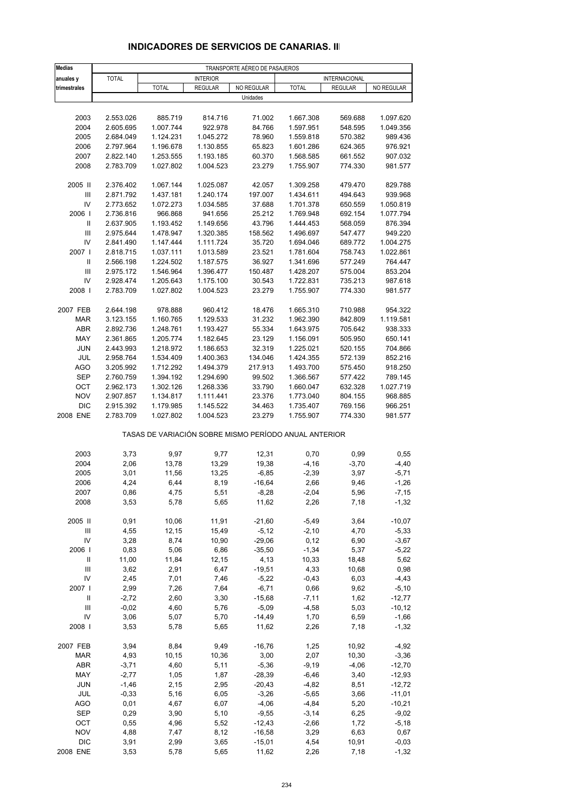| <b>Medias</b>                            | TRANSPORTE AÉREO DE PASAJEROS |                                                       |                        |                     |                        |                    |                    |  |  |
|------------------------------------------|-------------------------------|-------------------------------------------------------|------------------------|---------------------|------------------------|--------------------|--------------------|--|--|
| anuales y                                | <b>TOTAL</b>                  |                                                       | <b>INTERIOR</b>        |                     |                        | INTERNACIONAL      |                    |  |  |
| trimestrales                             |                               | <b>TOTAL</b>                                          | <b>REGULAR</b>         | NO REGULAR          | <b>TOTAL</b>           | <b>REGULAR</b>     | NO REGULAR         |  |  |
|                                          |                               |                                                       |                        | Unidades            |                        |                    |                    |  |  |
|                                          |                               |                                                       |                        |                     |                        |                    |                    |  |  |
| 2003                                     | 2.553.026                     | 885.719                                               | 814.716                | 71.002              | 1.667.308              | 569.688            | 1.097.620          |  |  |
| 2004                                     | 2.605.695                     | 1.007.744                                             | 922.978                | 84.766              | 1.597.951              | 548.595            | 1.049.356          |  |  |
| 2005                                     | 2.684.049                     | 1.124.231                                             | 1.045.272              | 78.960              | 1.559.818              | 570.382            | 989.436            |  |  |
| 2006<br>2007                             | 2.797.964<br>2.822.140        | 1.196.678<br>1.253.555                                | 1.130.855<br>1.193.185 | 65.823<br>60.370    | 1.601.286<br>1.568.585 | 624.365<br>661.552 | 976.921<br>907.032 |  |  |
| 2008                                     | 2.783.709                     | 1.027.802                                             | 1.004.523              | 23.279              | 1.755.907              | 774.330            | 981.577            |  |  |
|                                          |                               |                                                       |                        |                     |                        |                    |                    |  |  |
| 2005 II                                  | 2.376.402                     | 1.067.144                                             | 1.025.087              | 42.057              | 1.309.258              | 479.470            | 829.788            |  |  |
| Ш                                        | 2.871.792                     | 1.437.181                                             | 1.240.174              | 197.007             | 1.434.611              | 494.643            | 939.968            |  |  |
| IV                                       | 2.773.652                     | 1.072.273                                             | 1.034.585              | 37.688              | 1.701.378              | 650.559            | 1.050.819          |  |  |
| 2006                                     | 2.736.816                     | 966.868                                               | 941.656                | 25.212              | 1.769.948              | 692.154            | 1.077.794          |  |  |
| Ш                                        | 2.637.905                     | 1.193.452                                             | 1.149.656              | 43.796              | 1.444.453              | 568.059            | 876.394            |  |  |
| $\ensuremath{\mathsf{III}}\xspace$       | 2.975.644                     | 1.478.947                                             | 1.320.385              | 158.562             | 1.496.697              | 547.477            | 949.220            |  |  |
| IV                                       | 2.841.490                     | 1.147.444                                             | 1.111.724              | 35.720              | 1.694.046              | 689.772            | 1.004.275          |  |  |
| 2007 l                                   | 2.818.715                     | 1.037.111                                             | 1.013.589              | 23.521              | 1.781.604              | 758.743            | 1.022.861          |  |  |
| Ш                                        | 2.566.198                     | 1.224.502                                             | 1.187.575              | 36.927              | 1.341.696              | 577.249            | 764.447            |  |  |
| $\ensuremath{\mathsf{III}}\xspace$<br>IV | 2.975.172                     | 1.546.964<br>1.205.643                                | 1.396.477<br>1.175.100 | 150.487             | 1.428.207              | 575.004            | 853.204            |  |  |
| 2008                                     | 2.928.474<br>2.783.709        | 1.027.802                                             | 1.004.523              | 30.543<br>23.279    | 1.722.831<br>1.755.907 | 735.213<br>774.330 | 987.618<br>981.577 |  |  |
|                                          |                               |                                                       |                        |                     |                        |                    |                    |  |  |
| 2007 FEB                                 | 2.644.198                     | 978.888                                               | 960.412                | 18.476              | 1.665.310              | 710.988            | 954.322            |  |  |
| <b>MAR</b>                               | 3.123.155                     | 1.160.765                                             | 1.129.533              | 31.232              | 1.962.390              | 842.809            | 1.119.581          |  |  |
| ABR                                      | 2.892.736                     | 1.248.761                                             | 1.193.427              | 55.334              | 1.643.975              | 705.642            | 938.333            |  |  |
| MAY                                      | 2.361.865                     | 1.205.774                                             | 1.182.645              | 23.129              | 1.156.091              | 505.950            | 650.141            |  |  |
| <b>JUN</b>                               | 2.443.993                     | 1.218.972                                             | 1.186.653              | 32.319              | 1.225.021              | 520.155            | 704.866            |  |  |
| JUL                                      | 2.958.764                     | 1.534.409                                             | 1.400.363              | 134.046             | 1.424.355              | 572.139            | 852.216            |  |  |
| <b>AGO</b>                               | 3.205.992                     | 1.712.292                                             | 1.494.379              | 217.913             | 1.493.700              | 575.450            | 918.250            |  |  |
| <b>SEP</b>                               | 2.760.759                     | 1.394.192                                             | 1.294.690              | 99.502              | 1.366.567              | 577.422            | 789.145            |  |  |
| OCT                                      | 2.962.173                     | 1.302.126                                             | 1.268.336              | 33.790              | 1.660.047              | 632.328            | 1.027.719          |  |  |
| <b>NOV</b>                               | 2.907.857                     | 1.134.817                                             | 1.111.441              | 23.376              | 1.773.040              | 804.155            | 968.885            |  |  |
| <b>DIC</b>                               | 2.915.392                     | 1.179.985                                             | 1.145.522              | 34.463              | 1.735.407              | 769.156            | 966.251            |  |  |
| 2008 ENE                                 | 2.783.709                     | 1.027.802                                             | 1.004.523              | 23.279              | 1.755.907              | 774.330            | 981.577            |  |  |
|                                          |                               | TASAS DE VARIACIÓN SOBRE MISMO PERÍODO ANUAL ANTERIOR |                        |                     |                        |                    |                    |  |  |
|                                          |                               |                                                       |                        |                     |                        |                    |                    |  |  |
| 2003                                     | 3,73                          | 9,97                                                  | 9,77                   | 12,31               | 0,70                   | 0,99               | 0,55               |  |  |
| 2004                                     | 2,06                          | 13,78                                                 | 13,29                  | 19,38               | $-4,16$                | $-3,70$            | $-4,40$            |  |  |
| 2005                                     | 3,01                          | 11,56                                                 | 13,25                  | $-6,85$             | $-2,39$                | 3,97               | $-5,71$            |  |  |
| 2006                                     | 4,24                          | 6,44                                                  | 8,19                   | $-16,64$            | 2,66                   | 9,46               | $-1,26$            |  |  |
| 2007                                     | 0,86                          | 4,75                                                  | 5,51                   | $-8,28$             | $-2,04$                | 5,96               | $-7,15$            |  |  |
| 2008                                     | 3,53                          | 5,78                                                  | 5,65                   | 11,62               | 2,26                   | 7,18               | $-1,32$            |  |  |
|                                          |                               |                                                       |                        |                     |                        |                    |                    |  |  |
| 2005 II                                  | 0,91                          | 10,06                                                 | 11,91                  | $-21,60$            | $-5,49$                | 3,64               | $-10,07$           |  |  |
| Ш<br>IV                                  | 4,55<br>3,28                  | 12, 15<br>8,74                                        | 15,49<br>10,90         | $-5,12$<br>$-29,06$ | $-2,10$<br>0,12        | 4,70<br>6,90       | $-5,33$<br>$-3,67$ |  |  |
| 2006                                     | 0,83                          | 5,06                                                  | 6,86                   | $-35,50$            | $-1,34$                | 5,37               | $-5,22$            |  |  |
| Ш                                        | 11,00                         | 11,84                                                 | 12, 15                 | 4,13                | 10,33                  | 18,48              | 5,62               |  |  |
| $\ensuremath{\mathsf{III}}\xspace$       | 3,62                          | 2,91                                                  | 6,47                   | $-19,51$            | 4,33                   | 10,68              | 0,98               |  |  |
| IV                                       | 2,45                          | 7,01                                                  | 7,46                   | $-5,22$             | $-0,43$                | 6,03               | $-4,43$            |  |  |
| 2007 l                                   | 2,99                          | 7,26                                                  | 7,64                   | $-6,71$             | 0,66                   | 9,62               | $-5,10$            |  |  |
| Ш                                        | $-2,72$                       | 2,60                                                  | 3,30                   | $-15,68$            | $-7,11$                | 1,62               | $-12,77$           |  |  |
| III                                      | $-0,02$                       | 4,60                                                  | 5,76                   | $-5,09$             | $-4,58$                | 5,03               | $-10,12$           |  |  |
| IV                                       | 3,06                          | 5,07                                                  | 5,70                   | $-14,49$            | 1,70                   | 6,59               | $-1,66$            |  |  |
| 2008                                     | 3,53                          | 5,78                                                  | 5,65                   | 11,62               | 2,26                   | 7,18               | $-1,32$            |  |  |
| 2007 FEB                                 | 3,94                          | 8,84                                                  | 9,49                   | $-16,76$            | 1,25                   | 10,92              | $-4,92$            |  |  |
| <b>MAR</b>                               | 4,93                          | 10,15                                                 | 10,36                  | 3,00                | 2,07                   | 10,30              | $-3,36$            |  |  |
| ABR                                      | $-3,71$                       | 4,60                                                  | 5,11                   | $-5,36$             | $-9,19$                | $-4,06$            | $-12,70$           |  |  |
| MAY                                      | $-2,77$                       | 1,05                                                  | 1,87                   | $-28,39$            | $-6,46$                | 3,40               | $-12,93$           |  |  |
| <b>JUN</b>                               | $-1,46$                       | 2,15                                                  | 2,95                   | $-20,43$            | $-4,82$                | 8,51               | $-12,72$           |  |  |
| JUL                                      | $-0,33$                       | 5,16                                                  | 6,05                   | $-3,26$             | $-5,65$                | 3,66               | $-11,01$           |  |  |
| <b>AGO</b>                               | 0,01                          | 4,67                                                  | 6,07                   | $-4,06$             | $-4,84$                | 5,20               | $-10,21$           |  |  |
| SEP                                      | 0,29                          | 3,90                                                  | 5,10                   | $-9,55$             | $-3,14$                | 6,25               | $-9,02$            |  |  |

#### **INDICADORES DE SERVICIOS DE CANARIAS. III**

 OCT 0,55 4,96 5,52 -12,43 -2,66 1,72 -5,18 NOV 4,88 7,47 8,12 -16,58 3,29 6,63 0,67 DIC 3,91 2,99 3,65 -15,01 4,54 10,91 -0,03 2008 ENE 3,53 5,78 5,65 11,62 2,26 7,18 -1,32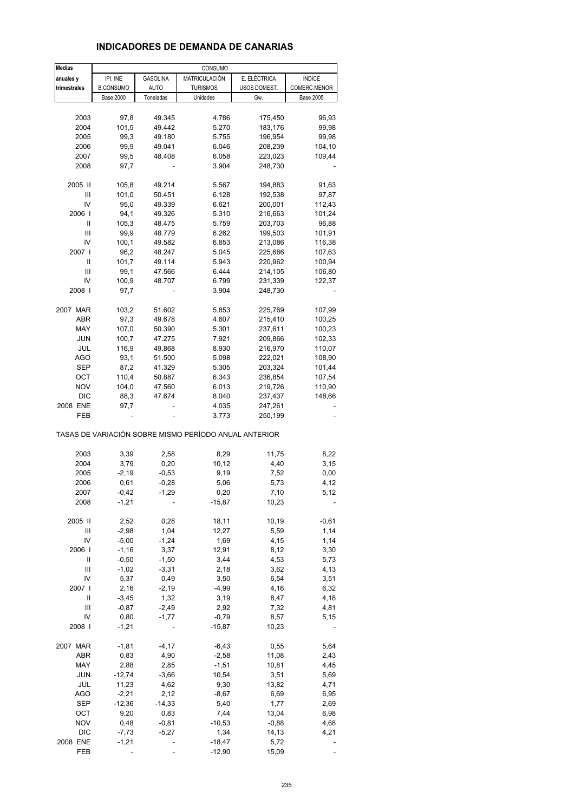## **INDICADORES DE DEMANDA DE CANARIAS**

| <b>Medias</b> |                  |                    | CONSUMO                                               |              |                  |
|---------------|------------------|--------------------|-------------------------------------------------------|--------------|------------------|
| anuales y     | IPI. INE         | GASOLINA           | MATRICULACIÓN                                         | E. ELÉCTRICA | ÍNDICE           |
| trimestrales  | <b>B.CONSUMO</b> | <b>AUTO</b>        | <b>TURISMOS</b>                                       | USOS DOMEST. | COMERC.MENOR     |
|               | <b>Base 2000</b> | Toneladas          | Unidades                                              | Gw.          | <b>Base 2005</b> |
|               |                  |                    |                                                       |              |                  |
| 2003          | 97,8             | 49.345             | 4.786                                                 | 175,450      | 96,93            |
| 2004          | 101,5            | 49.442             | 5.270                                                 |              |                  |
|               |                  |                    |                                                       | 183,176      | 99,98            |
| 2005          | 99,3             | 49.180             | 5.755                                                 | 196,954      | 99,98            |
| 2006          | 99,9             | 49.041             | 6.046                                                 | 208,239      | 104,10           |
| 2007          | 99,5             | 48.408             | 6.058                                                 | 223,023      | 109,44           |
| 2008          | 97,7             |                    | 3.904                                                 | 248,730      |                  |
|               |                  |                    |                                                       |              |                  |
| 2005 II       | 105,8            | 49.214             | 5.567                                                 | 194,883      | 91,63            |
| Ш             | 101,0            | 50.451             | 6.128                                                 | 192,538      | 97,87            |
| IV            | 95,0             | 49.339             | 6.621                                                 | 200,001      | 112,43           |
| 2006          | 94,1             | 49.326             | 5.310                                                 | 216,663      | 101,24           |
| Ш             | 105,3            | 48.475             | 5.759                                                 | 203,703      | 96,88            |
| Ш             | 99,9             | 48.779             | 6.262                                                 | 199,503      | 101,91           |
| IV            | 100,1            | 49.582             | 6.853                                                 | 213,086      | 116,38           |
| 2007          | 96,2             | 48.247             | 5.045                                                 | 225,686      | 107,63           |
| Ш             | 101,7            | 49.114             | 5.943                                                 | 220,962      | 100,94           |
| Ш             | 99,1             | 47.566             | 6.444                                                 | 214,105      | 106,80           |
| IV            | 100,9            | 48.707             | 6.799                                                 | 231,339      | 122,37           |
| 2008          | 97,7             |                    | 3.904                                                 | 248,730      |                  |
|               |                  |                    |                                                       |              |                  |
| 2007 MAR      | 103,2            | 51.602             | 5.853                                                 | 225,769      | 107,99           |
| <b>ABR</b>    | 97,3             | 49.678             | 4.607                                                 | 215,410      | 100,25           |
| MAY           | 107,0            | 50.390             | 5.301                                                 | 237,611      | 100,23           |
|               |                  |                    |                                                       | 209,866      |                  |
| <b>JUN</b>    | 100,7            | 47.275             | 7.921                                                 |              | 102,33           |
| JUL           | 116,9            | 49.868             | 8.930                                                 | 216,970      | 110,07           |
| AGO           | 93,1             | 51.500             | 5.098                                                 | 222,021      | 108,90           |
| SEP           | 87,2             | 41.329             | 5.305                                                 | 203,324      | 101,44           |
| OCT           | 110,4            | 50.887             | 6.343                                                 | 236,854      | 107,54           |
| <b>NOV</b>    | 104,0            | 47.560             | 6.013                                                 | 219,726      | 110,90           |
| DIC           | 88,3             | 47.674             | 8.040                                                 | 237,437      | 148,66           |
| 2008 ENE      | 97,7             |                    | 4.035                                                 | 247,261      |                  |
| FEB           |                  |                    | 3.773                                                 | 250,199      |                  |
|               |                  |                    | TASAS DE VARIACIÓN SOBRE MISMO PERÍODO ANUAL ANTERIOR |              |                  |
| 2003          | 3,39             | 2,58               | 8,29                                                  | 11,75        | 8,22             |
| 2004          | 3,79             | 0,20               | 10,12                                                 | 4,40         | 3,15             |
|               |                  |                    |                                                       | 7,52         |                  |
| 2005<br>2006  | $-2,19$<br>0,61  | $-0,53$<br>$-0,28$ | 9,19                                                  | 5,73         | 0,00<br>4,12     |
|               |                  |                    | 5,06                                                  |              |                  |
| 2007          | $-0,42$          | $-1,29$            | 0,20                                                  | 7,10         | 5,12             |
| 2008          | $-1,21$          |                    | $-15,87$                                              | 10,23        |                  |
| 2005 II       | 2,52             | 0,28               | 18,11                                                 | 10,19        | $-0,61$          |
| Ш             | $-2,98$          | 1,04               | 12,27                                                 | 5,59         | 1,14             |
| IV            | $-5,00$          | $-1,24$            | 1,69                                                  | 4,15         | 1,14             |
| 2006          | $-1,16$          | 3,37               | 12,91                                                 | 8,12         | 3,30             |
| Ш             | $-0,50$          | $-1,50$            | 3,44                                                  | 4,53         | 5,73             |
| Ш             | $-1,02$          | $-3,31$            | 2,18                                                  | 3,62         | 4,13             |
| IV            | 5,37             | 0,49               | 3,50                                                  | 6,54         | 3,51             |
| 2007          | 2,16             | $-2,19$            | $-4,99$                                               | 4,16         | 6,32             |
| Ш             | $-3,45$          | 1,32               | 3,19                                                  | 8,47         | 4,18             |
| Ш             | $-0,87$          |                    | 2,92                                                  |              |                  |
| IV            | 0,80             | $-2,49$<br>$-1,77$ |                                                       | 7,32         | 4,81             |
|               |                  |                    | $-0,79$                                               | 8,57         | 5,15             |
| 2008          | $-1,21$          |                    | $-15,87$                                              | 10,23        |                  |
| 2007 MAR      | $-1,81$          | $-4, 17$           | $-6,43$                                               | 0,55         | 5,64             |
| ABR           | 0,83             | 4,90               | $-2,58$                                               | 11,08        | 2,43             |
| MAY           | 2,88             | 2,85               | $-1,51$                                               | 10,81        | 4,45             |
| JUN           | $-12,74$         | $-3,66$            | 10,54                                                 | 3,51         | 5,69             |
| JUL           | 11,23            | 4,62               | 9,30                                                  | 13,82        | 4,71             |
| <b>AGO</b>    | $-2,21$          | 2,12               | $-8,67$                                               | 6,69         | 6,95             |
| <b>SEP</b>    | $-12,36$         | $-14,33$           | 5,40                                                  | 1,77         | 2,69             |
| OCT           | 9,20             | 0,83               | 7,44                                                  | 13,04        | 6,98             |
| <b>NOV</b>    | 0,48             | $-0,81$            | $-10,53$                                              | $-0,88$      | 4,68             |
| <b>DIC</b>    | $-7,73$          | $-5,27$            | 1,34                                                  | 14,13        | 4,21             |
| 2008 ENE      | $-1,21$          |                    | $-18,47$                                              | 5,72         |                  |
| FEB           |                  |                    | $-12,90$                                              | 15,09        |                  |
|               |                  |                    |                                                       |              |                  |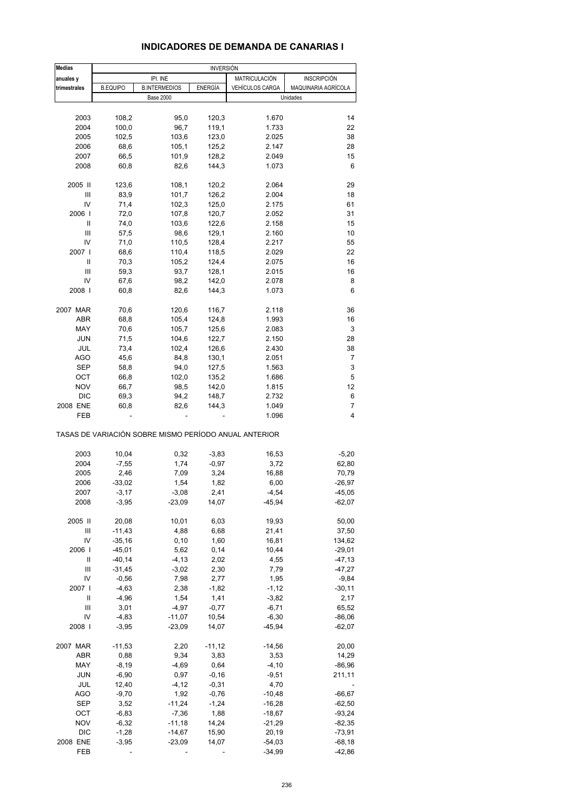## **INDICADORES DE DEMANDA DE CANARIAS I**

| <b>Medias</b>          |                 |                                                       | <b>INVERSIÓN</b> |                        |                     |
|------------------------|-----------------|-------------------------------------------------------|------------------|------------------------|---------------------|
| anuales y              |                 | IPI. INE                                              |                  | MATRICULACIÓN          | <b>INSCRIPCIÓN</b>  |
| trimestrales           | <b>B.EQUIPO</b> | <b>B.INTERMEDIOS</b>                                  | <b>ENERGÍA</b>   | <b>VEHÍCULOS CARGA</b> | MAQUINARIA AGRÍCOLA |
|                        |                 | <b>Base 2000</b>                                      |                  |                        | Unidades            |
|                        |                 |                                                       |                  |                        |                     |
| 2003                   | 108,2           | 95,0                                                  | 120,3            | 1.670                  | 14                  |
| 2004                   | 100,0           | 96,7                                                  | 119,1            | 1.733                  | 22                  |
| 2005                   | 102,5           | 103,6                                                 | 123,0            | 2.025                  | 38                  |
| 2006                   | 68,6            | 105,1                                                 | 125,2            | 2.147                  | 28                  |
| 2007                   | 66,5            | 101,9                                                 | 128,2            | 2.049                  | 15                  |
| 2008                   | 60,8            | 82,6                                                  | 144,3            | 1.073                  | 6                   |
| 2005 II                | 123,6           | 108,1                                                 | 120,2            | 2.064                  | 29                  |
| Ш                      | 83,9            | 101,7                                                 | 126,2            | 2.004                  | 18                  |
| IV                     | 71,4            | 102,3                                                 | 125,0            | 2.175                  | 61                  |
| 2006                   | 72,0            | 107,8                                                 | 120,7            | 2.052                  | 31                  |
| Ш                      | 74,0            | 103,6                                                 | 122,6            | 2.158                  | 15                  |
| Ш                      | 57,5            | 98,6                                                  | 129,1            | 2.160                  | 10                  |
| IV                     | 71,0            | 110,5                                                 | 128,4            | 2.217                  | 55                  |
| 2007 l                 | 68,6            | 110,4                                                 | 118,5            | 2.029                  | 22                  |
| Ш                      | 70,3            | 105,2                                                 | 124,4            | 2.075                  | 16                  |
| Ш                      | 59,3            | 93,7                                                  | 128,1            | 2.015                  | 16                  |
| IV                     | 67,6            | 98,2                                                  | 142,0            | 2.078                  | 8                   |
| 2008                   | 60,8            | 82,6                                                  | 144,3            | 1.073                  | 6                   |
| 2007 MAR               | 70,6            | 120,6                                                 | 116,7            | 2.118                  | 36                  |
| <b>ABR</b>             | 68,8            | 105,4                                                 | 124,8            | 1.993                  | 16                  |
| MAY                    | 70,6            | 105,7                                                 | 125,6            | 2.083                  | 3                   |
|                        |                 | 104,6                                                 |                  |                        |                     |
| JUN                    | 71,5            |                                                       | 122,7            | 2.150                  | 28                  |
| JUL                    | 73,4            | 102,4                                                 | 126,6            | 2.430                  | 38                  |
| <b>AGO</b>             | 45,6            | 84,8                                                  | 130,1            | 2.051                  | 7                   |
| SEP                    | 58,8            | 94,0                                                  | 127,5            | 1.563                  | 3                   |
| OCT                    | 66,8            | 102,0                                                 | 135,2            | 1.686                  | 5                   |
| <b>NOV</b>             | 66,7            | 98,5                                                  | 142,0            | 1.815                  | 12                  |
| <b>DIC</b>             | 69,3            | 94,2                                                  | 148,7            | 2.732                  | 6                   |
| 2008 ENE<br><b>FEB</b> | 60,8            | 82,6                                                  | 144,3            | 1.049<br>1.096         | 7<br>4              |
|                        |                 | TASAS DE VARIACIÓN SOBRE MISMO PERÍODO ANUAL ANTERIOR |                  |                        |                     |
|                        |                 |                                                       |                  |                        |                     |
| 2003                   | 10,04           | 0,32                                                  | $-3,83$          | 16,53                  | $-5,20$             |
| 2004                   | $-7,55$         | 1,74                                                  | $-0,97$          | 3,72                   | 62,80               |
| 2005                   | 2,46            | 7,09                                                  | 3,24             | 16,88                  | 70,79<br>$-26,97$   |
| 2006                   | $-33,02$        | 1,54                                                  | 1,82             | 6,00                   |                     |
| 2007                   | $-3,17$         | $-3,08$                                               | 2,41             | $-4,54$<br>$-45,94$    | $-45,05$            |
| 2008                   | $-3,95$         | $-23,09$                                              | 14,07            |                        | $-62,07$            |
| 2005 II                | 20,08           | 10,01                                                 | 6,03             | 19,93                  | 50,00               |
| Ш                      | $-11,43$        | 4,88                                                  | 6,68             | 21,41                  | 37,50               |
| IV                     | $-35,16$        | 0, 10                                                 | 1,60             | 16,81                  | 134,62              |
| 2006                   | -45,01          | 5,62                                                  | 0,14             | 10,44                  | $-29,01$            |
| Ш                      | $-40,14$        | $-4, 13$                                              | 2,02             | 4,55                   | $-47,13$            |
| Ш                      | $-31,45$        | $-3,02$                                               | 2,30             | 7,79                   | $-47,27$            |
| IV                     | $-0,56$         | 7,98                                                  | 2,77             | 1,95                   | $-9,84$             |
| 2007 l                 | $-4,63$         | 2,38                                                  | $-1,82$          | $-1, 12$               | $-30,11$            |
| Ш                      | $-4,96$         | 1,54                                                  | 1,41             | $-3,82$                | 2,17                |
| Ш                      | 3,01            | $-4,97$                                               | $-0,77$          | $-6,71$                | 65,52               |
| IV                     | $-4,83$         | $-11,07$                                              | 10,54            | $-6,30$                | -86,06              |
| 2008                   | $-3,95$         | $-23,09$                                              | 14,07            | $-45,94$               | $-62,07$            |
| 2007 MAR               | $-11,53$        | 2,20                                                  | $-11,12$         | $-14,56$               | 20,00               |
| ABR                    | 0,88            | 9,34                                                  | 3,83             | 3,53                   | 14,29               |
| MAY                    | $-8,19$         | $-4,69$                                               | 0,64             | $-4, 10$               | -86,96              |
| JUN                    | $-6,90$         | 0,97                                                  | $-0,16$          | $-9,51$                | 211,11              |
| JUL                    | 12,40           | $-4, 12$                                              | $-0,31$          | 4,70                   |                     |
| <b>AGO</b>             | $-9,70$         | 1,92                                                  | $-0,76$          | $-10,48$               | $-66,67$            |
| SEP                    | 3,52            | $-11,24$                                              | $-1,24$          | $-16,28$               | $-62,50$            |
| OCT                    | $-6,83$         | $-7,36$                                               | 1,88             | $-18,67$               | $-93,24$            |
| <b>NOV</b>             | $-6,32$         | $-11,18$                                              | 14,24            | $-21,29$               | $-82,35$            |
| <b>DIC</b>             | $-1,28$         | $-14,67$                                              | 15,90            | 20,19                  | $-73,91$            |
| 2008 ENE               | $-3,95$         | $-23,09$                                              | 14,07            | $-54,03$               | $-68,18$            |
| FEB                    |                 |                                                       |                  | $-34,99$               | $-42,86$            |
|                        |                 |                                                       |                  |                        |                     |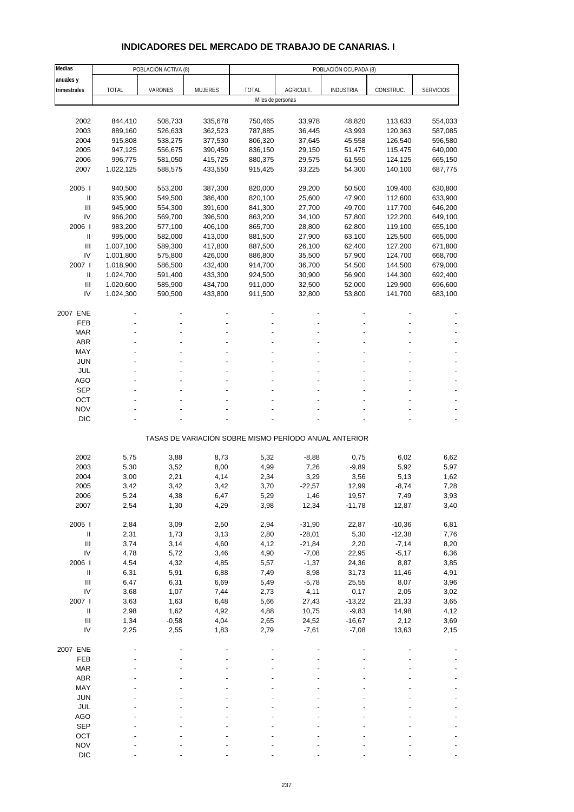# **INDICADORES DEL MERCADO DE TRABAJO DE CANARIAS. I**

| Medias                             | POBLACIÓN ACTIVA (8) |         |                | POBLACIÓN OCUPADA (8) |                                                       |                  |           |                  |  |
|------------------------------------|----------------------|---------|----------------|-----------------------|-------------------------------------------------------|------------------|-----------|------------------|--|
| anuales y                          |                      |         |                |                       |                                                       |                  |           |                  |  |
| trimestrales                       | <b>TOTAL</b>         | VARONES | <b>MUJERES</b> | <b>TOTAL</b>          | AGRICULT.                                             | <b>INDUSTRIA</b> | CONSTRUC. | <b>SERVICIOS</b> |  |
|                                    |                      |         |                | Miles de personas     |                                                       |                  |           |                  |  |
|                                    |                      |         |                |                       |                                                       |                  |           |                  |  |
| 2002                               | 844,410              | 508,733 | 335,678        | 750,465               | 33,978                                                | 48,820           | 113,633   | 554,033          |  |
| 2003                               | 889,160              | 526,633 | 362,523        | 787,885               | 36,445                                                | 43,993           | 120,363   | 587,085          |  |
| 2004                               | 915,808              | 538,275 | 377,530        | 806,320               | 37,645                                                | 45,558           | 126,540   | 596,580          |  |
| 2005                               | 947,125              | 556,675 | 390,450        | 836,150               | 29,150                                                | 51,475           | 115,475   | 640,000          |  |
| 2006                               | 996,775              | 581,050 | 415,725        | 880,375               | 29,575                                                | 61,550           | 124,125   | 665,150          |  |
| 2007                               | 1.022,125            | 588,575 | 433,550        | 915,425               | 33,225                                                | 54,300           | 140,100   | 687,775          |  |
| 2005                               | 940,500              | 553,200 | 387,300        | 820,000               | 29,200                                                | 50,500           | 109,400   | 630,800          |  |
| Ш                                  | 935,900              | 549,500 | 386,400        | 820,100               | 25,600                                                | 47,900           | 112,600   | 633,900          |  |
| Ш                                  | 945,900              | 554,300 | 391,600        | 841,300               | 27,700                                                | 49,700           | 117,700   | 646,200          |  |
| IV                                 | 966,200              | 569,700 | 396,500        | 863,200               | 34,100                                                | 57,800           | 122,200   | 649,100          |  |
| 2006                               | 983,200              | 577,100 | 406,100        | 865,700               | 28,800                                                | 62,800           | 119,100   | 655,100          |  |
| Ш                                  | 995,000              | 582,000 | 413,000        | 881,500               | 27,900                                                | 63,100           | 125,500   | 665,000          |  |
| $\ensuremath{\mathsf{III}}\xspace$ | 1.007,100            | 589,300 | 417,800        | 887,500               | 26,100                                                | 62,400           | 127,200   | 671,800          |  |
| IV                                 | 1.001,800            | 575,800 | 426,000        | 886,800               | 35,500                                                | 57,900           | 124,700   | 668,700          |  |
| 2007 l                             | 1.018,900            | 586,500 | 432,400        | 914,700               | 36,700                                                | 54,500           | 144,500   | 679,000          |  |
| Ш                                  | 1.024,700            | 591,400 | 433,300        | 924,500               | 30,900                                                | 56,900           | 144,300   | 692,400          |  |
| $\mathbf{III}$                     | 1.020,600            | 585,900 | 434,700        | 911,000               | 32,500                                                | 52,000           | 129,900   | 696,600          |  |
| IV                                 | 1.024,300            | 590,500 | 433,800        | 911,500               | 32,800                                                | 53,800           | 141,700   | 683,100          |  |
| 2007 ENE                           |                      |         |                |                       |                                                       |                  |           |                  |  |
| <b>FEB</b>                         |                      |         |                |                       |                                                       |                  |           |                  |  |
| <b>MAR</b>                         |                      |         |                |                       |                                                       |                  |           |                  |  |
| <b>ABR</b>                         |                      |         |                |                       |                                                       |                  |           |                  |  |
| MAY                                |                      |         |                |                       |                                                       |                  |           |                  |  |
| <b>JUN</b>                         |                      |         |                |                       |                                                       |                  |           |                  |  |
| <b>JUL</b>                         |                      |         |                |                       |                                                       |                  |           |                  |  |
| <b>AGO</b>                         |                      |         |                |                       |                                                       |                  |           |                  |  |
| <b>SEP</b>                         |                      |         |                |                       |                                                       |                  |           |                  |  |
| OCT                                |                      |         |                |                       |                                                       |                  |           |                  |  |
| <b>NOV</b>                         |                      |         |                |                       |                                                       |                  |           |                  |  |
| <b>DIC</b>                         |                      |         |                |                       |                                                       |                  |           |                  |  |
|                                    |                      |         |                |                       | TASAS DE VARIACIÓN SOBRE MISMO PERÍODO ANUAL ANTERIOR |                  |           |                  |  |
| 2002                               | 5,75                 | 3,88    | 8,73           | 5,32                  | $-8,88$                                               | 0,75             | 6,02      | 6,62             |  |
| 2003                               | 5,30                 | 3,52    | 8,00           | 4,99                  | 7,26                                                  | $-9,89$          | 5,92      | 5,97             |  |
| 2004                               | 3,00                 | 2,21    | 4,14           | 2,34                  | 3,29                                                  | 3,56             | 5,13      | 1,62             |  |
| 2005                               | 3,42                 | 3,42    | 3,42           | 3,70                  | $-22,57$                                              | 12,99            | $-8,74$   | 7,28             |  |
| 2006                               | 5,24                 | 4,38    | 6,47           | 5,29                  | 1,46                                                  | 19,57            | 7,49      | 3,93             |  |
| 2007                               | 2,54                 | 1,30    | 4,29           | 3,98                  | 12,34                                                 | $-11,78$         | 12,87     | 3,40             |  |
|                                    |                      |         |                |                       |                                                       |                  |           |                  |  |
| 2005 l                             | 2,84                 | 3,09    | 2,50           | 2,94                  | $-31,90$                                              | 22,87            | $-10,36$  | 6,81             |  |
| $\ensuremath{\mathsf{II}}$         | 2,31                 | 1,73    | 3,13           | 2,80                  | $-28,01$                                              | 5,30             | $-12,38$  | 7,76             |  |
| $\ensuremath{\mathsf{III}}\xspace$ | 3,74                 | 3,14    | 4,60           | 4,12                  | $-21,84$                                              | 2,20             | $-7,14$   | 8,20             |  |
| IV                                 | 4,78                 | 5,72    | 3,46           | 4,90                  | $-7,08$                                               | 22,95            | $-5,17$   | 6,36             |  |
| 2006                               | 4,54                 | 4,32    | 4,85           | 5,57                  | $-1,37$                                               | 24,36            | 8,87      | 3,85             |  |
| $\, \parallel$                     | 6,31                 | 5,91    | 6,88           | 7,49                  | 8,98                                                  | 31,73            | 11,46     | 4,91             |  |
| $\ensuremath{\mathsf{III}}\xspace$ | 6,47                 | 6,31    | 6,69           | 5,49                  | $-5,78$                                               | 25,55            | 8,07      | 3,96             |  |
| IV                                 | 3,68                 | 1,07    | 7,44           | 2,73                  | 4,11                                                  | 0,17             | 2,05      | 3,02             |  |
| 2007 l                             | 3,63                 | 1,63    | 6,48           | 5,66                  | 27,43                                                 | $-13,22$         | 21,33     | 3,65             |  |
| $\, \parallel$                     | 2,98                 | 1,62    | 4,92           | 4,88                  | 10,75                                                 | $-9,83$          | 14,98     | 4,12             |  |
| Ш                                  | 1,34                 | $-0,58$ | 4,04           | 2,65                  | 24,52                                                 | $-16,67$         | 2,12      | 3,69             |  |
| IV                                 | 2,25                 | 2,55    | 1,83           | 2,79                  | $-7,61$                                               | $-7,08$          | 13,63     | 2,15             |  |
| 2007 ENE                           |                      |         |                |                       |                                                       |                  |           |                  |  |
| FEB                                |                      |         |                |                       |                                                       |                  |           |                  |  |
| <b>MAR</b>                         |                      |         |                |                       |                                                       |                  |           |                  |  |
| <b>ABR</b>                         |                      |         |                |                       |                                                       |                  |           |                  |  |
| MAY                                |                      |         |                |                       |                                                       |                  |           |                  |  |
| <b>JUN</b>                         |                      |         |                |                       |                                                       |                  |           |                  |  |
| <b>JUL</b>                         |                      |         |                |                       |                                                       |                  |           |                  |  |
| AGO                                |                      |         |                |                       |                                                       |                  |           |                  |  |
| <b>SEP</b>                         |                      |         |                |                       |                                                       |                  |           |                  |  |
| OCT                                |                      |         |                |                       |                                                       |                  |           |                  |  |
| <b>NOV</b>                         |                      |         |                |                       |                                                       |                  |           |                  |  |
| <b>DIC</b>                         |                      |         |                |                       |                                                       |                  |           |                  |  |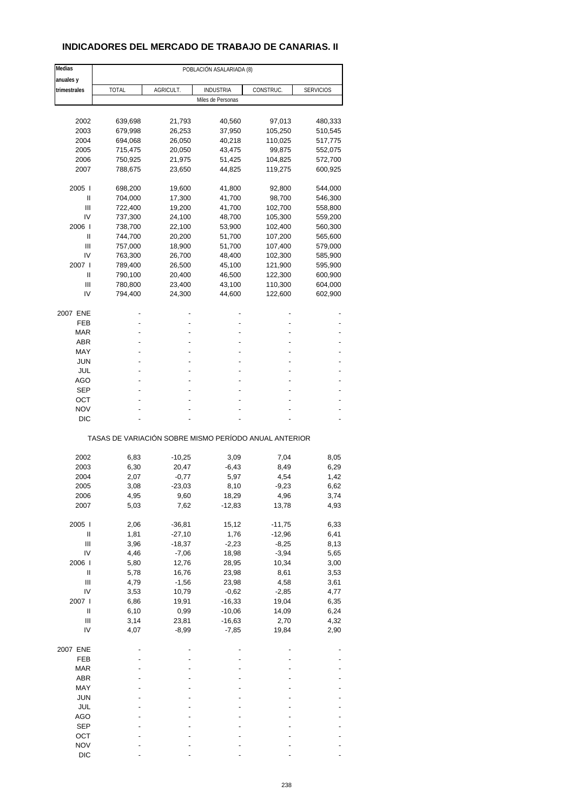# **INDICADORES DEL MERCADO DE TRABAJO DE CANARIAS. II**

| Medias                             | POBLACIÓN ASALARIADA (8)                              |           |                   |           |                  |  |  |  |
|------------------------------------|-------------------------------------------------------|-----------|-------------------|-----------|------------------|--|--|--|
| anuales y                          |                                                       |           |                   |           |                  |  |  |  |
| trimestrales                       | <b>TOTAL</b>                                          | AGRICULT. | <b>INDUSTRIA</b>  | CONSTRUC. | <b>SERVICIOS</b> |  |  |  |
|                                    |                                                       |           | Miles de Personas |           |                  |  |  |  |
|                                    |                                                       |           |                   |           |                  |  |  |  |
| 2002                               | 639,698                                               | 21,793    | 40,560            | 97,013    | 480,333          |  |  |  |
| 2003                               | 679,998                                               | 26,253    | 37,950            | 105,250   | 510,545          |  |  |  |
| 2004                               | 694,068                                               | 26,050    | 40,218            | 110,025   | 517,775          |  |  |  |
| 2005                               | 715,475                                               | 20,050    | 43,475            | 99,875    | 552,075          |  |  |  |
| 2006                               | 750,925                                               | 21,975    | 51,425            | 104,825   | 572,700          |  |  |  |
| 2007                               | 788,675                                               | 23,650    | 44,825            | 119,275   | 600,925          |  |  |  |
| 2005                               | 698,200                                               | 19,600    | 41,800            | 92,800    | 544,000          |  |  |  |
| Ш                                  | 704,000                                               | 17,300    | 41,700            | 98,700    | 546,300          |  |  |  |
| Ш                                  | 722,400                                               | 19,200    | 41,700            | 102,700   | 558,800          |  |  |  |
| IV                                 | 737,300                                               | 24,100    | 48,700            | 105,300   | 559,200          |  |  |  |
| 2006                               | 738,700                                               | 22,100    | 53,900            | 102,400   | 560,300          |  |  |  |
| Ш                                  | 744,700                                               | 20,200    | 51,700            | 107,200   | 565,600          |  |  |  |
| Ш                                  | 757,000                                               | 18,900    | 51,700            | 107,400   | 579,000          |  |  |  |
| IV                                 | 763,300                                               | 26,700    | 48,400            | 102,300   | 585,900          |  |  |  |
| 2007 l                             | 789,400                                               | 26,500    | 45,100            | 121,900   | 595,900          |  |  |  |
| Ш                                  | 790,100                                               | 20,400    | 46,500            | 122,300   | 600,900          |  |  |  |
| Ш                                  | 780,800                                               | 23,400    | 43,100            | 110,300   | 604,000          |  |  |  |
| IV                                 | 794,400                                               | 24,300    | 44,600            | 122,600   | 602,900          |  |  |  |
| 2007 ENE                           |                                                       |           |                   |           |                  |  |  |  |
| FEB                                |                                                       |           |                   |           |                  |  |  |  |
| MAR                                |                                                       |           |                   |           |                  |  |  |  |
| <b>ABR</b>                         |                                                       |           |                   |           |                  |  |  |  |
| MAY                                |                                                       |           |                   |           |                  |  |  |  |
| JUN                                |                                                       |           |                   |           |                  |  |  |  |
| JUL                                |                                                       |           |                   |           |                  |  |  |  |
| AGO                                |                                                       |           |                   |           |                  |  |  |  |
| <b>SEP</b>                         |                                                       |           |                   |           |                  |  |  |  |
| ОСТ                                |                                                       |           |                   |           |                  |  |  |  |
| <b>NOV</b>                         |                                                       |           |                   |           |                  |  |  |  |
| DIC                                |                                                       |           |                   |           |                  |  |  |  |
|                                    | TASAS DE VARIACIÓN SOBRE MISMO PERÍODO ANUAL ANTERIOR |           |                   |           |                  |  |  |  |
|                                    |                                                       |           |                   |           |                  |  |  |  |
| 2002                               | 6,83                                                  | $-10,25$  | 3,09              | 7,04      | 8,05             |  |  |  |
| 2003                               | 6,30                                                  | 20,47     | $-6,43$           | 8,49      | 6,29             |  |  |  |
| 2004                               | 2,07                                                  | $-0,77$   | 5,97              | 4,54      | 1,42             |  |  |  |
| 2005                               | 3,08                                                  | $-23,03$  | 8,10              | $-9,23$   | 6,62             |  |  |  |
| 2006                               | 4,95                                                  | 9,60      | 18,29             | 4,96      | 3,74             |  |  |  |
| 2007                               | 5,03                                                  | 7,62      | $-12,83$          | 13,78     | 4,93             |  |  |  |
| 2005                               | 2,06                                                  | $-36,81$  | 15,12             | $-11,75$  | 6,33             |  |  |  |
| $\sf II$                           | 1,81                                                  | $-27,10$  | 1,76              | $-12,96$  | 6,41             |  |  |  |
| $\ensuremath{\mathsf{III}}\xspace$ | 3,96                                                  | $-18,37$  | $-2,23$           | $-8,25$   | 8,13             |  |  |  |
| IV                                 | 4,46                                                  | $-7,06$   | 18,98             | $-3,94$   | 5,65             |  |  |  |
| 2006                               | 5,80                                                  | 12,76     | 28,95             | 10,34     | 3,00             |  |  |  |
| Ш                                  | 5,78                                                  | 16,76     | 23,98             | 8,61      | 3,53             |  |  |  |
| $\ensuremath{\mathsf{III}}\xspace$ | 4,79                                                  | $-1,56$   | 23,98             | 4,58      | 3,61             |  |  |  |
| IV                                 | 3,53                                                  | 10,79     | $-0,62$           | $-2,85$   | 4,77             |  |  |  |
| 2007 l                             | 6,86                                                  | 19,91     | $-16,33$          | 19,04     | 6,35             |  |  |  |
| $\mathop{  }$                      | 6, 10                                                 | 0,99      | $-10,06$          | 14,09     | 6,24             |  |  |  |
| $\ensuremath{\mathsf{III}}\xspace$ | 3,14                                                  | 23,81     | $-16,63$          | 2,70      | 4,32             |  |  |  |
| IV                                 | 4,07                                                  | $-8,99$   | $-7,85$           | 19,84     | 2,90             |  |  |  |
| 2007 ENE                           |                                                       |           |                   |           |                  |  |  |  |
| FEB                                |                                                       |           |                   |           |                  |  |  |  |
| <b>MAR</b>                         |                                                       |           |                   |           |                  |  |  |  |
| ABR                                |                                                       |           |                   |           |                  |  |  |  |
| MAY                                |                                                       |           |                   |           |                  |  |  |  |
| <b>JUN</b>                         |                                                       |           |                   |           |                  |  |  |  |
| JUL                                |                                                       |           |                   |           |                  |  |  |  |
| <b>AGO</b>                         |                                                       |           |                   |           |                  |  |  |  |
| <b>SEP</b>                         |                                                       |           |                   |           |                  |  |  |  |
| OCT                                |                                                       |           |                   |           |                  |  |  |  |
| <b>NOV</b>                         |                                                       |           |                   |           |                  |  |  |  |
| <b>DIC</b>                         |                                                       |           |                   |           |                  |  |  |  |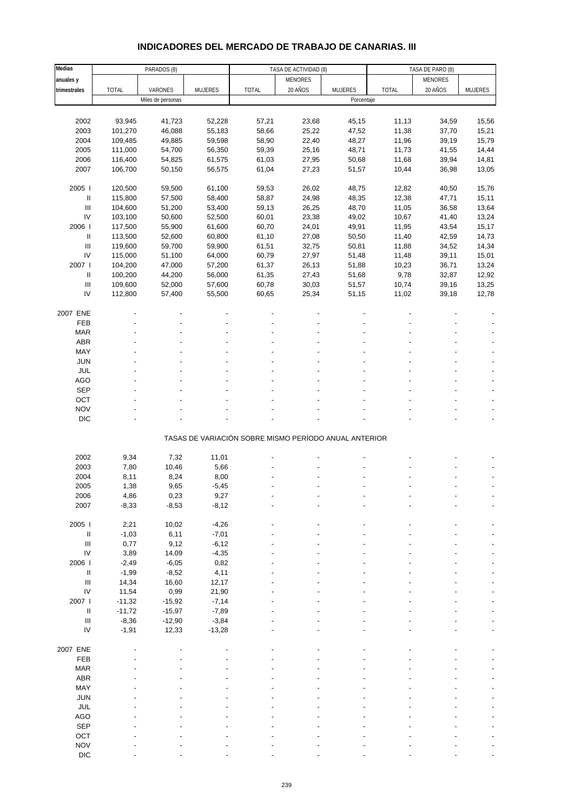# **INDICADORES DEL MERCADO DE TRABAJO DE CANARIAS. III**

| Medias                             |              | PARADOS (8)       |                |                                                       | TASA DE ACTIVIDAD (8) |                | TASA DE PARO (8) |                |                |
|------------------------------------|--------------|-------------------|----------------|-------------------------------------------------------|-----------------------|----------------|------------------|----------------|----------------|
| anuales y                          |              |                   |                |                                                       | MENORES               |                |                  | <b>MENORES</b> |                |
| trimestrales                       | <b>TOTAL</b> | VARONES           | <b>MUJERES</b> | <b>TOTAL</b>                                          | 20 AÑOS               | <b>MUJERES</b> | <b>TOTAL</b>     | 20 AÑOS        | <b>MUJERES</b> |
|                                    |              | Miles de personas |                |                                                       |                       | Porcentaje     |                  |                |                |
|                                    |              |                   |                |                                                       |                       |                |                  |                |                |
|                                    |              |                   |                |                                                       |                       |                |                  |                |                |
| 2002                               | 93,945       | 41,723            | 52,228         | 57,21                                                 | 23,68                 | 45,15          | 11,13            | 34,59          | 15,56          |
| 2003                               | 101,270      | 46,088            | 55,183         | 58,66                                                 | 25,22                 | 47,52          | 11,38            | 37,70          | 15,21          |
| 2004                               | 109,485      | 49,885            | 59,598         | 58,90                                                 | 22,40                 | 48,27          | 11,96            | 39,19          | 15,79          |
| 2005                               | 111,000      | 54,700            | 56,350         | 59,39                                                 | 25,16                 | 48,71          | 11,73            | 41,55          | 14,44          |
| 2006                               | 116,400      | 54,825            | 61,575         | 61,03                                                 | 27,95                 | 50,68          | 11,68            | 39,94          | 14,81          |
| 2007                               | 106,700      | 50,150            | 56,575         | 61,04                                                 | 27,23                 | 51,57          | 10,44            | 36,98          | 13,05          |
|                                    |              |                   |                |                                                       |                       |                |                  |                |                |
| 2005                               | 120,500      | 59,500            | 61,100         | 59,53                                                 | 26,02                 | 48,75          | 12,82            | 40,50          | 15,76          |
| Ш                                  | 115,800      | 57,500            | 58,400         | 58,87                                                 | 24,98                 | 48,35          | 12,38            | 47,71          | 15,11          |
| $\ensuremath{\mathsf{III}}\xspace$ | 104,600      | 51,200            | 53,400         | 59,13                                                 | 26,25                 | 48,70          | 11,05            | 36,58          | 13,64          |
| IV                                 | 103,100      | 50,600            |                |                                                       |                       |                |                  |                |                |
|                                    |              |                   | 52,500         | 60,01                                                 | 23,38                 | 49,02          | 10,67            | 41,40          | 13,24          |
| 2006                               | 117,500      | 55,900            | 61,600         | 60,70                                                 | 24,01                 | 49,91          | 11,95            | 43,54          | 15,17          |
| Ш                                  | 113,500      | 52,600            | 60,800         | 61,10                                                 | 27,08                 | 50,50          | 11,40            | 42,59          | 14,73          |
| $\ensuremath{\mathsf{III}}\xspace$ | 119,600      | 59,700            | 59,900         | 61,51                                                 | 32,75                 | 50,81          | 11,88            | 34,52          | 14,34          |
| IV                                 | 115,000      | 51,100            | 64,000         | 60,79                                                 | 27,97                 | 51,48          | 11,48            | 39,11          | 15,01          |
| 2007                               | 104,200      | 47,000            | 57,200         | 61,37                                                 | 26,13                 | 51,88          | 10,23            | 36,71          | 13,24          |
| Ш                                  | 100,200      | 44,200            | 56,000         | 61,35                                                 | 27,43                 | 51,68          | 9,78             | 32,87          | 12,92          |
| $\ensuremath{\mathsf{III}}\xspace$ | 109,600      | 52,000            | 57,600         | 60,78                                                 | 30,03                 | 51,57          | 10,74            | 39,16          | 13,25          |
| IV                                 | 112,800      | 57,400            | 55,500         | 60,65                                                 | 25,34                 | 51,15          | 11,02            | 39,18          | 12,78          |
|                                    |              |                   |                |                                                       |                       |                |                  |                |                |
|                                    |              |                   |                |                                                       |                       |                |                  |                |                |
| 2007 ENE                           |              |                   |                |                                                       |                       |                |                  |                |                |
| FEB                                |              |                   |                |                                                       |                       |                |                  |                |                |
| <b>MAR</b>                         |              |                   |                |                                                       |                       |                |                  |                |                |
| ABR                                |              |                   |                |                                                       |                       |                |                  |                |                |
| MAY                                |              |                   |                |                                                       |                       |                |                  |                |                |
| <b>JUN</b>                         |              |                   |                |                                                       |                       |                |                  |                |                |
| JUL                                |              |                   |                |                                                       |                       |                |                  |                |                |
| AGO                                |              |                   |                |                                                       |                       |                |                  |                |                |
| SEP                                |              |                   |                |                                                       |                       |                |                  |                |                |
| OCT                                |              |                   |                |                                                       |                       |                |                  |                |                |
|                                    |              |                   |                |                                                       |                       |                |                  |                |                |
| <b>NOV</b>                         |              |                   |                |                                                       |                       |                |                  |                |                |
| <b>DIC</b>                         |              |                   |                |                                                       |                       |                |                  |                |                |
|                                    |              |                   |                |                                                       |                       |                |                  |                |                |
|                                    |              |                   |                | TASAS DE VARIACIÓN SOBRE MISMO PERÍODO ANUAL ANTERIOR |                       |                |                  |                |                |
|                                    |              |                   |                |                                                       |                       |                |                  |                |                |
| 2002                               | 9,34         | 7,32              | 11,01          |                                                       |                       |                |                  |                |                |
| 2003                               | 7,80         | 10,46             | 5,66           |                                                       |                       |                |                  |                |                |
| 2004                               | 8,11         | 8,24              | 8,00           |                                                       |                       |                |                  |                |                |
| 2005                               | 1,38         | 9,65              | $-5,45$        |                                                       |                       |                |                  |                |                |
| 2006                               | 4,86         | 0,23              | 9,27           |                                                       |                       |                |                  |                |                |
| 2007                               | $-8,33$      | $-8,53$           | $-8,12$        |                                                       |                       |                |                  |                |                |
|                                    |              |                   |                |                                                       |                       |                |                  |                |                |
| 2005 l                             | 2,21         | 10,02             | $-4,26$        |                                                       |                       |                |                  |                |                |
| Ш                                  | $-1,03$      | 6,11              | $-7,01$        |                                                       |                       |                |                  |                |                |
| $\ensuremath{\mathsf{III}}\xspace$ | 0,77         | 9,12              | $-6,12$        |                                                       |                       |                |                  |                |                |
|                                    |              |                   |                |                                                       |                       |                |                  |                |                |
| ${\sf IV}$                         | 3,89         | 14,09             | $-4,35$        |                                                       |                       |                |                  |                |                |
| 2006                               | $-2,49$      | $-6,05$           | 0,82           |                                                       |                       |                |                  |                |                |
| Ш                                  | $-1,99$      | $-8,52$           | 4,11           |                                                       |                       |                |                  |                |                |
| Ш                                  | 14,34        | 16,60             | 12,17          |                                                       |                       |                |                  |                |                |
| ${\sf IV}$                         | 11,54        | 0,99              | 21,90          |                                                       |                       |                |                  |                |                |
| 2007                               | $-11,32$     | $-15,92$          | $-7,14$        |                                                       |                       |                |                  |                |                |
| $\ensuremath{\mathsf{II}}$         | $-11,72$     | $-15,97$          | $-7,89$        |                                                       |                       |                |                  |                |                |
| $\ensuremath{\mathsf{III}}\xspace$ | $-8,36$      | $-12,90$          | $-3,84$        |                                                       |                       |                |                  |                |                |
| IV                                 | $-1,91$      | 12,33             | $-13,28$       |                                                       |                       |                |                  |                |                |
|                                    |              |                   |                |                                                       |                       |                |                  |                |                |
| 2007 ENE                           |              |                   |                |                                                       |                       |                |                  |                |                |
|                                    |              |                   |                |                                                       |                       |                |                  |                |                |
| FEB                                |              |                   |                |                                                       |                       |                |                  |                |                |
| <b>MAR</b>                         |              |                   |                |                                                       |                       |                |                  |                |                |
| ABR                                |              |                   |                |                                                       |                       |                |                  |                |                |
| MAY                                |              |                   |                |                                                       |                       |                |                  |                |                |
| JUN                                |              |                   |                |                                                       |                       |                |                  |                |                |
| JUL                                |              |                   |                |                                                       |                       |                |                  |                |                |
| AGO                                |              |                   |                |                                                       |                       |                |                  |                |                |
| SEP                                |              |                   |                |                                                       |                       |                |                  |                |                |
| OCT                                |              |                   |                |                                                       |                       |                |                  |                |                |
|                                    |              |                   |                |                                                       |                       |                |                  |                |                |
| <b>NOV</b>                         |              |                   |                |                                                       |                       |                |                  |                |                |
| DIC                                |              |                   |                |                                                       |                       |                |                  |                |                |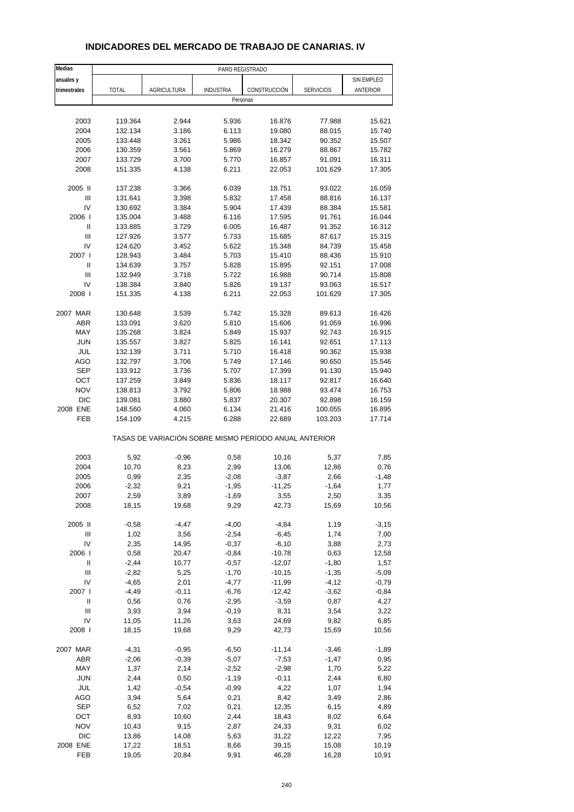| Medias       |              |             | PARO REGISTRADO  |                                                       |                  |            |
|--------------|--------------|-------------|------------------|-------------------------------------------------------|------------------|------------|
| anuales y    |              |             |                  |                                                       |                  | SIN EMPLEO |
| trimestrales | <b>TOTAL</b> | AGRICULTURA | <b>INDUSTRIA</b> | CONSTRUCCIÓN                                          | <b>SERVICIOS</b> | ANTERIOR   |
|              |              |             | Personas         |                                                       |                  |            |
|              |              |             |                  |                                                       |                  |            |
| 2003         | 119.364      | 2.944       | 5.936            | 16.876                                                | 77.988           | 15.621     |
| 2004         | 132.134      | 3.186       | 6.113            | 19.080                                                | 88.015           | 15.740     |
| 2005         | 133.448      | 3.261       | 5.986            | 18.342                                                | 90.352           | 15.507     |
| 2006         | 130.359      | 3.561       | 5.869            | 16.279                                                | 88.867           | 15.782     |
| 2007         | 133.729      | 3.700       | 5.770            | 16.857                                                | 91.091           | 16.311     |
| 2008         | 151.335      | 4.138       | 6.211            | 22.053                                                | 101.629          | 17.305     |
|              |              |             |                  |                                                       |                  |            |
| 2005 II      | 137.238      | 3.366       | 6.039            | 18.751                                                | 93.022           | 16.059     |
| Ш            | 131.641      | 3.398       | 5.832            | 17.458                                                | 88.816           | 16.137     |
| IV           | 130.692      | 3.384       | 5.904            | 17.439                                                | 88.384           | 15.581     |
| 2006         | 135.004      | 3.488       | 6.116            | 17.595                                                | 91.761           | 16.044     |
| $\sf II$     | 133.885      | 3.729       | 6.005            | 16.487                                                | 91.352           | 16.312     |
| Ш            | 127.926      | 3.577       | 5.733            | 15.685                                                | 87.617           | 15.315     |
| IV           | 124.620      | 3.452       | 5.622            | 15.348                                                | 84.739           | 15.458     |
| 2007 l       | 128.943      | 3.484       | 5.703            | 15.410                                                | 88.436           | 15.910     |
| Ш            | 134.639      | 3.757       | 5.828            | 15.895                                                | 92.151           | 17.008     |
| Ш            | 132.949      | 3.718       | 5.722            | 16.988                                                | 90.714           | 15.808     |
| IV           | 138.384      | 3.840       | 5.826            | 19.137                                                | 93.063           | 16.517     |
| 2008         | 151.335      | 4.138       | 6.211            | 22.053                                                | 101.629          | 17.305     |
|              |              |             |                  |                                                       |                  |            |
| 2007 MAR     | 130.648      | 3.539       | 5.742            | 15.328                                                | 89.613           | 16.426     |
| <b>ABR</b>   | 133.091      | 3.620       | 5.810            | 15.606                                                | 91.059           | 16.996     |
| MAY          | 135.268      | 3.824       | 5.849            | 15.937                                                | 92.743           | 16.915     |
| <b>JUN</b>   | 135.557      | 3.827       | 5.825            | 16.141                                                | 92.651           | 17.113     |
| JUL          | 132.139      | 3.711       | 5.710            | 16.418                                                | 90.362           | 15.938     |
| AGO          | 132.797      | 3.706       | 5.749            | 17.146                                                | 90.650           | 15.546     |
| <b>SEP</b>   | 133.912      | 3.736       | 5.707            | 17.399                                                | 91.130           | 15.940     |
| OCT          | 137.259      | 3.849       | 5.836            | 18.117                                                | 92.817           | 16.640     |
| <b>NOV</b>   | 138.813      | 3.792       | 5.806            | 18.988                                                | 93.474           | 16.753     |
| <b>DIC</b>   | 139.081      | 3.880       | 5.837            | 20.307                                                | 92.898           | 16.159     |
| 2008 ENE     | 148.560      | 4.060       | 6.134            | 21.416                                                | 100.055          | 16.895     |
| FEB          | 154.109      | 4.215       | 6.288            | 22.689                                                | 103.203          | 17.714     |
|              |              |             |                  | TASAS DE VARIACIÓN SOBRE MISMO PERÍODO ANUAL ANTERIOR |                  |            |
|              |              |             |                  |                                                       |                  |            |
| 2003         | 5,92         | $-0,96$     | 0,58             | 10,16                                                 | 5,37             | 7,85       |
| 2004         | 10,70        | 8,23        | 2,99             | 13,06                                                 | 12,86            | 0,76       |
| 2005         | 0,99         | 2,35        | $-2,08$          | $-3,87$                                               | 2,66             | $-1,48$    |
| 2006         | $-2,32$      | 9,21        | $-1,95$          | $-11,25$                                              | $-1,64$          | 1,77       |
| 2007         | 2,59         | 3,89        | -1,69            | 3,55                                                  | 2,50             | 3,35       |
| 2008         | 18,15        | 19,68       | 9,29             | 42,73                                                 | 15,69            | 10,56      |
| 2005 II      | $-0,58$      | $-4,47$     | $-4,00$          | $-4,84$                                               | 1,19             | $-3,15$    |
| Ш            | 1,02         | 3,56        | $-2,54$          | $-6,45$                                               | 1,74             | 7,00       |
| IV           | 2,35         | 14,95       | $-0,37$          | $-6,10$                                               | 3,88             | 2,73       |
| 2006         | 0,58         | 20,47       | $-0,84$          | $-10,78$                                              | 0,63             | 12,58      |
| Ш            | $-2,44$      | 10,77       | $-0,57$          | $-12,07$                                              | $-1,80$          | 1,57       |
| Ш            | $-2,82$      | 5,25        | $-1,70$          | $-10,15$                                              | $-1,35$          | $-5,09$    |
| IV           | $-4,65$      | 2,01        | $-4,77$          | $-11,99$                                              | $-4,12$          | $-0,79$    |
| 2007 l       | $-4,49$      | $-0,11$     | $-6,76$          | $-12,42$                                              | $-3,62$          | $-0,84$    |
| $\sf II$     | 0,56         | 0,76        | $-2,95$          | $-3,59$                                               | 0,87             | 4,27       |
| Ш            | 3,93         | 3,94        | $-0,19$          | 8,31                                                  | 3,54             | 3,22       |
| IV           | 11,05        | 11,26       | 3,63             | 24,69                                                 | 9,82             | 6,85       |
| 2008         | 18,15        | 19,68       | 9,29             | 42,73                                                 | 15,69            | 10,56      |
| 2007 MAR     | $-4,31$      | $-0,95$     | $-6,50$          | $-11,14$                                              | $-3,46$          | $-1,89$    |
| ABR          | $-2,06$      | $-0,39$     | $-5,07$          | $-7,53$                                               | $-1,47$          | 0,95       |
| MAY          | 1,37         | 2,14        | $-2,52$          | $-2,98$                                               | 1,70             | 5,22       |
| <b>JUN</b>   | 2,44         | 0,50        | $-1,19$          | $-0,11$                                               | 2,44             | 6,80       |
| JUL          | 1,42         | $-0,54$     | $-0,99$          | 4,22                                                  | 1,07             | 1,94       |
| AGO          | 3,94         | 5,64        | 0,21             | 8,42                                                  | 3,49             | 2,86       |
| <b>SEP</b>   | 6,52         | 7,02        | 0,21             | 12,35                                                 | 6,15             | 4,89       |
| OCT          | 8,93         | 10,60       | 2,44             | 18,43                                                 | 8,02             | 6,64       |
| <b>NOV</b>   | 10,43        | 9,15        | 2,87             | 24,33                                                 | 9,31             | 6,02       |
| $DIC$        | 13,86        | 14,08       | 5,63             | 31,22                                                 | 12,22            | 7,95       |
| 2008 ENE     | 17,22        | 18,51       | 8,66             | 39,15                                                 | 15,08            | 10,19      |

#### **INDICADORES DEL MERCADO DE TRABAJO DE CANARIAS. IV**

FEB 19,05 20,84 9,91 46,28 16,28 10,91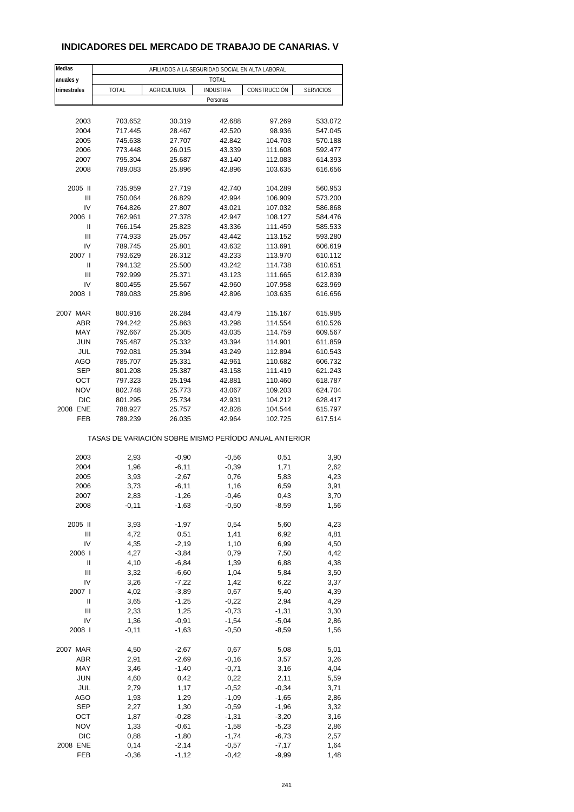# **INDICADORES DEL MERCADO DE TRABAJO DE CANARIAS. V**

| Medias          |                                                       |                    | AFILIADOS A LA SEGURIDAD SOCIAL EN ALTA LABORAL |                    |                    |
|-----------------|-------------------------------------------------------|--------------------|-------------------------------------------------|--------------------|--------------------|
| anuales y       |                                                       |                    | <b>TOTAL</b>                                    |                    |                    |
| trimestrales    | TOTAL                                                 | <b>AGRICULTURA</b> | <b>INDUSTRIA</b>                                | CONSTRUCCIÓN       | <b>SERVICIOS</b>   |
|                 |                                                       |                    | Personas                                        |                    |                    |
|                 |                                                       |                    |                                                 |                    |                    |
| 2003            | 703.652                                               | 30.319             | 42.688                                          | 97.269             | 533.072            |
| 2004            | 717.445                                               | 28.467             | 42.520                                          | 98.936             | 547.045            |
| 2005            | 745.638                                               | 27.707             | 42.842                                          | 104.703            | 570.188            |
| 2006            | 773.448                                               | 26.015             | 43.339                                          | 111.608            | 592.477            |
| 2007            | 795.304                                               | 25.687             | 43.140                                          | 112.083            | 614.393            |
| 2008            | 789.083                                               | 25.896             | 42.896                                          | 103.635            | 616.656            |
| 2005 II         | 735.959                                               | 27.719             | 42.740                                          | 104.289            | 560.953            |
| Ш               | 750.064                                               | 26.829             | 42.994                                          | 106.909            | 573.200            |
| IV              | 764.826                                               | 27.807             | 43.021                                          | 107.032            | 586.868            |
| 2006            | 762.961                                               | 27.378             | 42.947                                          | 108.127            | 584.476            |
| $\mathbf{I}$    | 766.154                                               | 25.823             | 43.336                                          | 111.459            | 585.533            |
| Ш               | 774.933                                               | 25.057             | 43.442                                          | 113.152            | 593.280            |
| IV              | 789.745                                               | 25.801             | 43.632                                          | 113.691            | 606.619            |
| 2007 l          | 793.629                                               | 26.312             | 43.233                                          | 113.970            | 610.112            |
| Ш               | 794.132                                               | 25.500             | 43.242                                          | 114.738            | 610.651            |
| Ш               | 792.999                                               | 25.371             | 43.123                                          | 111.665            | 612.839            |
| IV              | 800.455                                               | 25.567             | 42.960                                          | 107.958            | 623.969            |
| 2008            | 789.083                                               | 25.896             | 42.896                                          | 103.635            | 616.656            |
|                 |                                                       |                    |                                                 |                    |                    |
| 2007 MAR        | 800.916                                               | 26.284             | 43.479                                          | 115.167            | 615.985            |
| <b>ABR</b>      | 794.242                                               | 25.863             | 43.298                                          | 114.554            | 610.526            |
| MAY             | 792.667                                               | 25.305             | 43.035                                          | 114.759            | 609.567            |
| <b>JUN</b>      | 795.487                                               | 25.332             | 43.394                                          | 114.901            | 611.859            |
| JUL             | 792.081                                               | 25.394             | 43.249                                          | 112.894            | 610.543            |
| AGO             | 785.707                                               | 25.331             | 42.961                                          | 110.682            | 606.732            |
| <b>SEP</b>      | 801.208                                               | 25.387             | 43.158                                          | 111.419            | 621.243            |
| OCT             | 797.323                                               | 25.194             | 42.881                                          | 110.460            | 618.787            |
| <b>NOV</b>      | 802.748                                               | 25.773             | 43.067                                          | 109.203            | 624.704            |
| <b>DIC</b>      | 801.295                                               | 25.734             | 42.931                                          | 104.212            | 628.417            |
| 2008 ENE<br>FEB | 788.927<br>789.239                                    | 25.757<br>26.035   | 42.828<br>42.964                                | 104.544<br>102.725 | 615.797<br>617.514 |
|                 |                                                       |                    |                                                 |                    |                    |
|                 | TASAS DE VARIACIÓN SOBRE MISMO PERÍODO ANUAL ANTERIOR |                    |                                                 |                    |                    |
|                 |                                                       |                    |                                                 |                    |                    |
| 2003            | 2,93                                                  | $-0,90$            | $-0,56$                                         | 0,51               | 3,90               |
| 2004            | 1,96                                                  | $-6, 11$           | $-0,39$                                         | 1,71               | 2,62               |
| 2005            | 3,93                                                  | $-2,67$            | 0,76                                            | 5,83               | 4,23               |
| 2006            | 3,73                                                  | $-6,11$            | 1,16                                            | 6,59               | 3,91               |
| 2007            | 2,83                                                  | -1,26              | -0,46                                           | 0,43               | 3,70               |
| 2008            | $-0,11$                                               | $-1,63$            | $-0,50$                                         | $-8,59$            | 1,56               |
|                 |                                                       |                    |                                                 |                    |                    |
| 2005 II         | 3,93                                                  | $-1,97$            | 0,54                                            | 5,60               | 4,23               |
| Ш<br>IV         | 4,72                                                  | 0,51               | 1,41                                            | 6,92<br>6,99       | 4,81               |
| 2006            | 4,35<br>4,27                                          | $-2,19$<br>$-3,84$ | 1,10                                            | 7,50               | 4,50               |
| Ш               | 4,10                                                  | $-6,84$            | 0,79<br>1,39                                    | 6,88               | 4,42<br>4,38       |
| Ш               | 3,32                                                  | $-6,60$            | 1,04                                            | 5,84               | 3,50               |
| IV              | 3,26                                                  | $-7,22$            | 1,42                                            | 6,22               | 3,37               |
| 2007 l          | 4,02                                                  | $-3,89$            | 0,67                                            | 5,40               | 4,39               |
| Ш               | 3,65                                                  | $-1,25$            | $-0,22$                                         | 2,94               | 4,29               |
| Ш               | 2,33                                                  | 1,25               | $-0,73$                                         | $-1,31$            | 3,30               |
| IV              | 1,36                                                  | $-0,91$            | $-1,54$                                         | $-5,04$            | 2,86               |
| 2008            | $-0,11$                                               | $-1,63$            | $-0,50$                                         | $-8,59$            | 1,56               |
|                 |                                                       |                    |                                                 |                    |                    |
| 2007 MAR        | 4,50                                                  | $-2,67$            | 0,67                                            | 5,08               | 5,01               |
| ABR             | 2,91                                                  | $-2,69$            | $-0,16$                                         | 3,57               | 3,26               |
| MAY             | 3,46                                                  | $-1,40$            | $-0,71$                                         | 3,16               | 4,04               |
| <b>JUN</b>      | 4,60                                                  | 0,42               | 0,22                                            | 2,11               | 5,59               |
| JUL             | 2,79                                                  | 1,17               | $-0,52$                                         | $-0,34$            | 3,71               |
| AGO             | 1,93                                                  | 1,29               | $-1,09$                                         | $-1,65$            | 2,86               |
| <b>SEP</b>      | 2,27                                                  | 1,30               | $-0,59$                                         | $-1,96$            | 3,32               |
| OCT             | 1,87                                                  | $-0,28$            | $-1,31$                                         | $-3,20$            | 3,16               |
| <b>NOV</b>      | 1,33                                                  | $-0,61$            | $-1,58$                                         | $-5,23$            | 2,86               |
| DIC             | 0,88                                                  | $-1,80$            | $-1,74$                                         | $-6,73$            | 2,57               |
| 2008 ENE        | 0,14                                                  | $-2,14$            | $-0,57$                                         | $-7,17$            | 1,64               |
| FEB             | $-0,36$                                               | $-1, 12$           | $-0,42$                                         | $-9,99$            | 1,48               |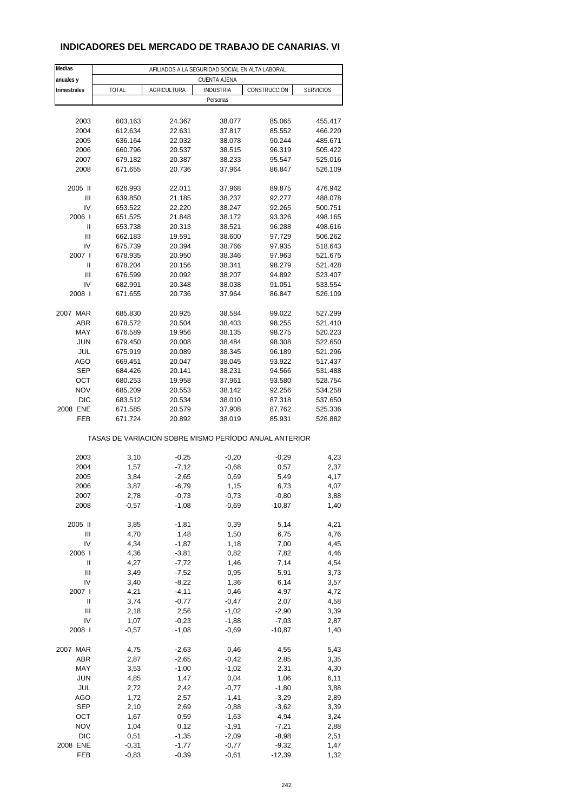# **INDICADORES DEL MERCADO DE TRABAJO DE CANARIAS. VI**

| Medias            | AFILIADOS A LA SEGURIDAD SOCIAL EN ALTA LABORAL       |                    |                     |                    |                    |  |  |  |  |
|-------------------|-------------------------------------------------------|--------------------|---------------------|--------------------|--------------------|--|--|--|--|
| anuales y         |                                                       |                    | <b>CUENTA AJENA</b> |                    |                    |  |  |  |  |
| trimestrales      | <b>TOTAL</b>                                          | <b>AGRICULTURA</b> | <b>INDUSTRIA</b>    | CONSTRUCCIÓN       | <b>SERVICIOS</b>   |  |  |  |  |
|                   |                                                       |                    | Personas            |                    |                    |  |  |  |  |
|                   |                                                       |                    |                     |                    |                    |  |  |  |  |
| 2003              | 603.163                                               | 24.367             | 38.077              | 85.065             | 455.417            |  |  |  |  |
| 2004              | 612.634                                               | 22.631             | 37.817              | 85.552             | 466.220            |  |  |  |  |
| 2005              | 636.164                                               | 22.032             | 38.078              | 90.244             | 485.671            |  |  |  |  |
| 2006              | 660.796                                               | 20.537             | 38.515              | 96.319             | 505.422            |  |  |  |  |
| 2007<br>2008      | 679.182<br>671.655                                    | 20.387<br>20.736   | 38.233<br>37.964    | 95.547<br>86.847   | 525.016<br>526.109 |  |  |  |  |
|                   |                                                       |                    |                     |                    |                    |  |  |  |  |
| 2005 II           | 626.993                                               | 22.011             | 37.968              | 89.875             | 476.942            |  |  |  |  |
| Ш                 | 639.850                                               | 21.185             | 38.237              | 92.277             | 488.078            |  |  |  |  |
| IV                | 653.522                                               | 22.220             | 38.247              | 92.265             | 500.751            |  |  |  |  |
| 2006              | 651.525                                               | 21.848             | 38.172              | 93.326             | 498.165            |  |  |  |  |
| $\mathbf{I}$      | 653.738                                               | 20.313             | 38.521              | 96.288             | 498.616            |  |  |  |  |
| Ш                 | 662.183                                               | 19.591             | 38.600              | 97.729             | 506.262            |  |  |  |  |
| IV                | 675.739                                               | 20.394             | 38.766              | 97.935             | 518.643            |  |  |  |  |
| 2007 l            | 678.935                                               | 20.950             | 38.346              | 97.963             | 521.675            |  |  |  |  |
| Ш<br>Ш            | 678.204<br>676.599                                    | 20.156<br>20.092   | 38.341<br>38.207    | 98.279<br>94.892   | 521.428<br>523.407 |  |  |  |  |
| IV                | 682.991                                               | 20.348             | 38.038              | 91.051             | 533.554            |  |  |  |  |
| 2008              | 671.655                                               | 20.736             | 37.964              | 86.847             | 526.109            |  |  |  |  |
|                   |                                                       |                    |                     |                    |                    |  |  |  |  |
| 2007 MAR          | 685.830                                               | 20.925             | 38.584              | 99.022             | 527.299            |  |  |  |  |
| <b>ABR</b>        | 678.572                                               | 20.504             | 38.403              | 98.255             | 521.410            |  |  |  |  |
| MAY               | 676.589                                               | 19.956             | 38.135              | 98.275             | 520.223            |  |  |  |  |
| <b>JUN</b>        | 679.450                                               | 20.008             | 38.484              | 98.308             | 522.650            |  |  |  |  |
| JUL               | 675.919                                               | 20.089             | 38.345              | 96.189             | 521.296            |  |  |  |  |
| AGO               | 669.451                                               | 20.047             | 38.045              | 93.922             | 517.437            |  |  |  |  |
| <b>SEP</b>        | 684.426                                               | 20.141             | 38.231              | 94.566             | 531.488            |  |  |  |  |
| OCT               | 680.253                                               | 19.958             | 37.961              | 93.580             | 528.754            |  |  |  |  |
| <b>NOV</b><br>DIC | 685.209<br>683.512                                    | 20.553<br>20.534   | 38.142<br>38.010    | 92.256<br>87.318   | 534.258<br>537.650 |  |  |  |  |
| 2008 ENE          | 671.585                                               | 20.579             | 37.908              | 87.762             | 525.336            |  |  |  |  |
| FEB               | 671.724                                               | 20.892             | 38.019              | 85.931             | 526.882            |  |  |  |  |
|                   |                                                       |                    |                     |                    |                    |  |  |  |  |
|                   | TASAS DE VARIACIÓN SOBRE MISMO PERÍODO ANUAL ANTERIOR |                    |                     |                    |                    |  |  |  |  |
|                   |                                                       |                    |                     |                    |                    |  |  |  |  |
| 2003              | 3,10                                                  | $-0,25$            | $-0,20$             | $-0,29$            | 4,23               |  |  |  |  |
| 2004<br>2005      | 1,57                                                  | $-7,12$            | $-0,68$             | 0,57               | 2,37               |  |  |  |  |
| 2006              | 3,84<br>3,87                                          | $-2,65$<br>$-6,79$ | 0,69<br>1,15        | 5,49<br>6,73       | 4,17<br>4,07       |  |  |  |  |
| 2007              | 2,78                                                  | $-0,73$            | $-0,73$             | $-0,80$            | 3,88               |  |  |  |  |
| 2008              | $-0,57$                                               | $-1,08$            | $-0,69$             | $-10,87$           | 1,40               |  |  |  |  |
|                   |                                                       |                    |                     |                    |                    |  |  |  |  |
| 2005 II           | 3,85                                                  | $-1,81$            | 0,39                | 5,14               | 4,21               |  |  |  |  |
| Ш                 | 4,70                                                  | 1,48               | 1,50                | 6,75               | 4,76               |  |  |  |  |
| IV                | 4,34                                                  | $-1,87$            | 1,18                | 7,00               | 4,45               |  |  |  |  |
| 2006              | 4,36                                                  | $-3,81$            | 0,82                | 7,82               | 4,46               |  |  |  |  |
| Ш                 | 4,27                                                  | $-7,72$            | 1,46                | 7,14               | 4,54               |  |  |  |  |
| Ш<br>IV           | 3,49<br>3,40                                          | $-7,52$<br>$-8,22$ | 0,95<br>1,36        | 5,91<br>6,14       | 3,73<br>3,57       |  |  |  |  |
| 2007 l            | 4,21                                                  | $-4, 11$           | 0,46                | 4,97               | 4,72               |  |  |  |  |
| Ш                 | 3,74                                                  | $-0,77$            | $-0,47$             | 2,07               | 4,58               |  |  |  |  |
| Ш                 | 2,18                                                  | 2,56               | $-1,02$             | $-2,90$            | 3,39               |  |  |  |  |
| IV                | 1,07                                                  | $-0,23$            | $-1,88$             | $-7,03$            | 2,87               |  |  |  |  |
| 2008              | $-0,57$                                               | $-1,08$            | $-0,69$             | $-10,87$           | 1,40               |  |  |  |  |
|                   |                                                       |                    |                     |                    |                    |  |  |  |  |
| 2007 MAR          | 4,75                                                  | $-2,63$            | 0,46                | 4,55               | 5,43               |  |  |  |  |
| ABR               | 2,87                                                  | $-2,65$            | $-0,42$             | 2,85               | 3,35               |  |  |  |  |
| MAY               | 3,53                                                  | $-1,00$            | $-1,02$             | 2,31               | 4,30               |  |  |  |  |
| <b>JUN</b>        | 4,85                                                  | 1,47               | 0,04                | 1,06               | 6,11               |  |  |  |  |
| JUL               | 2,72                                                  | 2,42               | $-0,77$             | $-1,80$            | 3,88               |  |  |  |  |
| AGO<br><b>SEP</b> | 1,72<br>2,10                                          | 2,57<br>2,69       | $-1,41$<br>$-0,88$  | $-3,29$<br>$-3,62$ | 2,89               |  |  |  |  |
| ОСТ               | 1,67                                                  | 0,59               | $-1,63$             | $-4,94$            | 3,39<br>3,24       |  |  |  |  |
| <b>NOV</b>        | 1,04                                                  | 0,12               | $-1,91$             | $-7,21$            | 2,88               |  |  |  |  |
| DIC               | 0,51                                                  | $-1,35$            | $-2,09$             | $-8,98$            | 2,51               |  |  |  |  |
| 2008 ENE          | $-0,31$                                               | $-1,77$            | $-0,77$             | $-9,32$            | 1,47               |  |  |  |  |
| FEB               | $-0,83$                                               | $-0,39$            | $-0,61$             | $-12,39$           | 1,32               |  |  |  |  |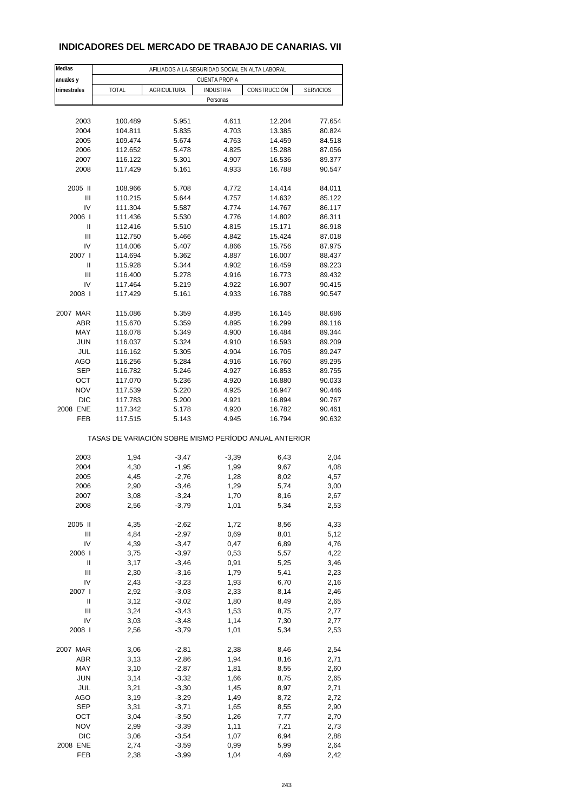# **INDICADORES DEL MERCADO DE TRABAJO DE CANARIAS. VII**

| Medias<br>anuales y | AFILIADOS A LA SEGURIDAD SOCIAL EN ALTA LABORAL<br><b>CUENTA PROPIA</b> |                    |                  |                                                       |                  |  |  |  |
|---------------------|-------------------------------------------------------------------------|--------------------|------------------|-------------------------------------------------------|------------------|--|--|--|
| trimestrales        | <b>TOTAL</b>                                                            | <b>AGRICULTURA</b> | <b>INDUSTRIA</b> | CONSTRUCCIÓN                                          | <b>SERVICIOS</b> |  |  |  |
|                     |                                                                         |                    | Personas         |                                                       |                  |  |  |  |
|                     |                                                                         |                    |                  |                                                       |                  |  |  |  |
| 2003                | 100.489                                                                 | 5.951              | 4.611            | 12.204                                                | 77.654           |  |  |  |
| 2004                | 104.811                                                                 | 5.835              | 4.703            | 13.385                                                | 80.824           |  |  |  |
| 2005                | 109.474                                                                 | 5.674              | 4.763            | 14.459                                                | 84.518           |  |  |  |
| 2006                | 112.652                                                                 | 5.478              | 4.825            | 15.288                                                |                  |  |  |  |
|                     |                                                                         |                    |                  |                                                       | 87.056           |  |  |  |
| 2007                | 116.122                                                                 | 5.301              | 4.907            | 16.536                                                | 89.377           |  |  |  |
| 2008                | 117.429                                                                 | 5.161              | 4.933            | 16.788                                                | 90.547           |  |  |  |
| 2005 II             | 108.966                                                                 | 5.708              | 4.772            | 14.414                                                | 84.011           |  |  |  |
| Ш                   | 110.215                                                                 | 5.644              | 4.757            | 14.632                                                | 85.122           |  |  |  |
| IV                  | 111.304                                                                 | 5.587              | 4.774            | 14.767                                                | 86.117           |  |  |  |
| 2006                | 111.436                                                                 | 5.530              | 4.776            | 14.802                                                | 86.311           |  |  |  |
| Ш                   | 112.416                                                                 | 5.510              | 4.815            | 15.171                                                | 86.918           |  |  |  |
| Ш                   | 112.750                                                                 | 5.466              | 4.842            | 15.424                                                | 87.018           |  |  |  |
| IV                  | 114.006                                                                 | 5.407              | 4.866            | 15.756                                                | 87.975           |  |  |  |
| 2007 l              | 114.694                                                                 | 5.362              | 4.887            | 16.007                                                | 88.437           |  |  |  |
| Ш                   | 115.928                                                                 | 5.344              | 4.902            | 16.459                                                | 89.223           |  |  |  |
|                     |                                                                         |                    |                  |                                                       |                  |  |  |  |
| Ш                   | 116.400                                                                 | 5.278              | 4.916            | 16.773                                                | 89.432           |  |  |  |
| IV                  | 117.464                                                                 | 5.219              | 4.922            | 16.907                                                | 90.415           |  |  |  |
| 2008                | 117.429                                                                 | 5.161              | 4.933            | 16.788                                                | 90.547           |  |  |  |
| 2007 MAR            | 115.086                                                                 | 5.359              | 4.895            | 16.145                                                | 88.686           |  |  |  |
| <b>ABR</b>          | 115.670                                                                 | 5.359              | 4.895            | 16.299                                                | 89.116           |  |  |  |
| MAY                 | 116.078                                                                 | 5.349              | 4.900            | 16.484                                                | 89.344           |  |  |  |
| <b>JUN</b>          | 116.037                                                                 | 5.324              | 4.910            | 16.593                                                | 89.209           |  |  |  |
| JUL                 | 116.162                                                                 | 5.305              | 4.904            | 16.705                                                | 89.247           |  |  |  |
| AGO                 | 116.256                                                                 | 5.284              | 4.916            | 16.760                                                | 89.295           |  |  |  |
| <b>SEP</b>          | 116.782                                                                 | 5.246              | 4.927            | 16.853                                                | 89.755           |  |  |  |
|                     |                                                                         |                    |                  |                                                       |                  |  |  |  |
| OCT                 | 117.070                                                                 | 5.236              | 4.920            | 16.880                                                | 90.033           |  |  |  |
| <b>NOV</b>          | 117.539                                                                 | 5.220              | 4.925            | 16.947                                                | 90.446           |  |  |  |
| DIC                 | 117.783                                                                 | 5.200              | 4.921            | 16.894                                                | 90.767           |  |  |  |
| 2008 ENE            | 117.342                                                                 | 5.178              | 4.920            | 16.782                                                | 90.461           |  |  |  |
| FEB                 | 117.515                                                                 | 5.143              | 4.945            | 16.794                                                | 90.632           |  |  |  |
|                     |                                                                         |                    |                  | TASAS DE VARIACIÓN SOBRE MISMO PERÍODO ANUAL ANTERIOR |                  |  |  |  |
| 2003                | 1,94                                                                    | $-3,47$            | $-3,39$          | 6,43                                                  | 2,04             |  |  |  |
| 2004                | 4,30                                                                    | $-1,95$            | 1,99             | 9,67                                                  | 4,08             |  |  |  |
| 2005                | 4,45                                                                    | $-2,76$            | 1,28             | 8,02                                                  | 4,57             |  |  |  |
| 2006                |                                                                         | $-3,46$            |                  |                                                       |                  |  |  |  |
|                     | 2,90                                                                    |                    | 1,29             | 5,74                                                  | 3,00             |  |  |  |
| 2007                | 3,08                                                                    | $-3,24$            | 1,70             | 8,16                                                  | 2,67             |  |  |  |
| 2008                | 2,56                                                                    | $-3,79$            | 1,01             | 5,34                                                  | 2,53             |  |  |  |
| 2005 II             | 4,35                                                                    | $-2,62$            | 1,72             | 8,56                                                  | 4,33             |  |  |  |
| Ш                   | 4,84                                                                    | $-2,97$            | 0,69             | 8,01                                                  | 5,12             |  |  |  |
| IV                  | 4,39                                                                    | $-3,47$            | 0,47             | 6,89                                                  | 4,76             |  |  |  |
| 2006                | 3,75                                                                    | $-3,97$            | 0,53             | 5,57                                                  | 4,22             |  |  |  |
| Ш                   | 3,17                                                                    | $-3,46$            | 0,91             | 5,25                                                  | 3,46             |  |  |  |
| Ш                   | 2,30                                                                    | $-3,16$            | 1,79             | 5,41                                                  | 2,23             |  |  |  |
| IV                  | 2,43                                                                    | $-3,23$            | 1,93             | 6,70                                                  | 2,16             |  |  |  |
|                     |                                                                         |                    |                  |                                                       |                  |  |  |  |
| 2007 l              | 2,92                                                                    | $-3,03$            | 2,33             | 8,14                                                  | 2,46             |  |  |  |
| Ш                   | 3,12                                                                    | $-3,02$            | 1,80             | 8,49                                                  | 2,65             |  |  |  |
| Ш                   | 3,24                                                                    | $-3,43$            | 1,53             | 8,75                                                  | 2,77             |  |  |  |
| IV                  | 3,03                                                                    | $-3,48$            | 1,14             | 7,30                                                  | 2,77             |  |  |  |
| 2008                | 2,56                                                                    | $-3,79$            | 1,01             | 5,34                                                  | 2,53             |  |  |  |
| 2007 MAR            | 3,06                                                                    | $-2,81$            | 2,38             | 8,46                                                  | 2,54             |  |  |  |
| ABR                 | 3,13                                                                    | $-2,86$            | 1,94             | 8,16                                                  | 2,71             |  |  |  |
| MAY                 | 3,10                                                                    | $-2,87$            | 1,81             | 8,55                                                  | 2,60             |  |  |  |
|                     |                                                                         |                    |                  |                                                       |                  |  |  |  |
| <b>JUN</b>          | 3,14                                                                    | $-3,32$            | 1,66             | 8,75                                                  | 2,65             |  |  |  |
| JUL                 | 3,21                                                                    | $-3,30$            | 1,45             | 8,97                                                  | 2,71             |  |  |  |
| AGO                 | 3,19                                                                    | $-3,29$            | 1,49             | 8,72                                                  | 2,72             |  |  |  |
| SEP                 | 3,31                                                                    | $-3,71$            | 1,65             | 8,55                                                  | 2,90             |  |  |  |
| ост                 | 3,04                                                                    | $-3,50$            | 1,26             | 7,77                                                  | 2,70             |  |  |  |
| <b>NOV</b>          | 2,99                                                                    | $-3,39$            | 1,11             | 7,21                                                  | 2,73             |  |  |  |
| DIC                 | 3,06                                                                    | $-3,54$            | 1,07             | 6,94                                                  | 2,88             |  |  |  |
| 2008 ENE            | 2,74                                                                    | $-3,59$            | 0,99             | 5,99                                                  | 2,64             |  |  |  |
| FEB                 | 2,38                                                                    | $-3,99$            | 1,04             | 4,69                                                  | 2,42             |  |  |  |
|                     |                                                                         |                    |                  |                                                       |                  |  |  |  |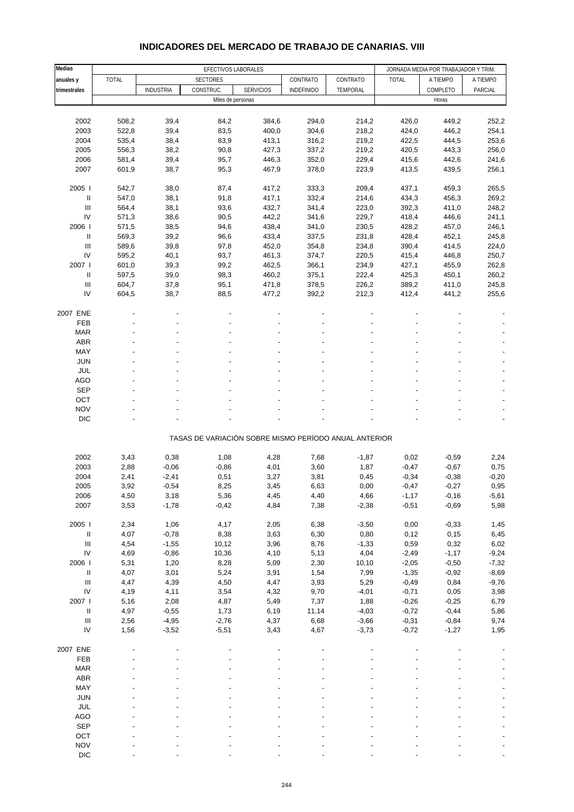| Medias                                            | EFECTIVOS LABORALES |                    |                 |                                                       |                   | JORNADA MEDIA POR TRABAJADOR Y TRIM. |                    |                    |                |
|---------------------------------------------------|---------------------|--------------------|-----------------|-------------------------------------------------------|-------------------|--------------------------------------|--------------------|--------------------|----------------|
| anuales y                                         | TOTAL               |                    | <b>SECTORES</b> |                                                       | CONTRATO          | CONTRATO                             | <b>TOTAL</b>       | A TIEMPO           | A TIEMPO       |
| trimestrales                                      |                     | <b>INDUSTRIA</b>   | CONSTRUC.       | <b>SERVICIOS</b>                                      | <b>INDEFINIDO</b> | TEMPORAL                             |                    | COMPLETO           | PARCIAL        |
|                                                   |                     |                    |                 | Miles de personas                                     |                   |                                      |                    | Horas              |                |
|                                                   |                     |                    |                 |                                                       |                   |                                      |                    |                    |                |
| 2002                                              | 508,2               | 39,4               | 84,2            |                                                       | 294,0             |                                      | 426,0              |                    | 252,2          |
| 2003                                              | 522,8               | 39,4               | 83,5            | 384,6<br>400,0                                        | 304,6             | 214,2<br>218,2                       | 424,0              | 449,2<br>446,2     | 254,1          |
| 2004                                              |                     |                    |                 |                                                       |                   |                                      |                    |                    |                |
| 2005                                              | 535,4<br>556,3      | 38,4<br>38,2       | 83,9<br>90,8    | 413,1                                                 | 316,2             | 219,2                                | 422,5<br>420,5     | 444,5<br>443,3     | 253,6<br>256,0 |
|                                                   |                     |                    |                 | 427,3                                                 | 337,2             | 219,2                                |                    |                    |                |
| 2006                                              | 581,4               | 39,4               | 95,7            | 446,3                                                 | 352,0             | 229,4                                | 415,6              | 442,6              | 241,6          |
| 2007                                              | 601,9               | 38,7               | 95,3            | 467,9                                                 | 378,0             | 223,9                                | 413,5              | 439,5              | 256,1          |
| 2005                                              | 542,7               | 38,0               | 87,4            | 417,2                                                 | 333,3             | 209,4                                | 437,1              | 459,3              | 265,5          |
| $\mathbf{I}$                                      | 547,0               |                    |                 |                                                       | 332,4             |                                      |                    |                    |                |
|                                                   |                     | 38,1               | 91,8            | 417,1                                                 |                   | 214,6                                | 434,3              | 456,3              | 269,2          |
| Ш                                                 | 564,4               | 38,1               | 93,6            | 432,7                                                 | 341,4             | 223,0                                | 392,3              | 411,0              | 248,2          |
| IV                                                | 571,3               | 38,6               | 90,5            | 442,2                                                 | 341,6             | 229,7                                | 418,4              | 446,6              | 241,1          |
| 2006                                              | 571,5               | 38,5               | 94,6            | 438,4                                                 | 341,0             | 230,5                                | 428,2              | 457,0              | 246,1          |
| $\mathbf{I}$                                      | 569,3               | 39,2               | 96,6            | 433,4                                                 | 337,5             | 231,8                                | 428,4              | 452,1              | 245,8          |
| Ш                                                 | 589,6               | 39,8               | 97,8            | 452,0                                                 | 354,8             | 234,8                                | 390,4              | 414,5              | 224,0          |
| IV                                                | 595,2               | 40,1               | 93,7            | 461,3                                                 | 374,7             | 220,5                                | 415,4              | 446,8              | 250,7          |
| 2007 l                                            | 601,0               | 39,3               | 99,2            | 462,5                                                 | 366,1             | 234,9                                | 427,1              | 455,9              | 262,8          |
| $\ensuremath{\mathsf{II}}$                        | 597,5               | 39,0               | 98,3            | 460,2                                                 | 375,1             | 222,4                                | 425,3              | 450,1              | 260,2          |
| Ш                                                 | 604,7               | 37,8               | 95,1            | 471,8                                                 | 378,5             | 226,2                                | 389,2              | 411,0              | 245,8          |
| IV                                                | 604,5               | 38,7               | 88,5            | 477,2                                                 | 392,2             | 212,3                                | 412,4              | 441,2              | 255,6          |
|                                                   |                     |                    |                 |                                                       |                   |                                      |                    |                    |                |
| 2007 ENE                                          |                     |                    |                 |                                                       |                   |                                      |                    |                    |                |
| FEB                                               |                     |                    |                 |                                                       |                   |                                      |                    |                    |                |
| <b>MAR</b>                                        |                     |                    |                 |                                                       |                   |                                      |                    |                    |                |
| <b>ABR</b>                                        |                     |                    |                 |                                                       |                   |                                      |                    |                    |                |
| MAY                                               |                     |                    |                 |                                                       |                   |                                      |                    |                    |                |
| <b>JUN</b>                                        |                     |                    |                 |                                                       |                   |                                      |                    |                    |                |
| <b>JUL</b>                                        |                     |                    |                 |                                                       |                   |                                      |                    |                    |                |
| <b>AGO</b>                                        |                     |                    |                 |                                                       |                   |                                      |                    |                    |                |
| <b>SEP</b>                                        |                     |                    |                 |                                                       |                   |                                      |                    |                    |                |
| OCT                                               |                     |                    |                 |                                                       |                   |                                      |                    |                    |                |
| <b>NOV</b>                                        |                     |                    |                 |                                                       |                   |                                      |                    |                    |                |
|                                                   |                     |                    |                 |                                                       |                   |                                      |                    |                    |                |
| <b>DIC</b>                                        |                     |                    |                 |                                                       |                   |                                      |                    |                    |                |
|                                                   |                     |                    |                 | TASAS DE VARIACIÓN SOBRE MISMO PERÍODO ANUAL ANTERIOR |                   |                                      |                    |                    |                |
|                                                   |                     |                    |                 |                                                       |                   |                                      |                    |                    |                |
| 2002                                              | 3,43                | 0,38               | 1,08            | 4,28                                                  | 7,68              | $-1,87$                              | 0,02               | $-0,59$            | 2,24           |
| 2003                                              | 2,88                | $-0,06$            | $-0,86$         | 4,01                                                  | 3,60              | 1,87                                 | $-0,47$            | $-0,67$            | 0,75           |
| 2004                                              | 2,41                | $-2,41$            | 0,51            | 3,27                                                  | 3,81              | 0,45                                 | $-0,34$            | $-0,38$            | $-0,20$        |
| 2005                                              | 3,92                | $-0,54$            | 8,25            | 3,45                                                  | 6,63              | 0,00                                 | $-0,47$            | $-0,27$            | 0,95           |
| 2006                                              | 4,50                | 3,18               | 5,36            | 4,45                                                  | 4,40              | 4,66                                 | $-1,17$            | $-0,16$            | $-5,61$        |
| 2007                                              | 3,53                | $-1,78$            | $-0,42$         | 4,84                                                  | 7,38              | $-2,38$                              | $-0,51$            | $-0,69$            | 5,98           |
|                                                   |                     |                    |                 |                                                       |                   |                                      |                    |                    |                |
| 2005 l                                            | 2,34                | 1,06               | 4,17            | 2,05                                                  | 6,38              | $-3,50$                              | 0,00               | $-0,33$            | 1,45           |
|                                                   |                     |                    |                 |                                                       |                   |                                      |                    |                    |                |
| $\sf II$<br>$\begin{array}{c} \hline \end{array}$ | 4,07<br>4,54        | $-0,78$<br>$-1,55$ | 8,38<br>10,12   | 3,63<br>3,96                                          | 6,30<br>8,76      | 0,80<br>$-1,33$                      | 0,12<br>0,59       | 0, 15<br>0,32      | 6,45<br>6,02   |
| IV                                                |                     |                    |                 |                                                       |                   |                                      |                    |                    |                |
| 2006                                              | 4,69<br>5,31        | $-0,86$<br>1,20    | 10,36<br>8,28   | 4,10<br>5,09                                          | 5,13<br>2,30      | 4,04                                 | $-2,49$<br>$-2,05$ | $-1,17$<br>$-0,50$ | $-9,24$        |
|                                                   |                     |                    |                 |                                                       |                   | 10,10                                |                    |                    | $-7,32$        |
| $\ensuremath{\mathsf{II}}$                        | 4,07                | 3,01               | 5,24            | 3,91                                                  | 1,54              | 7,99                                 | $-1,35$            | $-0,92$            | $-8,69$        |
| $\mathsf{III}$                                    | 4,47                | 4,39               | 4,50            | 4,47                                                  | 3,93              | 5,29                                 | $-0,49$            | 0,84               | $-9,76$        |
| $\mathsf{IV}$                                     | 4,19                | 4,11               | 3,54            | 4,32                                                  | 9,70              | $-4,01$                              | $-0,71$            | 0,05               | 3,98           |
| 2007 l                                            | 5,16                | 2,08               | 4,87            | 5,49                                                  | 7,37              | 1,88                                 | $-0,26$            | $-0,25$            | 6,79           |
| Ш                                                 | 4,97                | $-0,55$            | 1,73            | 6,19                                                  | 11,14             | $-4,03$                              | $-0,72$            | $-0,44$            | 5,86           |
| Ш                                                 | 2,56                | $-4,95$            | $-2,76$         | 4,37                                                  | 6,68              | $-3,66$                              | $-0,31$            | $-0,84$            | 9,74           |
| IV                                                | 1,56                | $-3,52$            | $-5,51$         | 3,43                                                  | 4,67              | $-3,73$                              | $-0,72$            | $-1,27$            | 1,95           |
|                                                   |                     |                    |                 |                                                       |                   |                                      |                    |                    |                |
| 2007 ENE                                          |                     |                    |                 |                                                       |                   |                                      |                    |                    |                |
| FEB                                               |                     |                    |                 |                                                       |                   |                                      |                    |                    |                |
| <b>MAR</b>                                        |                     |                    |                 |                                                       |                   |                                      |                    |                    |                |
| ABR                                               |                     |                    |                 |                                                       |                   |                                      |                    |                    |                |
| MAY                                               |                     |                    |                 |                                                       |                   |                                      |                    |                    |                |
| <b>JUN</b>                                        |                     |                    |                 |                                                       |                   |                                      |                    |                    |                |
| JUL                                               |                     |                    |                 |                                                       |                   |                                      |                    |                    |                |
| AGO                                               |                     |                    |                 |                                                       |                   |                                      |                    |                    |                |
| <b>SEP</b>                                        |                     |                    |                 |                                                       |                   |                                      |                    |                    |                |
| OCT                                               |                     |                    |                 |                                                       |                   |                                      |                    |                    |                |
| <b>NOV</b>                                        |                     |                    |                 |                                                       |                   |                                      |                    |                    |                |

## **INDICADORES DEL MERCADO DE TRABAJO DE CANARIAS. VIII**

DIC - - - - - - - - -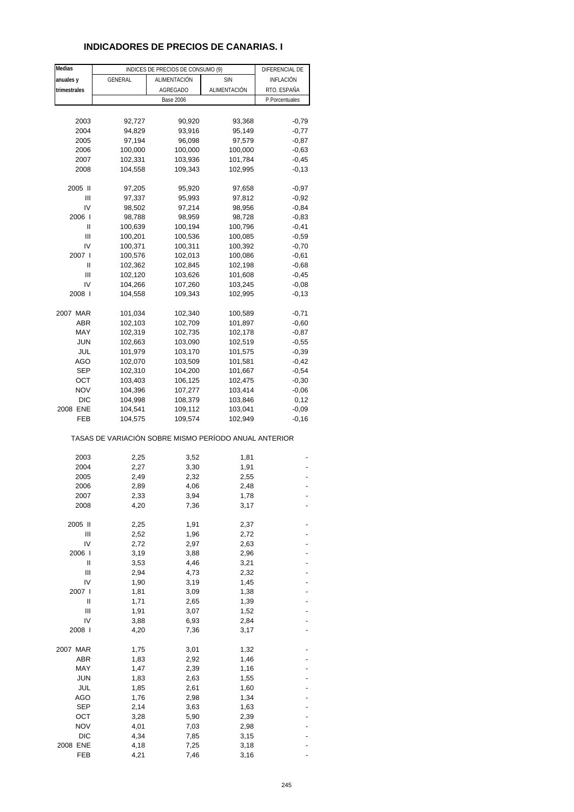# **INDICADORES DE PRECIOS DE CANARIAS. I**

| Medias       |                                                       | INDICES DE PRECIOS DE CONSUMO (9) |              | DIFERENCIAL DE |
|--------------|-------------------------------------------------------|-----------------------------------|--------------|----------------|
| anuales y    | <b>GENERAL</b>                                        | ALIMENTACIÓN                      | <b>SIN</b>   | INFLACIÓN      |
| trimestrales |                                                       | AGREGADO                          | ALIMENTACIÓN | RTO. ESPAÑA    |
|              |                                                       | <b>Base 2006</b>                  |              | P.Porcentuales |
|              |                                                       |                                   |              |                |
| 2003         | 92,727                                                | 90,920                            | 93,368       | $-0,79$        |
| 2004         | 94,829                                                | 93,916                            | 95,149       | $-0,77$        |
| 2005         | 97,194                                                | 96,098                            | 97,579       | $-0,87$        |
| 2006         | 100,000                                               | 100,000                           | 100,000      | $-0,63$        |
| 2007         | 102,331                                               | 103,936                           | 101,784      | $-0,45$        |
| 2008         | 104,558                                               | 109,343                           | 102,995      | $-0,13$        |
| 2005 II      | 97,205                                                | 95,920                            | 97,658       | $-0,97$        |
| Ш            | 97,337                                                | 95,993                            | 97,812       | $-0,92$        |
| IV           | 98,502                                                | 97,214                            | 98,956       | $-0,84$        |
| 2006         | 98,788                                                | 98,959                            | 98,728       | $-0,83$        |
| Ш            | 100,639                                               | 100,194                           | 100,796      | $-0,41$        |
| Ш            | 100,201                                               | 100,536                           | 100,085      | $-0,59$        |
| IV           | 100,371                                               | 100,311                           | 100,392      | $-0,70$        |
| 2007 l       | 100,576                                               | 102,013                           | 100,086      | $-0,61$        |
| Ш            | 102,362                                               | 102,845                           | 102,198      | $-0,68$        |
| Ш            | 102,120                                               | 103,626                           | 101,608      | $-0,45$        |
| IV           | 104,266                                               | 107,260                           | 103,245      | $-0,08$        |
| 2008 l       | 104,558                                               | 109,343                           | 102,995      | $-0,13$        |
| 2007 MAR     | 101,034                                               | 102,340                           | 100,589      | $-0,71$        |
| ABR          | 102,103                                               | 102,709                           | 101,897      | $-0,60$        |
| MAY          | 102,319                                               | 102,735                           | 102,178      | $-0,87$        |
| <b>JUN</b>   | 102,663                                               | 103,090                           | 102,519      | $-0,55$        |
| JUL          | 101,979                                               | 103,170                           | 101,575      | $-0,39$        |
| AGO          | 102,070                                               | 103,509                           | 101,581      | $-0,42$        |
| <b>SEP</b>   | 102,310                                               | 104,200                           | 101,667      | $-0,54$        |
| OCT          | 103,403                                               | 106,125                           | 102,475      | $-0,30$        |
| <b>NOV</b>   | 104,396                                               | 107,277                           | 103,414      | $-0,06$        |
| <b>DIC</b>   | 104,998                                               | 108,379                           | 103,846      | 0,12           |
| 2008 ENE     | 104,541                                               | 109,112                           | 103,041      | $-0,09$        |
| FEB          | 104,575                                               | 109,574                           | 102,949      | $-0,16$        |
|              | TASAS DE VARIACIÓN SOBRE MISMO PERÍODO ANUAL ANTERIOR |                                   |              |                |
| 2003         | 2,25                                                  | 3,52                              | 1,81         |                |
| 2004         | 2,27                                                  | 3,30                              | 1,91         |                |
| 2005         | 2,49                                                  | 2,32                              | 2,55         |                |
| 2006         | 2,89                                                  | 4,06                              | 2,48         |                |
| 2007         | 2,33                                                  | 3,94                              | 1,78         |                |
| 2008         | 4,20                                                  | 7,36                              | 3,17         |                |
| 2005 II      | 2,25                                                  | 1,91                              | 2,37         |                |
| Ш            | 2,52                                                  | 1,96                              | 2,72         |                |
| IV           | 2,72                                                  | 2,97                              | 2,63         |                |
| 2006 l       | 3,19                                                  | 3,88                              | 2,96         |                |
| Ш            | 3,53                                                  | 4,46                              | 3,21         |                |
| Ш            | 2,94                                                  | 4,73                              | 2,32         |                |
| IV           | 1,90                                                  | 3,19                              | 1,45         |                |
| 2007 l       | 1,81                                                  | 3,09                              | 1,38         |                |
| Ш            | 1,71                                                  | 2,65                              | 1,39         |                |
| Ш            | 1,91                                                  | 3,07                              | 1,52         |                |
| IV           | 3,88                                                  | 6,93                              | 2,84         |                |
| 2008 l       | 4,20                                                  | 7,36                              | 3,17         |                |
| 2007 MAR     | 1,75                                                  | 3,01                              | 1,32         |                |
| ABR          | 1,83                                                  | 2,92                              | 1,46         |                |
| MAY          | 1,47                                                  | 2,39                              | 1,16         |                |
| <b>JUN</b>   | 1,83                                                  | 2,63                              | 1,55         |                |
| JUL          | 1,85                                                  | 2,61                              | 1,60         |                |
| <b>AGO</b>   | 1,76                                                  | 2,98                              | 1,34         |                |
| <b>SEP</b>   | 2,14                                                  | 3,63                              | 1,63         |                |
| ост          | 3,28                                                  | 5,90                              | 2,39         |                |
| <b>NOV</b>   | 4,01                                                  | 7,03                              | 2,98         |                |
| <b>DIC</b>   | 4,34                                                  | 7,85                              | 3,15         |                |
| 2008 ENE     | 4,18                                                  | 7,25                              | 3,18         |                |
| FEB          | 4,21                                                  | 7,46                              | 3,16         |                |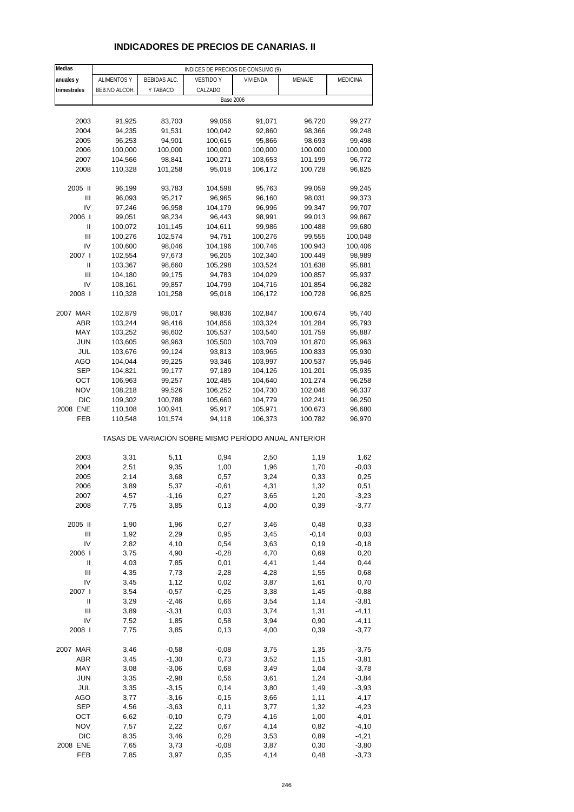# **INDICADORES DE PRECIOS DE CANARIAS. II**

| Medias                             |                    |                     | INDICES DE PRECIOS DE CONSUMO (9)                     |                    |                    |                  |
|------------------------------------|--------------------|---------------------|-------------------------------------------------------|--------------------|--------------------|------------------|
| anuales y                          | <b>ALIMENTOS Y</b> | <b>BEBIDAS ALC.</b> | <b>VESTIDO Y</b>                                      | <b>VIVIENDA</b>    | MENAJE             | MEDICINA         |
| trimestrales                       | BEB.NO ALCOH.      | Y TABACO            | CALZADO                                               |                    |                    |                  |
|                                    |                    |                     | <b>Base 2006</b>                                      |                    |                    |                  |
|                                    |                    |                     |                                                       |                    |                    |                  |
| 2003                               | 91,925             | 83,703              | 99,056                                                | 91,071             | 96,720             | 99,277           |
| 2004                               | 94,235             | 91,531              | 100,042                                               | 92,860             | 98,366             | 99,248           |
| 2005                               | 96,253             | 94,901              | 100,615                                               | 95,866             | 98,693             | 99,498           |
| 2006                               | 100,000            | 100,000             | 100,000                                               | 100,000            | 100,000            | 100,000          |
| 2007<br>2008                       | 104,566<br>110,328 | 98,841<br>101,258   | 100,271<br>95,018                                     | 103,653<br>106,172 | 101,199<br>100,728 | 96,772<br>96,825 |
|                                    |                    |                     |                                                       |                    |                    |                  |
| 2005 II                            | 96,199             | 93,783              | 104,598                                               | 95,763             | 99,059             | 99,245           |
| Ш                                  | 96,093             | 95,217              | 96,965                                                | 96,160             | 98,031             | 99,373           |
| IV                                 | 97,246             | 96,958              | 104,179                                               | 96,996             | 99,347             | 99,707           |
| 2006                               | 99,051             | 98,234              | 96,443                                                | 98,991             | 99,013             | 99,867           |
| Ш                                  | 100,072            | 101,145             | 104,611                                               | 99,986             | 100,488            | 99,680           |
| Ш                                  | 100,276            | 102,574             | 94,751                                                | 100,276            | 99,555             | 100,048          |
| IV                                 | 100,600            | 98,046              | 104,196                                               | 100,746            | 100,943            | 100,406          |
| 2007 l                             | 102,554            | 97,673              | 96,205                                                | 102,340            | 100,449            | 98,989           |
| Ш                                  | 103,367            | 98,660              | 105,298                                               | 103,524            | 101,638            | 95,881           |
| Ш<br>IV                            | 104,180            | 99,175              | 94,783                                                | 104,029<br>104,716 | 100,857            | 95,937<br>96,282 |
| 2008 l                             | 108,161<br>110,328 | 99,857<br>101,258   | 104,799<br>95,018                                     | 106,172            | 101,854<br>100,728 | 96,825           |
|                                    |                    |                     |                                                       |                    |                    |                  |
| 2007 MAR                           | 102,879            | 98,017              | 98,836                                                | 102,847            | 100,674            | 95,740           |
| ABR                                | 103,244            | 98,416              | 104,856                                               | 103,324            | 101,284            | 95,793           |
| MAY                                | 103,252            | 98,602              | 105,537                                               | 103,540            | 101,759            | 95,887           |
| <b>JUN</b>                         | 103,605            | 98,963              | 105,500                                               | 103,709            | 101,870            | 95,963           |
| JUL                                | 103,676            | 99,124              | 93,813                                                | 103,965            | 100,833            | 95,930           |
| AGO                                | 104,044            | 99,225              | 93,346                                                | 103,997            | 100,537            | 95,946           |
| <b>SEP</b>                         | 104,821            | 99,177              | 97,189                                                | 104,126            | 101,201            | 95,935           |
| OCT                                | 106,963            | 99,257              | 102,485                                               | 104,640            | 101,274            | 96,258           |
| <b>NOV</b>                         | 108,218            | 99,526              | 106,252                                               | 104,730            | 102,046            | 96,337           |
| <b>DIC</b>                         | 109,302            | 100,788             | 105,660                                               | 104,779            | 102,241            | 96,250           |
| 2008 ENE                           | 110,108            | 100,941             | 95,917                                                | 105,971            | 100,673            | 96,680           |
| FEB                                | 110,548            | 101,574             | 94,118                                                | 106,373            | 100,782            | 96,970           |
|                                    |                    |                     | TASAS DE VARIACIÓN SOBRE MISMO PERÍODO ANUAL ANTERIOR |                    |                    |                  |
| 2003                               | 3,31               | 5,11                | 0,94                                                  | 2,50               | 1,19               | 1,62             |
| 2004                               | 2,51               | 9,35                | 1,00                                                  | 1,96               | 1,70               | $-0,03$          |
| 2005                               | 2,14               | 3,68                | 0,57                                                  | 3,24               | 0,33               | 0,25             |
| 2006                               | 3,89               | 5,37                | $-0,61$                                               | 4,31               | 1,32               | 0,51             |
| 2007                               | 4,57               | -1,16               | 0,27                                                  | 3,65               | 1,20               | -3,23            |
| 2008                               | 7,75               | 3,85                | 0,13                                                  | 4,00               | 0,39               | $-3,77$          |
|                                    |                    |                     |                                                       |                    |                    |                  |
| 2005 II                            | 1,90               | 1,96                | 0,27                                                  | 3,46               | 0,48               | 0,33             |
| $\ensuremath{\mathsf{III}}\xspace$ | 1,92               | 2,29                | 0,95                                                  | 3,45               | $-0,14$            | 0,03             |
| IV                                 | 2,82               | 4,10                | 0,54                                                  | 3,63               | 0, 19              | $-0,18$          |
| 2006 l<br>Ш                        | 3,75<br>4,03       | 4,90<br>7,85        | $-0,28$<br>0,01                                       | 4,70<br>4,41       | 0,69<br>1,44       | 0,20<br>0,44     |
| $\mathsf{III}$                     | 4,35               | 7,73                | $-2,28$                                               | 4,28               | 1,55               | 0,68             |
| IV                                 | 3,45               | 1,12                | 0,02                                                  | 3,87               | 1,61               | 0,70             |
| 2007 l                             | 3,54               | $-0,57$             | $-0,25$                                               | 3,38               | 1,45               | $-0,88$          |
| $\sf II$                           | 3,29               | $-2,46$             | 0,66                                                  | 3,54               | 1,14               | $-3,81$          |
| Ш                                  | 3,89               | $-3,31$             | 0,03                                                  | 3,74               | 1,31               | $-4, 11$         |
| IV                                 | 7,52               | 1,85                | 0,58                                                  | 3,94               | 0,90               | $-4, 11$         |
| 2008 l                             | 7,75               | 3,85                | 0,13                                                  | 4,00               | 0,39               | $-3,77$          |
|                                    |                    |                     |                                                       |                    |                    |                  |
| 2007 MAR                           | 3,46               | $-0,58$             | $-0,08$                                               | 3,75               | 1,35               | $-3,75$          |
| ABR                                | 3,45               | $-1,30$             | 0,73                                                  | 3,52               | 1,15               | $-3,81$          |
| MAY                                | 3,08               | $-3,06$             | 0,68                                                  | 3,49               | 1,04               | $-3,78$          |
| <b>JUN</b>                         | 3,35               | $-2,98$             | 0,56                                                  | 3,61               | 1,24               | $-3,84$          |
| JUL                                | 3,35               | $-3,15$             | 0,14                                                  | 3,80               | 1,49               | $-3,93$          |
| AGO                                | 3,77               | $-3,16$             | $-0,15$                                               | 3,66               | 1,11               | $-4,17$          |
| <b>SEP</b><br>OCT                  | 4,56<br>6,62       | $-3,63$<br>$-0,10$  | 0,11<br>0,79                                          | 3,77<br>4,16       | 1,32               | $-4,23$          |
| <b>NOV</b>                         | 7,57               | 2,22                | 0,67                                                  | 4,14               | 1,00<br>0,82       | $-4,01$<br>-4,10 |
| <b>DIC</b>                         | 8,35               | 3,46                | 0,28                                                  | 3,53               | 0,89               | $-4,21$          |
| 2008 ENE                           | 7,65               | 3,73                | $-0,08$                                               | 3,87               | 0,30               | $-3,80$          |
| FEB                                | 7,85               | 3,97                | 0,35                                                  | 4,14               | 0,48               | $-3,73$          |
|                                    |                    |                     |                                                       |                    |                    |                  |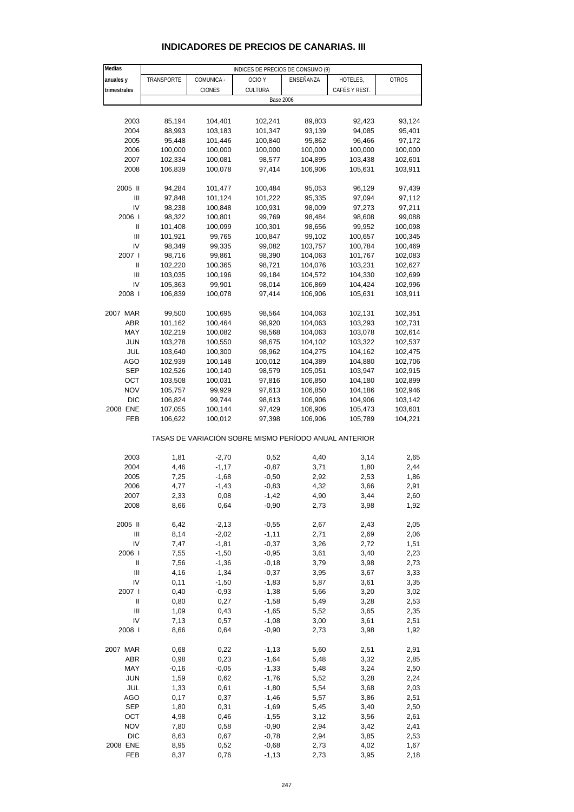#### **Medias anuales y TRANSPORTE COMUNICA OCIO Y ENSEÑANZA HOTELES, OTROS trimestrales CIONES** CIONES CULTURA CAFÉS Y REST. 2003 85,194 104,401 102,241 89,803 92,423 93,124 2004 88,993 103,183 101,347 93,139 94,085 95,401 2005 95,448 101,446 100,840 95,862 96,466 97,172 2006 100,000 100,000 100,000 100,000 100,000 100,000 2007 102,334 100,081 98,577 104,895 103,438 102,601 2008 106,839 100,078 97,414 106,906 105,631 103,911 2005 II 94,284 101,477 100,484 95,053 96,129 97,439 III 97,848 101,124 101,222 95,335 97,094 97,112 IV 98,238 100,848 100,931 98,009 97,273 97,211 2006 I 98,322 100,801 99,769 98,484 98,608 99,088 II 101,408 100,099 100,301 98,656 99,952 100,098 III 101,921 99,765 100,847 99,102 100,657 100,345 IV 98,349 99,335 99,082 103,757 100,784 100,469 2007 I 98,716 99,861 98,390 104,063 101,767 102,083 II 102,220 100,365 98,721 104,076 103,231 102,627 III 103,035 100,196 99,184 104,572 104,330 102,699 IV 105,363 99,901 98,014 106,869 104,424 102,996 2008 I 106,839 100,078 97,414 106,906 105,631 103,911 2007 MAR 99,500 100,695 98,564 104,063 102,131 102,351 ABR 101,162 100,464 98,920 104,063 103,293 102,731 MAY 102,219 100,082 98,568 104,063 103,078 102,614 JUN 103,278 100,550 98,675 104,102 103,322 102,537 JUL 103,640 100,300 98,962 104,275 104,162 102,475 AGO 102,939 100,148 100,012 104,389 104,880 102,706 SEP 102,526 100,140 98,579 105,051 103,947 102,915 OCT 103,508 100,031 97,816 106,850 104,180 102,899 NOV 105,757 99,929 97,613 106,850 104,186 102,946 DIC 106,824 99,744 98,613 106,906 104,906 103,142 2008 ENE 107,055 100,144 97,429 106,906 105,473 103,601 FEB 106,622 100,012 97,398 106,906 105,789 104,221 TASAS DE VARIACIÓN SOBRE MISMO PERÍODO ANUAL ANTERIOR 2003 1,81 -2,70 0,52 4,40 3,14 2,65 2004 4,46 -1,17 -0,87 3,71 1,80 2,44 2005 7,25 -1,68 -0,50 2,92 2,53 1,86 2006 4,77 -1,43 -0,83 4,32 3,66 2,91 2007 2,33 0,08 -1,42 4,90 3,44 2,60 2008 8,66 0,64 -0,90 2,73 3,98 1,92 2005 II 6,42 -2,13 -0,55 2,67 2,43 2,05 III 8,14 -2,02 -1,11 2,71 2,69 2,06 IV 7,47 -1,81 -0,37 3,26 2,72 1,51 2006 I 7,55 -1,50 -0,95 3,61 3,40 2,23 II 7,56 -1,36 -0,18 3,79 3,98 2,73 III 4,16 -1,34 -0,37 3,95 3,67 3,33 IV 0,11 -1,50 -1,83 5,87 3,61 3,35 2007 I 0,40 -0,93 -1,38 5,66 3,20 3,02 II 0,80 0,27 -1,58 5,49 3,28 2,53 III 1,09 0,43 -1,65 5,52 3,65 2,35 IV 7,13 0,57 -1,08 3,00 3,61 2,51 2008 I 8,66 0,64 -0,90 2,73 3,98 1,92 2007 MAR 0,68 0,22 -1,13 5,60 2,51 2,91 ABR 0,98 0,23 -1,64 5,48 3,32 2,85 MAY -0,16 -0,05 -1,33 5,48 3,24 2,50 JUN 1,59 0,62 -1,76 5,52 3,28 2,24 JUL 1,33 0,61 -1,80 5,54 3,68 2,03 AGO 0,17 0,37 -1,46 5,57 3,86 2,51 INDICES DE PRECIOS DE CONSUMO (9) Base 2006

## **INDICADORES DE PRECIOS DE CANARIAS. III**

SEP 1,80 0,31 -1,69 5,45 3,40 2,50 OCT 4,98 0,46 -1,55 3,12 3,56 2,61 NOV 7,80 0,58 -0,90 2,94 3,42 2,41 DIC 8,63 0,67 -0,78 2,94 3,85 2,53 2008 ENE 8,95 0,52 -0,68 2,73 4,02 1,67 FEB 8,37 0,76 -1,13 2,73 3,95 2,18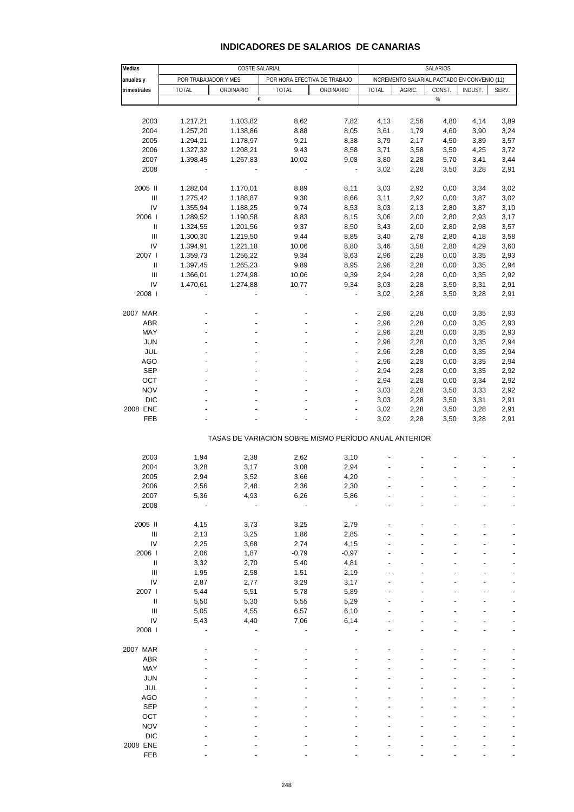| Medias                             |                      | COSTE SALARIAL |                                                       |                          |              |                                              | SALARIOS |         |       |
|------------------------------------|----------------------|----------------|-------------------------------------------------------|--------------------------|--------------|----------------------------------------------|----------|---------|-------|
| anuales y                          | POR TRABAJADOR Y MES |                | POR HORA EFECTIVA DE TRABAJO                          |                          |              | INCREMENTO SALARIAL PACTADO EN CONVENIO (11) |          |         |       |
| trimestrales                       | <b>TOTAL</b>         | ORDINARIO      | <b>TOTAL</b>                                          | ORDINARIO                | <b>TOTAL</b> | AGRIC.                                       | CONST.   | INDUST. | SERV. |
|                                    |                      | €              |                                                       |                          |              |                                              | %        |         |       |
|                                    |                      |                |                                                       |                          |              |                                              |          |         |       |
| 2003                               | 1.217,21             | 1.103,82       | 8,62                                                  | 7,82                     | 4,13         | 2,56                                         | 4,80     | 4,14    | 3,89  |
| 2004                               | 1.257,20             | 1.138,86       | 8,88                                                  | 8,05                     | 3,61         | 1,79                                         | 4,60     | 3,90    | 3,24  |
| 2005                               | 1.294,21             | 1.178,97       | 9,21                                                  | 8,38                     | 3,79         | 2,17                                         | 4,50     | 3,89    | 3,57  |
| 2006                               | 1.327,32             | 1.208,21       | 9,43                                                  | 8,58                     | 3,71         | 3,58                                         | 3,50     | 4,25    | 3,72  |
| 2007                               | 1.398,45             | 1.267,83       | 10,02                                                 | 9,08                     | 3,80         | 2,28                                         | 5,70     | 3,41    | 3,44  |
| 2008                               |                      |                | $\overline{\phantom{a}}$                              | $\blacksquare$           | 3,02         | 2,28                                         | 3,50     | 3,28    | 2,91  |
| 2005 II                            | 1.282,04             | 1.170,01       | 8,89                                                  | 8,11                     | 3,03         | 2,92                                         | 0,00     | 3,34    | 3,02  |
| $\ensuremath{\mathsf{III}}\xspace$ | 1.275,42             | 1.188,87       | 9,30                                                  | 8,66                     | 3,11         | 2,92                                         | 0,00     | 3,87    | 3,02  |
| IV                                 | 1.355,94             | 1.188,25       | 9,74                                                  | 8,53                     | 3,03         | 2,13                                         | 2,80     | 3,87    | 3,10  |
| 2006                               | 1.289,52             | 1.190,58       | 8,83                                                  | 8,15                     | 3,06         | 2,00                                         | 2,80     | 2,93    | 3,17  |
| $\ensuremath{\mathsf{II}}$         | 1.324,55             | 1.201,56       | 9,37                                                  | 8,50                     | 3,43         | 2,00                                         | 2,80     | 2,98    | 3,57  |
| Ш                                  | 1.300,30             | 1.219,50       | 9,44                                                  | 8,85                     | 3,40         | 2,78                                         | 2,80     | 4,18    | 3,58  |
| IV                                 | 1.394,91             | 1.221,18       | 10,06                                                 | 8,80                     | 3,46         | 3,58                                         | 2,80     | 4,29    | 3,60  |
| 2007 l                             | 1.359,73             | 1.256,22       | 9,34                                                  | 8,63                     | 2,96         | 2,28                                         | 0,00     | 3,35    | 2,93  |
| Ш                                  | 1.397,45             | 1.265,23       | 9,89                                                  | 8,95                     | 2,96         | 2,28                                         | 0,00     | 3,35    | 2,94  |
| $\ensuremath{\mathsf{III}}\xspace$ | 1.366,01             | 1.274,98       | 10,06                                                 | 9,39                     | 2,94         | 2,28                                         | 0,00     | 3,35    | 2,92  |
| IV                                 | 1.470,61             | 1.274,88       | 10,77                                                 | 9,34                     | 3,03         | 2,28                                         | 3,50     | 3,31    | 2,91  |
| 2008                               |                      |                |                                                       | $\overline{\phantom{a}}$ | 3,02         | 2,28                                         | 3,50     | 3,28    | 2,91  |
| 2007 MAR                           |                      |                |                                                       | Ĭ.                       | 2,96         | 2,28                                         | 0,00     | 3,35    | 2,93  |
| ABR                                |                      |                |                                                       | $\overline{\phantom{a}}$ | 2,96         | 2,28                                         | 0,00     | 3,35    | 2,93  |
| MAY                                |                      |                |                                                       |                          | 2,96         | 2,28                                         | 0,00     | 3,35    | 2,93  |
| <b>JUN</b>                         |                      |                |                                                       | $\overline{a}$           | 2,96         | 2,28                                         | 0,00     | 3,35    | 2,94  |
| JUL                                |                      |                |                                                       | $\overline{a}$           | 2,96         | 2,28                                         | 0,00     | 3,35    | 2,94  |
| <b>AGO</b>                         |                      |                |                                                       |                          | 2,96         | 2,28                                         | 0,00     | 3,35    | 2,94  |
| <b>SEP</b>                         |                      |                | $\overline{\phantom{a}}$                              | $\overline{\phantom{a}}$ | 2,94         | 2,28                                         | 0,00     | 3,35    | 2,92  |
| OCT                                |                      |                |                                                       | ÷,                       | 2,94         | 2,28                                         | 0,00     | 3,34    | 2,92  |
| <b>NOV</b>                         |                      |                |                                                       |                          | 3,03         | 2,28                                         | 3,50     | 3,33    | 2,92  |
| <b>DIC</b>                         |                      |                |                                                       | ÷,                       | 3,03         | 2,28                                         | 3,50     | 3,31    | 2,91  |
| 2008 ENE                           |                      |                |                                                       |                          | 3,02         | 2,28                                         | 3,50     | 3,28    | 2,91  |
| FEB                                |                      |                |                                                       |                          | 3,02         | 2,28                                         | 3,50     | 3,28    | 2,91  |
|                                    |                      |                | TASAS DE VARIACIÓN SOBRE MISMO PERÍODO ANUAL ANTERIOR |                          |              |                                              |          |         |       |
|                                    |                      |                |                                                       |                          |              |                                              |          |         |       |
| 2003                               | 1,94                 | 2,38           | 2,62                                                  | 3,10                     |              |                                              |          |         |       |
| 2004                               | 3,28                 | 3,17           | 3,08                                                  | 2,94                     |              |                                              |          |         |       |
| 2005                               | 2,94                 | 3,52           | 3,66                                                  | 4,20                     |              |                                              |          |         |       |
| 2006                               | 2,56                 | 2,48           | 2,36                                                  | 2,30                     |              |                                              |          |         |       |
| 2007                               | 5,36                 | 4,93           | 6,26                                                  | 5,86                     |              |                                              |          |         |       |
| 2008                               |                      |                |                                                       |                          |              |                                              |          |         |       |
| 2005 II                            | 4,15                 | 3,73           | 3,25                                                  | 2,79                     |              |                                              |          |         |       |
| $\ensuremath{\mathsf{III}}\xspace$ | 2,13                 | 3,25           | 1,86                                                  | 2,85                     |              |                                              |          |         |       |
| IV                                 | 2,25                 | 3,68           | 2,74                                                  | 4,15                     |              |                                              |          |         |       |
| 2006                               | 2,06                 | 1,87           | $-0,79$                                               | $-0,97$                  |              |                                              |          |         |       |
| Ш                                  | 3,32                 | 2,70           | 5,40                                                  | 4,81                     |              |                                              |          |         |       |
| $\ensuremath{\mathsf{III}}\xspace$ | 1,95                 | 2,58           | 1,51                                                  | 2,19                     |              |                                              |          |         |       |
| IV                                 | 2,87                 | 2,77           | 3,29                                                  | 3,17                     |              |                                              |          |         |       |
| 2007 l                             | 5,44                 | 5,51           | 5,78                                                  | 5,89                     |              |                                              |          |         |       |
| $\ensuremath{\mathsf{II}}$         | 5,50                 | 5,30           | 5,55                                                  | 5,29                     |              |                                              |          |         |       |
| $\ensuremath{\mathsf{III}}\xspace$ | 5,05                 | 4,55           | 6,57                                                  | 6,10                     |              |                                              |          |         |       |
| IV                                 | 5,43                 | 4,40           | 7,06                                                  | 6,14                     |              |                                              |          |         |       |
| 2008                               |                      |                |                                                       |                          |              |                                              |          |         |       |
| 2007 MAR                           |                      |                |                                                       |                          |              |                                              |          |         |       |
| <b>ABR</b>                         |                      |                |                                                       |                          |              |                                              |          |         |       |
| MAY                                |                      |                |                                                       |                          |              |                                              |          |         |       |
| <b>JUN</b>                         |                      |                |                                                       |                          |              |                                              |          |         |       |
| <b>JUL</b>                         |                      |                |                                                       |                          |              |                                              |          |         |       |
| <b>AGO</b>                         |                      |                |                                                       |                          |              |                                              |          |         |       |
| <b>SEP</b>                         |                      |                |                                                       |                          |              |                                              |          |         |       |
| OCT                                |                      |                |                                                       |                          |              |                                              |          |         |       |
| <b>NOV</b>                         |                      |                |                                                       |                          |              |                                              |          |         |       |
| <b>DIC</b>                         |                      |                |                                                       |                          |              |                                              |          |         |       |
| 2008 ENE                           |                      |                |                                                       |                          |              |                                              |          |         |       |
| FEB                                |                      |                |                                                       |                          |              |                                              |          |         |       |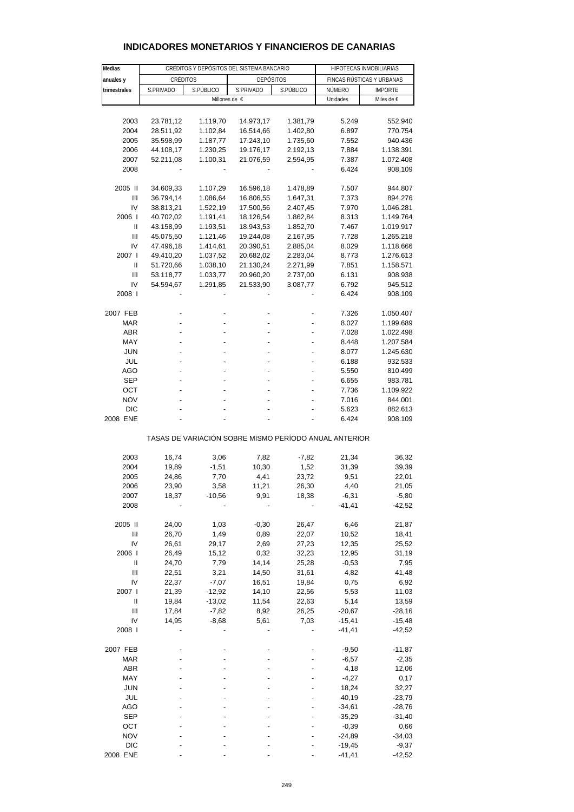| <b>Medias</b>                  |                | CRÉDITOS Y DEPÓSITOS DEL SISTEMA BANCARIO | HIPOTECAS INMOBILIARIAS                               |               |                      |                              |
|--------------------------------|----------------|-------------------------------------------|-------------------------------------------------------|---------------|----------------------|------------------------------|
|                                |                | CRÉDITOS                                  |                                                       |               |                      |                              |
| anuales y<br>trimestrales      | S.PRIVADO      | S.PÚBLICO                                 | <b>DEPÓSITOS</b><br>S.PRIVADO                         | S.PÚBLICO     | NÚMERO               | FINCAS RÚSTICAS Y URBANAS    |
|                                |                |                                           | Millones de €                                         |               | Unidades             | <b>IMPORTE</b><br>Miles de € |
|                                |                |                                           |                                                       |               |                      |                              |
| 2003                           | 23.781,12      | 1.119,70                                  | 14.973,17                                             | 1.381,79      | 5.249                | 552.940                      |
| 2004                           | 28.511,92      | 1.102,84                                  | 16.514,66                                             | 1.402,80      | 6.897                | 770.754                      |
| 2005                           | 35.598,99      | 1.187,77                                  | 17.243,10                                             | 1.735,60      | 7.552                | 940.436                      |
| 2006                           | 44.108,17      | 1.230,25                                  | 19.176,17                                             | 2.192,13      | 7.884                | 1.138.391                    |
| 2007                           | 52.211,08      | 1.100,31                                  | 21.076,59                                             | 2.594,95      | 7.387                | 1.072.408                    |
| 2008                           |                |                                           |                                                       |               | 6.424                | 908.109                      |
| 2005 II                        | 34.609,33      | 1.107,29                                  | 16.596,18                                             | 1.478,89      | 7.507                | 944.807                      |
| Ш                              | 36.794,14      | 1.086,64                                  | 16.806,55                                             | 1.647,31      | 7.373                | 894.276                      |
| IV                             | 38.813,21      | 1.522,19                                  | 17.500,56                                             | 2.407,45      | 7.970                | 1.046.281                    |
| 2006                           | 40.702,02      | 1.191,41                                  | 18.126,54                                             | 1.862,84      | 8.313                | 1.149.764                    |
| Ш                              | 43.158,99      | 1.193,51                                  | 18.943,53                                             | 1.852,70      | 7.467                | 1.019.917                    |
| Ш                              | 45.075,50      | 1.121,46                                  | 19.244,08                                             | 2.167,95      | 7.728                | 1.265.218                    |
| IV                             | 47.496,18      | 1.414,61                                  | 20.390,51                                             | 2.885,04      | 8.029                | 1.118.666                    |
| 2007 l                         | 49.410,20      | 1.037,52                                  | 20.682,02                                             | 2.283,04      | 8.773                | 1.276.613                    |
| Ш                              | 51.720,66      | 1.038,10                                  | 21.130,24                                             | 2.271,99      | 7.851                | 1.158.571                    |
| Ш                              | 53.118,77      | 1.033,77                                  | 20.960,20                                             | 2.737,00      | 6.131                | 908.938                      |
| IV                             | 54.594,67      | 1.291,85                                  | 21.533,90                                             | 3.087,77      | 6.792                | 945.512                      |
| 2008                           |                |                                           |                                                       |               | 6.424                | 908.109                      |
| 2007 FEB                       |                |                                           |                                                       |               | 7.326                | 1.050.407                    |
| MAR                            |                |                                           |                                                       |               | 8.027                | 1.199.689                    |
| ABR                            |                |                                           |                                                       |               | 7.028                | 1.022.498                    |
| MAY                            |                |                                           |                                                       |               | 8.448                | 1.207.584                    |
| <b>JUN</b>                     |                |                                           |                                                       |               | 8.077                | 1.245.630                    |
| JUL                            |                |                                           |                                                       |               | 6.188                | 932.533                      |
| AGO                            |                |                                           |                                                       |               | 5.550                | 810.499                      |
| <b>SEP</b>                     |                |                                           |                                                       |               | 6.655                | 983.781                      |
| OCT<br><b>NOV</b>              |                |                                           |                                                       |               | 7.736<br>7.016       | 1.109.922<br>844.001         |
| <b>DIC</b>                     |                |                                           |                                                       |               | 5.623                | 882.613                      |
| 2008 ENE                       |                |                                           |                                                       |               | 6.424                | 908.109                      |
|                                |                |                                           | TASAS DE VARIACIÓN SOBRE MISMO PERÍODO ANUAL ANTERIOR |               |                      |                              |
| 2003                           | 16,74          | 3,06                                      | 7,82                                                  | $-7,82$       | 21,34                | 36,32                        |
| 2004                           | 19,89          | $-1,51$                                   | 10,30                                                 | 1,52          | 31,39                | 39,39                        |
| 2005                           | 24,86          | 7,70                                      | 4,41                                                  | 23,72         | 9,51                 | 22,01                        |
| 2006                           | 23,90          | 3,58                                      | 11,21                                                 | 26,30         | 4,40                 | 21,05                        |
| 2007                           | 18,37          | $-10,56$                                  | 9,91                                                  | 18,38         | $-6,31$              | $-5,80$                      |
| 2008                           |                |                                           |                                                       |               | $-41, 41$            | $-42,52$                     |
| 2005 II                        | 24,00          | 1,03                                      | $-0,30$                                               | 26,47         | 6,46                 | 21,87                        |
| $\mathbf{III}$                 | 26,70          | 1,49                                      | 0,89                                                  | 22,07         | 10,52                | 18,41                        |
| IV                             | 26,61          | 29,17                                     | 2,69                                                  | 27,23         | 12,35                | 25,52                        |
| 2006                           | 26,49          | 15,12                                     | 0,32                                                  | 32,23         | 12,95                | 31,19                        |
| Ш                              | 24,70          | 7,79                                      | 14,14                                                 | 25,28         | $-0,53$              | 7,95                         |
| Ш                              | 22,51          | 3,21                                      | 14,50                                                 | 31,61         | 4,82                 | 41,48                        |
| IV                             | 22,37          | $-7,07$                                   | 16,51                                                 | 19,84         | 0,75                 | 6,92                         |
| 2007 l                         | 21,39          | $-12,92$                                  | 14,10                                                 | 22,56         | 5,53                 | 11,03                        |
| $\mathbf{I}$<br>$\mathbf{III}$ | 19,84          | $-13,02$<br>$-7,82$                       | 11,54<br>8,92                                         | 22,63         | 5,14                 | 13,59                        |
| IV                             | 17,84<br>14,95 | $-8,68$                                   | 5,61                                                  | 26,25<br>7,03 | $-20,67$<br>$-15,41$ | $-28,16$<br>$-15,48$         |
| 2008 l                         |                |                                           |                                                       |               | $-41, 41$            | -42,52                       |
|                                |                |                                           |                                                       |               |                      |                              |
| 2007 FEB<br><b>MAR</b>         |                |                                           |                                                       |               | $-9,50$<br>$-6,57$   | $-11,87$                     |
| ABR                            |                |                                           |                                                       |               | 4,18                 | $-2,35$<br>12,06             |
| MAY                            |                |                                           |                                                       |               | $-4,27$              | 0,17                         |
| <b>JUN</b>                     |                |                                           |                                                       |               | 18,24                | 32,27                        |
| JUL                            |                |                                           |                                                       |               | 40,19                | $-23,79$                     |
| AGO                            |                |                                           |                                                       |               | $-34,61$             | $-28,76$                     |
| SEP                            |                |                                           |                                                       |               | $-35,29$             | $-31,40$                     |
| OCT                            |                |                                           |                                                       |               | $-0,39$              | 0,66                         |
| <b>NOV</b>                     |                |                                           |                                                       |               | $-24,89$             | $-34,03$                     |
| <b>DIC</b>                     |                |                                           |                                                       |               | $-19,45$             | $-9,37$                      |
| 2008 ENE                       |                |                                           |                                                       |               | $-41, 41$            | $-42,52$                     |

## **INDICADORES MONETARIOS Y FINANCIEROS DE CANARIAS**